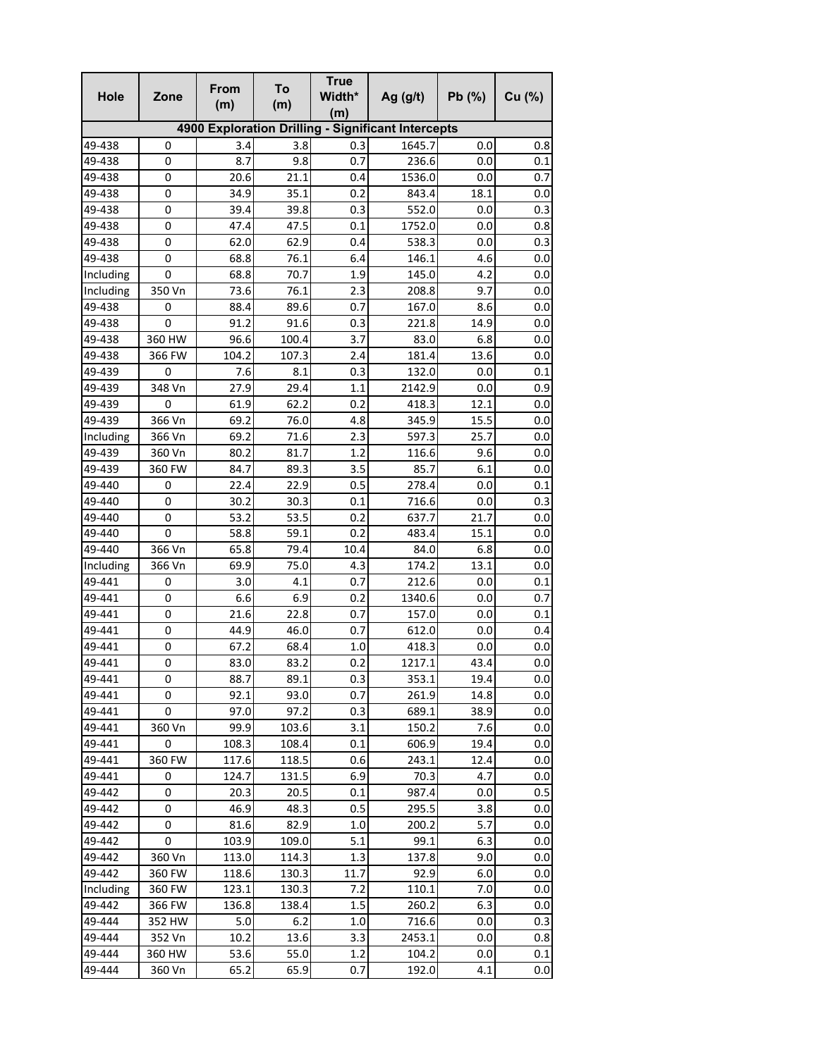| Hole      | Zone   | <b>From</b><br>(m) | To<br>(m) | <b>True</b><br>Width*<br>(m) | Ag $(g/t)$                                         | Pb(%) | Cu (%)  |
|-----------|--------|--------------------|-----------|------------------------------|----------------------------------------------------|-------|---------|
|           |        |                    |           |                              | 4900 Exploration Drilling - Significant Intercepts |       |         |
| 49-438    | 0      | 3.4                | 3.8       | 0.3                          | 1645.7                                             | 0.0   | 0.8     |
| 49-438    | 0      | 8.7                | 9.8       | 0.7                          | 236.6                                              | 0.0   | 0.1     |
| 49-438    | 0      | 20.6               | 21.1      | 0.4                          | 1536.0                                             | 0.0   | 0.7     |
| 49-438    | 0      | 34.9               | 35.1      | 0.2                          | 843.4                                              | 18.1  | 0.0     |
| 49-438    | 0      | 39.4               | 39.8      | 0.3                          | 552.0                                              | 0.0   | 0.3     |
| 49-438    | 0      | 47.4               | 47.5      | 0.1                          | 1752.0                                             | 0.0   | 0.8     |
| 49-438    | 0      | 62.0               | 62.9      | 0.4                          | 538.3                                              | 0.0   | 0.3     |
| 49-438    | 0      | 68.8               | 76.1      | 6.4                          | 146.1                                              | 4.6   | 0.0     |
| Including | 0      | 68.8               | 70.7      | 1.9                          | 145.0                                              | 4.2   | 0.0     |
| Including | 350 Vn | 73.6               | 76.1      | 2.3                          | 208.8                                              | 9.7   | 0.0     |
| 49-438    | 0      | 88.4               | 89.6      | 0.7                          | 167.0                                              | 8.6   | 0.0     |
| 49-438    | 0      | 91.2               | 91.6      | 0.3                          | 221.8                                              | 14.9  | 0.0     |
| 49-438    | 360 HW | 96.6               | 100.4     | 3.7                          | 83.0                                               | 6.8   | 0.0     |
| 49-438    | 366 FW | 104.2              | 107.3     | 2.4                          | 181.4                                              | 13.6  | 0.0     |
| 49-439    | 0      | 7.6                | 8.1       | 0.3                          | 132.0                                              | 0.0   | 0.1     |
| 49-439    | 348 Vn | 27.9               | 29.4      | 1.1                          | 2142.9                                             | 0.0   | 0.9     |
| 49-439    | 0      | 61.9               | 62.2      | 0.2                          | 418.3                                              | 12.1  | 0.0     |
| 49-439    | 366 Vn | 69.2               | 76.0      | 4.8                          | 345.9                                              | 15.5  | 0.0     |
| Including | 366 Vn | 69.2               | 71.6      | 2.3                          | 597.3                                              | 25.7  | 0.0     |
| 49-439    | 360 Vn | 80.2               | 81.7      | 1.2                          | 116.6                                              | 9.6   | 0.0     |
| 49-439    | 360 FW | 84.7               | 89.3      | 3.5                          | 85.7                                               | 6.1   | 0.0     |
| 49-440    | 0      | 22.4               | 22.9      | 0.5                          | 278.4                                              | 0.0   | 0.1     |
| 49-440    | 0      | 30.2               | 30.3      | 0.1                          | 716.6                                              | 0.0   | 0.3     |
| 49-440    | 0      | 53.2               | 53.5      | 0.2                          | 637.7                                              | 21.7  | 0.0     |
| 49-440    | 0      | 58.8               | 59.1      | 0.2                          | 483.4                                              | 15.1  | 0.0     |
| 49-440    | 366 Vn | 65.8               | 79.4      | 10.4                         | 84.0                                               | 6.8   | 0.0     |
| Including | 366 Vn | 69.9               | 75.0      | 4.3                          | 174.2                                              | 13.1  | 0.0     |
| 49-441    | 0      | 3.0                | 4.1       | 0.7                          | 212.6                                              | 0.0   | 0.1     |
| 49-441    | 0      | 6.6                | 6.9       | 0.2                          | 1340.6                                             | 0.0   | 0.7     |
| 49-441    | 0      | 21.6               | 22.8      | 0.7                          | 157.0                                              | 0.0   | 0.1     |
| 49-441    | 0      | 44.9               | 46.0      | 0.7                          | 612.0                                              | 0.0   | 0.4     |
| 49-441    | 0      | 67.2               | 68.4      | 1.0                          | 418.3                                              | 0.0   | $0.0\,$ |
| 49-441    | 0      | 83.0               | 83.2      | 0.2                          | 1217.1                                             | 43.4  | 0.0     |
| 49-441    | 0      | 88.7               | 89.1      | 0.3                          | 353.1                                              | 19.4  | 0.0     |
| 49-441    | 0      | 92.1               | 93.0      | 0.7                          | 261.9                                              | 14.8  | 0.0     |
| 49-441    | 0      | 97.0               | 97.2      | 0.3                          | 689.1                                              | 38.9  | 0.0     |
| 49-441    | 360 Vn | 99.9               | 103.6     | 3.1                          | 150.2                                              | 7.6   | 0.0     |
| 49-441    | 0      | 108.3              | 108.4     | 0.1                          | 606.9                                              | 19.4  | 0.0     |
| 49-441    | 360 FW | 117.6              | 118.5     | 0.6                          | 243.1                                              | 12.4  | 0.0     |
| 49-441    | 0      | 124.7              | 131.5     | 6.9                          | 70.3                                               | 4.7   | 0.0     |
| 49-442    | 0      | 20.3               | 20.5      | 0.1                          | 987.4                                              | 0.0   | 0.5     |
| 49-442    | 0      | 46.9               | 48.3      | 0.5                          | 295.5                                              | 3.8   | 0.0     |
| 49-442    | 0      | 81.6               | 82.9      | 1.0                          | 200.2                                              | 5.7   | 0.0     |
| 49-442    | 0      | 103.9              | 109.0     | 5.1                          | 99.1                                               | 6.3   | 0.0     |
| 49-442    | 360 Vn | 113.0              | 114.3     | 1.3                          | 137.8                                              | 9.0   | 0.0     |
| 49-442    | 360 FW | 118.6              | 130.3     | 11.7                         | 92.9                                               | 6.0   | 0.0     |
| Including | 360 FW | 123.1              | 130.3     | 7.2                          | 110.1                                              | 7.0   | 0.0     |
| 49-442    | 366 FW | 136.8              | 138.4     | 1.5                          | 260.2                                              | 6.3   | 0.0     |
| 49-444    | 352 HW | 5.0                | $6.2$     | 1.0                          | 716.6                                              | 0.0   | 0.3     |
| 49-444    | 352 Vn | 10.2               | 13.6      | 3.3                          | 2453.1                                             | 0.0   | 0.8     |
| 49-444    | 360 HW | 53.6               | 55.0      | $1.2\,$                      | 104.2                                              | 0.0   | $0.1\,$ |
| 49-444    | 360 Vn | 65.2               | 65.9      | 0.7                          | 192.0                                              | 4.1   | 0.0     |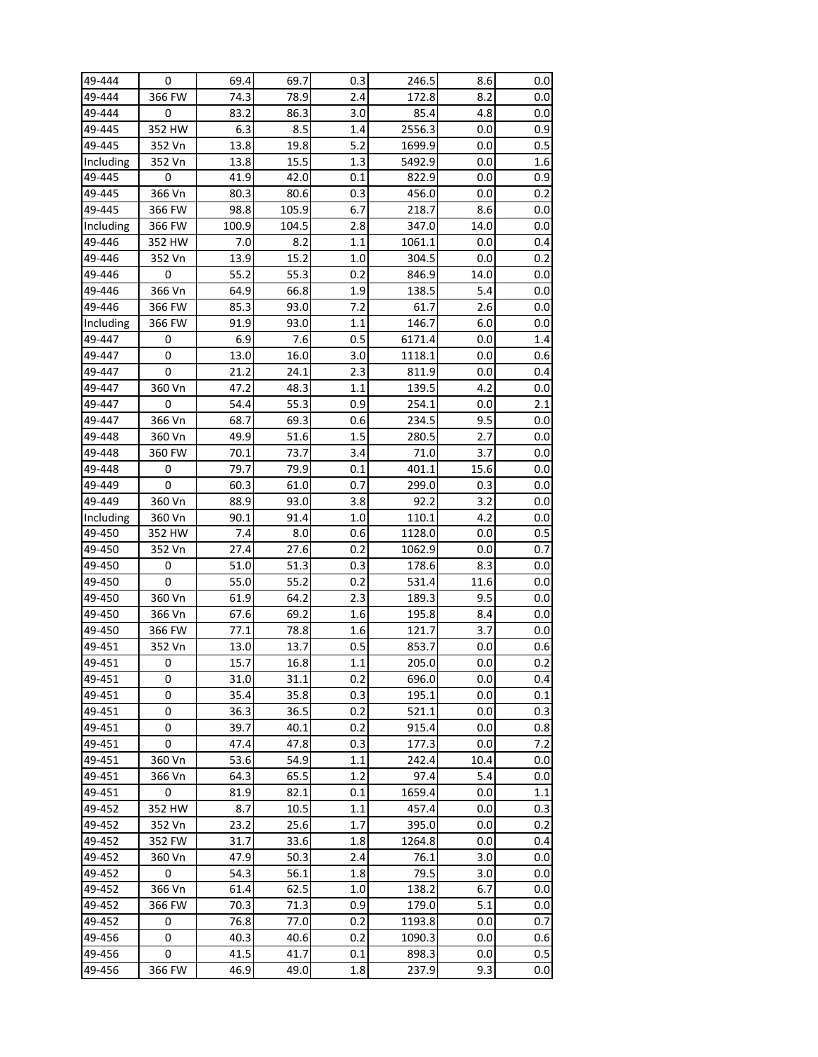| 49-444    | 0      | 69.4  | 69.7  | 0.3     | 246.5  | 8.6  | $0.0\,$ |
|-----------|--------|-------|-------|---------|--------|------|---------|
| 49-444    | 366 FW | 74.3  | 78.9  | 2.4     | 172.8  | 8.2  | 0.0     |
| 49-444    | 0      | 83.2  | 86.3  | 3.0     | 85.4   | 4.8  | 0.0     |
| 49-445    | 352 HW | 6.3   | 8.5   | 1.4     | 2556.3 | 0.0  | 0.9     |
| 49-445    | 352 Vn | 13.8  | 19.8  | $5.2$   | 1699.9 | 0.0  | 0.5     |
| Including | 352 Vn | 13.8  | 15.5  | 1.3     | 5492.9 | 0.0  | 1.6     |
| 49-445    | 0      | 41.9  | 42.0  | 0.1     | 822.9  | 0.0  | 0.9     |
| 49-445    | 366 Vn | 80.3  | 80.6  | 0.3     | 456.0  | 0.0  | 0.2     |
| 49-445    | 366 FW | 98.8  | 105.9 | 6.7     | 218.7  | 8.6  | 0.0     |
| Including | 366 FW | 100.9 | 104.5 | 2.8     | 347.0  | 14.0 | 0.0     |
| 49-446    | 352 HW | 7.0   | 8.2   | 1.1     | 1061.1 | 0.0  | 0.4     |
| 49-446    | 352 Vn | 13.9  | 15.2  | 1.0     | 304.5  | 0.0  | 0.2     |
| 49-446    | 0      | 55.2  | 55.3  | 0.2     | 846.9  | 14.0 | 0.0     |
| 49-446    | 366 Vn | 64.9  | 66.8  | 1.9     | 138.5  | 5.4  | 0.0     |
| 49-446    | 366 FW | 85.3  | 93.0  | 7.2     | 61.7   | 2.6  | 0.0     |
| Including | 366 FW | 91.9  | 93.0  | 1.1     | 146.7  | 6.0  | 0.0     |
| 49-447    | 0      | 6.9   | 7.6   | 0.5     | 6171.4 | 0.0  | 1.4     |
| 49-447    | 0      | 13.0  | 16.0  | 3.0     | 1118.1 | 0.0  | 0.6     |
| 49-447    | 0      | 21.2  | 24.1  | 2.3     | 811.9  | 0.0  | 0.4     |
| 49-447    | 360 Vn | 47.2  | 48.3  | 1.1     | 139.5  | 4.2  | 0.0     |
| 49-447    | 0      | 54.4  | 55.3  | 0.9     | 254.1  | 0.0  | 2.1     |
| 49-447    | 366 Vn | 68.7  | 69.3  | 0.6     | 234.5  | 9.5  | 0.0     |
| 49-448    | 360 Vn | 49.9  | 51.6  | $1.5\,$ | 280.5  | 2.7  | 0.0     |
| 49-448    | 360 FW | 70.1  | 73.7  | 3.4     | 71.0   | 3.7  | 0.0     |
| 49-448    | 0      | 79.7  | 79.9  | 0.1     | 401.1  | 15.6 | 0.0     |
| 49-449    | 0      | 60.3  | 61.0  | 0.7     | 299.0  | 0.3  | 0.0     |
| 49-449    | 360 Vn | 88.9  | 93.0  | 3.8     | 92.2   | 3.2  | 0.0     |
| Including | 360 Vn | 90.1  | 91.4  | 1.0     | 110.1  | 4.2  | 0.0     |
| 49-450    | 352 HW | 7.4   | 8.0   | 0.6     | 1128.0 | 0.0  | 0.5     |
| 49-450    | 352 Vn | 27.4  | 27.6  | 0.2     | 1062.9 | 0.0  | 0.7     |
| 49-450    | 0      | 51.0  | 51.3  | 0.3     | 178.6  | 8.3  | 0.0     |
| 49-450    | 0      | 55.0  | 55.2  | 0.2     | 531.4  | 11.6 | 0.0     |
| 49-450    | 360 Vn | 61.9  | 64.2  | 2.3     | 189.3  | 9.5  | 0.0     |
| 49-450    | 366 Vn | 67.6  | 69.2  | 1.6     | 195.8  | 8.4  | 0.0     |
| 49-450    | 366 FW | 77.1  | 78.8  | 1.6     | 121.7  | 3.7  | 0.0     |
| 49-451    | 352 Vn | 13.0  | 13.7  | 0.5     | 853.7  | 0.0  | 0.6     |
| 49-451    | 0      | 15.7  | 16.8  | 1.1     | 205.0  | 0.0  | 0.2     |
| 49-451    | 0      | 31.0  | 31.1  | 0.2     | 696.0  | 0.0  | 0.4     |
| 49-451    | 0      | 35.4  | 35.8  | 0.3     | 195.1  | 0.0  | 0.1     |
| 49-451    | 0      | 36.3  | 36.5  | 0.2     | 521.1  | 0.0  | 0.3     |
| 49-451    | 0      | 39.7  | 40.1  | 0.2     | 915.4  | 0.0  | 0.8     |
| 49-451    | 0      | 47.4  | 47.8  | 0.3     | 177.3  | 0.0  | 7.2     |
| 49-451    | 360 Vn | 53.6  | 54.9  | 1.1     | 242.4  | 10.4 | 0.0     |
| 49-451    | 366 Vn | 64.3  | 65.5  | 1.2     | 97.4   | 5.4  | 0.0     |
| 49-451    | 0      | 81.9  | 82.1  | 0.1     | 1659.4 | 0.0  | 1.1     |
| 49-452    | 352 HW | 8.7   | 10.5  | 1.1     | 457.4  | 0.0  | 0.3     |
| 49-452    | 352 Vn | 23.2  | 25.6  | 1.7     | 395.0  | 0.0  | 0.2     |
| 49-452    | 352 FW | 31.7  | 33.6  | 1.8     | 1264.8 | 0.0  | 0.4     |
| 49-452    | 360 Vn | 47.9  | 50.3  | 2.4     | 76.1   | 3.0  | 0.0     |
| 49-452    | 0      | 54.3  | 56.1  | 1.8     | 79.5   | 3.0  | 0.0     |
| 49-452    | 366 Vn | 61.4  | 62.5  | 1.0     | 138.2  | 6.7  | 0.0     |
|           |        |       |       |         |        |      |         |
| 49-452    | 366 FW | 70.3  | 71.3  | 0.9     | 179.0  | 5.1  | 0.0     |
| 49-452    | 0      | 76.8  | 77.0  | 0.2     | 1193.8 | 0.0  | 0.7     |
| 49-456    | 0      | 40.3  | 40.6  | 0.2     | 1090.3 | 0.0  | 0.6     |
| 49-456    | 0      | 41.5  | 41.7  | 0.1     | 898.3  | 0.0  | 0.5     |
| 49-456    | 366 FW | 46.9  | 49.0  | 1.8     | 237.9  | 9.3  | 0.0     |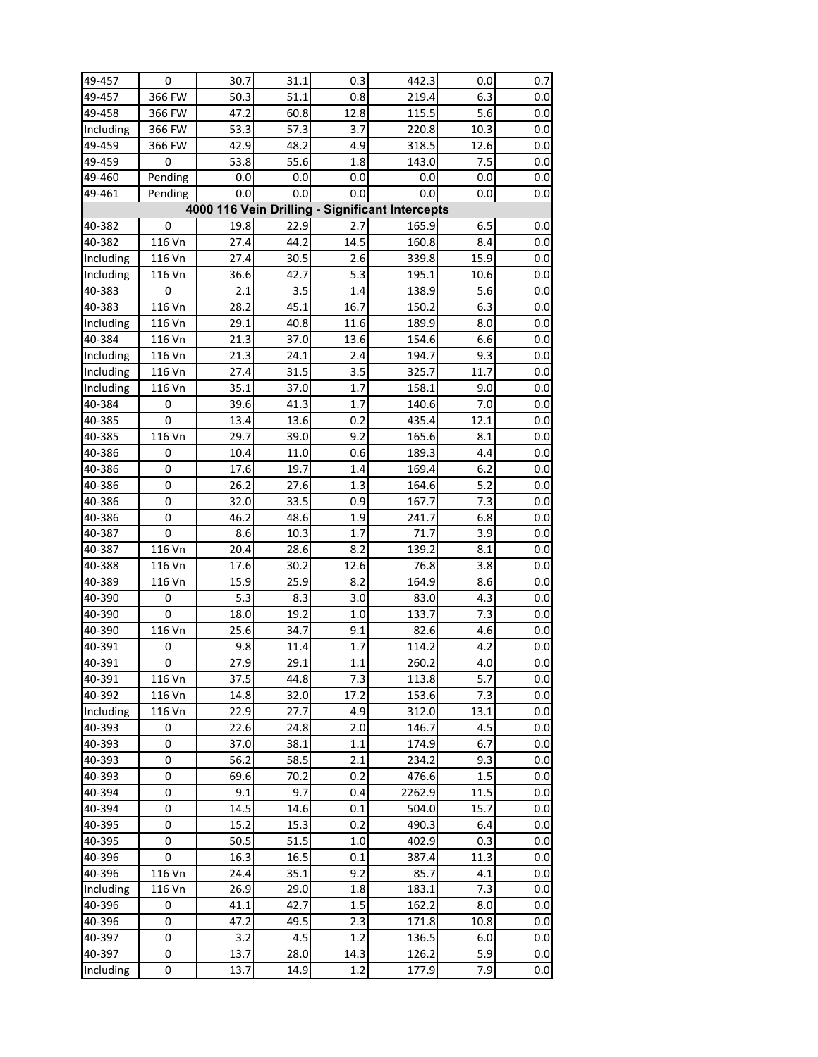| 49-457    | 0       | 30.7              | 31.1 | 0.3  | 442.3                                           | 0.0  | 0.7 |
|-----------|---------|-------------------|------|------|-------------------------------------------------|------|-----|
| 49-457    | 366 FW  | 50.3              | 51.1 | 0.8  | 219.4                                           | 6.3  | 0.0 |
| 49-458    | 366 FW  | 47.2              | 60.8 | 12.8 | 115.5                                           | 5.6  | 0.0 |
| Including | 366 FW  | 53.3              | 57.3 | 3.7  | 220.8                                           | 10.3 | 0.0 |
| 49-459    | 366 FW  | 42.9              | 48.2 | 4.9  | 318.5                                           | 12.6 | 0.0 |
| 49-459    | 0       | 53.8              | 55.6 | 1.8  | 143.0                                           | 7.5  | 0.0 |
| 49-460    | Pending | 0.0               | 0.0  | 0.0  | 0.0                                             | 0.0  | 0.0 |
| 49-461    | Pending | 0.0               | 0.0  | 0.0  | 0.0                                             | 0.0  | 0.0 |
|           |         |                   |      |      | 4000 116 Vein Drilling - Significant Intercepts |      |     |
| 40-382    | 0       | 19.8              | 22.9 | 2.7  | 165.9                                           | 6.5  | 0.0 |
| 40-382    | 116 Vn  | 27.4              | 44.2 | 14.5 | 160.8                                           | 8.4  | 0.0 |
| Including | 116 Vn  | 27.4              | 30.5 | 2.6  | 339.8                                           | 15.9 | 0.0 |
| Including | 116 Vn  | 36.6              | 42.7 | 5.3  | 195.1                                           | 10.6 | 0.0 |
| 40-383    | 0       | 2.1               | 3.5  | 1.4  | 138.9                                           | 5.6  | 0.0 |
| 40-383    | 116 Vn  | 28.2              | 45.1 | 16.7 | 150.2                                           | 6.3  | 0.0 |
| Including | 116 Vn  | 29.1              | 40.8 | 11.6 | 189.9                                           | 8.0  | 0.0 |
| 40-384    | 116 Vn  | 21.3              | 37.0 | 13.6 | 154.6                                           | 6.6  | 0.0 |
| Including | 116 Vn  | 21.3              | 24.1 | 2.4  | 194.7                                           | 9.3  | 0.0 |
| Including | 116 Vn  | 27.4              | 31.5 | 3.5  | 325.7                                           | 11.7 | 0.0 |
| Including | 116 Vn  | 35.1              | 37.0 | 1.7  | 158.1                                           | 9.0  | 0.0 |
| 40-384    | 0       | 39.6              | 41.3 | 1.7  | 140.6                                           | 7.0  | 0.0 |
| 40-385    | 0       | 13.4              | 13.6 | 0.2  | 435.4                                           | 12.1 | 0.0 |
| 40-385    | 116 Vn  | 29.7              | 39.0 | 9.2  | 165.6                                           | 8.1  | 0.0 |
| 40-386    | 0       | 10.4              | 11.0 | 0.6  | 189.3                                           | 4.4  | 0.0 |
| 40-386    | 0       | 17.6              | 19.7 | 1.4  | 169.4                                           | 6.2  | 0.0 |
| 40-386    | 0       | $\overline{26.2}$ | 27.6 | 1.3  | 164.6                                           | 5.2  | 0.0 |
| 40-386    | 0       | 32.0              | 33.5 | 0.9  | 167.7                                           | 7.3  | 0.0 |
| 40-386    | 0       | 46.2              | 48.6 | 1.9  | 241.7                                           | 6.8  | 0.0 |
| 40-387    | 0       | 8.6               | 10.3 | 1.7  | 71.7                                            | 3.9  | 0.0 |
| 40-387    | 116 Vn  | 20.4              | 28.6 | 8.2  | 139.2                                           | 8.1  | 0.0 |
| 40-388    | 116 Vn  | 17.6              | 30.2 | 12.6 | 76.8                                            | 3.8  | 0.0 |
| 40-389    | 116 Vn  | 15.9              | 25.9 | 8.2  | 164.9                                           | 8.6  | 0.0 |
| 40-390    | 0       | 5.3               | 8.3  | 3.0  | 83.0                                            | 4.3  | 0.0 |
| 40-390    | 0       | 18.0              | 19.2 | 1.0  | 133.7                                           | 7.3  | 0.0 |
| 40-390    | 116 Vn  | 25.6              | 34.7 | 9.1  | 82.6                                            | 4.6  | 0.0 |
| 40-391    | 0       | 9.8               | 11.4 | 1.7  | 114.2                                           | 4.2  | 0.0 |
| 40-391    | 0       | 27.9              | 29.1 | 1.1  | 260.2                                           | 4.0  | 0.0 |
| 40-391    | 116 Vn  | 37.5              | 44.8 | 7.3  | 113.8                                           | 5.7  | 0.0 |
| 40-392    | 116 Vn  | 14.8              | 32.0 | 17.2 | 153.6                                           | 7.3  | 0.0 |
| Including | 116 Vn  | 22.9              | 27.7 | 4.9  | 312.0                                           | 13.1 | 0.0 |
| 40-393    | 0       | 22.6              | 24.8 | 2.0  | 146.7                                           | 4.5  | 0.0 |
| 40-393    | 0       | 37.0              | 38.1 | 1.1  | 174.9                                           | 6.7  | 0.0 |
| 40-393    | 0       | 56.2              | 58.5 | 2.1  | 234.2                                           | 9.3  | 0.0 |
| 40-393    | 0       | 69.6              | 70.2 | 0.2  | 476.6                                           | 1.5  | 0.0 |
| 40-394    | 0       | 9.1               | 9.7  | 0.4  | 2262.9                                          | 11.5 | 0.0 |
| 40-394    | 0       | 14.5              | 14.6 | 0.1  | 504.0                                           | 15.7 | 0.0 |
| 40-395    | 0       | 15.2              | 15.3 | 0.2  | 490.3                                           | 6.4  | 0.0 |
| 40-395    | 0       | 50.5              | 51.5 | 1.0  | 402.9                                           | 0.3  | 0.0 |
| 40-396    | 0       | 16.3              | 16.5 | 0.1  | 387.4                                           | 11.3 | 0.0 |
| 40-396    | 116 Vn  | 24.4              | 35.1 | 9.2  | 85.7                                            | 4.1  | 0.0 |
| Including | 116 Vn  | 26.9              | 29.0 | 1.8  | 183.1                                           | 7.3  | 0.0 |
| 40-396    | 0       | 41.1              | 42.7 | 1.5  | 162.2                                           | 8.0  | 0.0 |
| 40-396    | 0       | 47.2              | 49.5 | 2.3  | 171.8                                           | 10.8 | 0.0 |
| 40-397    | 0       | 3.2               | 4.5  | 1.2  | 136.5                                           | 6.0  | 0.0 |
| 40-397    | 0       | 13.7              | 28.0 | 14.3 | 126.2                                           | 5.9  | 0.0 |
| Including | 0       | 13.7              | 14.9 | 1.2  | 177.9                                           | 7.9  | 0.0 |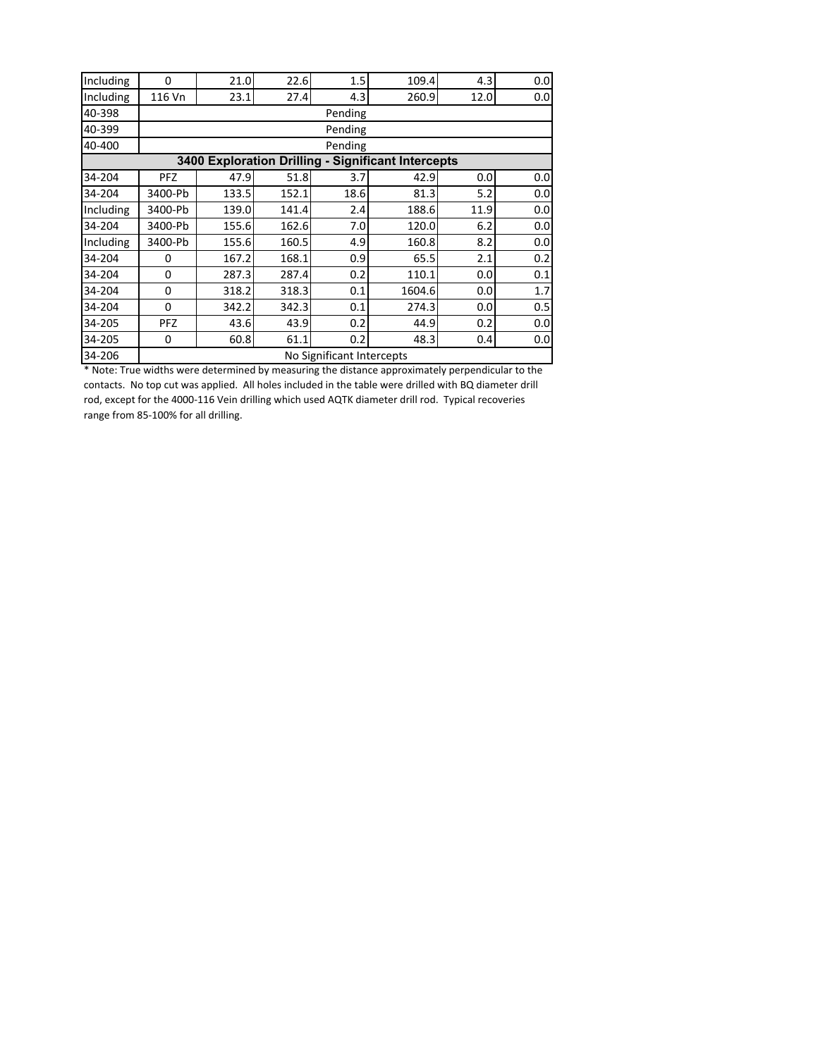| Including        | 0          | 21.0                      | 22.6  | 1.5     | 109.4                                              | 4.3              | 0.0 |  |  |  |  |  |  |
|------------------|------------|---------------------------|-------|---------|----------------------------------------------------|------------------|-----|--|--|--|--|--|--|
| Including        | 116 Vn     | 23.1                      | 27.4  | 4.3     | 260.9                                              | 12.0             | 0.0 |  |  |  |  |  |  |
| 40-398           |            |                           |       | Pending |                                                    |                  |     |  |  |  |  |  |  |
| 40-399           |            |                           |       | Pending |                                                    |                  |     |  |  |  |  |  |  |
| 40-400           |            |                           |       | Pending |                                                    |                  |     |  |  |  |  |  |  |
|                  |            |                           |       |         | 3400 Exploration Drilling - Significant Intercepts |                  |     |  |  |  |  |  |  |
| 34-204           | <b>PFZ</b> | 47.9                      | 51.8  | 3.7     | 42.9                                               | 0.0 <sub>l</sub> | 0.0 |  |  |  |  |  |  |
| 34-204           | 3400-Pb    | 133.5                     | 152.1 | 18.6    | 81.3                                               | 5.2              | 0.0 |  |  |  |  |  |  |
| <b>Including</b> | 3400-Pb    | 139.0                     | 141.4 | 2.4     | 188.6                                              | 11.9             | 0.0 |  |  |  |  |  |  |
| 34-204           | 3400-Pb    | 155.6                     | 162.6 | 7.0     | 120.0                                              | 6.2              | 0.0 |  |  |  |  |  |  |
| Including        | 3400-Pb    | 155.6                     | 160.5 | 4.9     | 160.8                                              | 8.2              | 0.0 |  |  |  |  |  |  |
| 34-204           | 0          | 167.2                     | 168.1 | 0.9     | 65.5                                               | 2.1              | 0.2 |  |  |  |  |  |  |
| 34-204           | 0          | 287.3                     | 287.4 | 0.2     | 110.1                                              | 0.0 <sub>l</sub> | 0.1 |  |  |  |  |  |  |
| 34-204           | 0          | 318.2                     | 318.3 | 0.1     | 1604.6                                             | 0.0 <sub>l</sub> | 1.7 |  |  |  |  |  |  |
| 34-204           | 0          | 342.2                     | 342.3 | 0.1     | 274.3                                              | 0.0 <sub>l</sub> | 0.5 |  |  |  |  |  |  |
| 34-205           | <b>PFZ</b> | 43.6                      | 43.9  | 0.2     | 44.9                                               | 0.2              | 0.0 |  |  |  |  |  |  |
| 34-205           | 0          | 60.8                      | 61.1  | 0.2     | 48.3                                               | 0.4              | 0.0 |  |  |  |  |  |  |
| 34-206           |            | No Significant Intercepts |       |         |                                                    |                  |     |  |  |  |  |  |  |
|                  |            |                           |       |         |                                                    |                  |     |  |  |  |  |  |  |

\* Note: True widths were determined by measuring the distance approximately perpendicular to the contacts. No top cut was applied. All holes included in the table were drilled with BQ diameter drill rod, except for the 4000‐116 Vein drilling which used AQTK diameter drill rod. Typical recoveries range from 85‐100% for all drilling.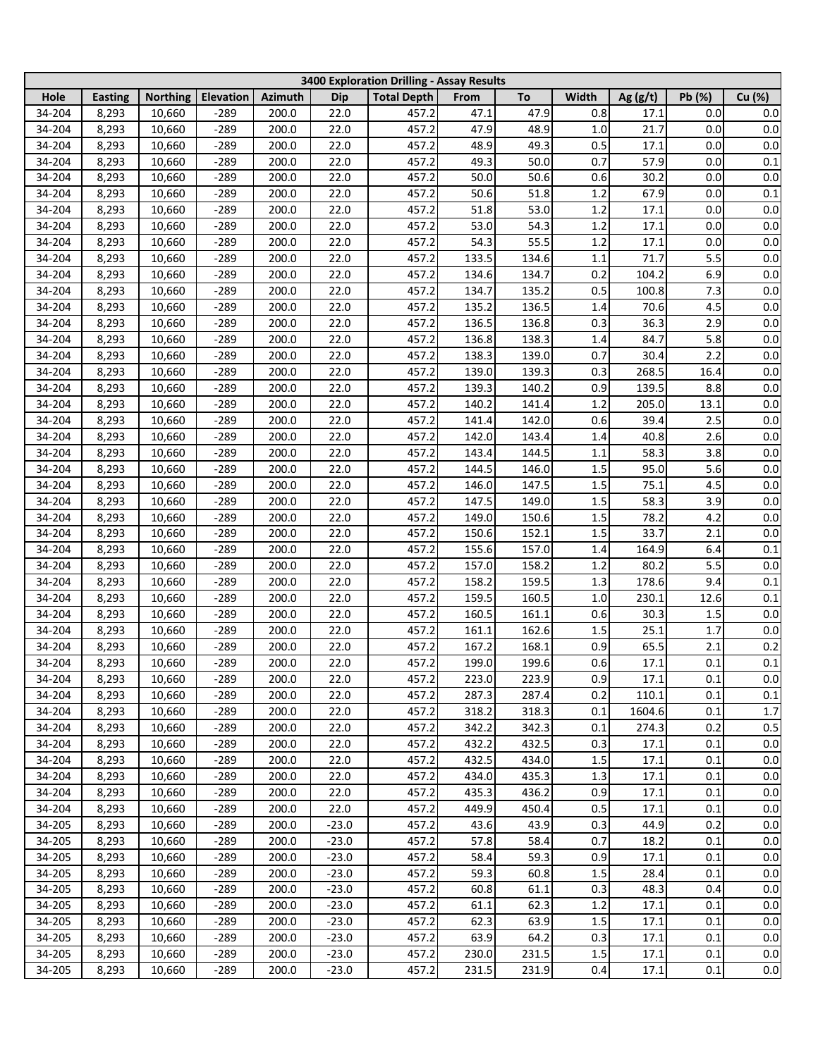|                  |                |                  |                  |                |              | 3400 Exploration Drilling - Assay Results |                |                |            |                 |            |                |
|------------------|----------------|------------------|------------------|----------------|--------------|-------------------------------------------|----------------|----------------|------------|-----------------|------------|----------------|
| Hole             | <b>Easting</b> | <b>Northing</b>  | Elevation        | <b>Azimuth</b> | Dip          | <b>Total Depth</b>                        | From           | To             | Width      | Ag $(g/t)$      | Pb (%)     | Cu (%)         |
| 34-204           | 8,293          | 10,660           | $-289$           | 200.0          | 22.0         | 457.2                                     | 47.1           | 47.9           | 0.8        | 17.1            | 0.0        | 0.0            |
| 34-204           | 8,293          | 10,660           | $-289$           | 200.0          | 22.0         | 457.2                                     | 47.9           | 48.9           | $1.0\,$    | 21.7            | 0.0        | $0.0\,$        |
| 34-204           | 8,293          | 10,660           | $-289$           | 200.0          | 22.0         | 457.2                                     | 48.9           | 49.3           | 0.5        | 17.1            | 0.0        | $0.0\,$        |
| 34-204           | 8,293          | 10,660           | $-289$           | 200.0          | 22.0         | 457.2                                     | 49.3           | 50.0           | 0.7        | 57.9            | 0.0        | 0.1            |
| 34-204           | 8,293          | 10,660           | $-289$           | 200.0          | 22.0         | 457.2                                     | 50.0           | 50.6           | 0.6        | 30.2            | 0.0        | $0.0\,$        |
| 34-204           | 8,293          | 10,660           | $-289$           | 200.0          | 22.0         | 457.2                                     | 50.6           | 51.8           | 1.2        | 67.9            | 0.0        | 0.1            |
| 34-204           | 8,293          | 10,660           | $-289$           | 200.0          | 22.0         | 457.2                                     | 51.8           | 53.0           | 1.2        | 17.1            | 0.0        | $0.0\,$        |
| 34-204           | 8,293          | 10,660           | $-289$           | 200.0          | 22.0         | 457.2                                     | 53.0           | 54.3           | 1.2        | 17.1            | 0.0        | $0.0\,$        |
| 34-204           | 8,293          | 10,660           | $-289$           | 200.0          | 22.0         | 457.2                                     | 54.3           | 55.5           | 1.2        | 17.1            | 0.0        | $0.0\,$        |
| 34-204           | 8,293          | 10,660           | $-289$           | 200.0          | 22.0         | 457.2                                     | 133.5          | 134.6          | 1.1        | 71.7            | 5.5        | $0.0\,$        |
| 34-204           | 8,293          | 10,660           | $-289$           | 200.0          | 22.0         | 457.2                                     | 134.6          | 134.7          | 0.2        | 104.2           | 6.9        | $0.0\,$        |
| 34-204           | 8,293          | 10,660           | $-289$           | 200.0          | 22.0         | 457.2                                     | 134.7          | 135.2          | 0.5        | 100.8           | 7.3        | $0.0\,$        |
| 34-204           | 8,293          | 10,660           | $-289$           | 200.0          | 22.0         | 457.2                                     | 135.2          | 136.5          | 1.4        | 70.6            | 4.5        | $0.0\,$        |
| 34-204           | 8,293          | 10,660           | $-289$           | 200.0          | 22.0         | 457.2                                     | 136.5          | 136.8          | 0.3        | 36.3            | 2.9        | $0.0\,$        |
| 34-204           | 8,293          | 10,660           | $-289$           | 200.0          | 22.0         | 457.2                                     | 136.8          | 138.3          | 1.4        | 84.7            | 5.8        | $0.0\,$        |
| 34-204           | 8,293          | 10,660           | $-289$           | 200.0          | 22.0         | 457.2                                     | 138.3          | 139.0          | 0.7        | 30.4            | 2.2        | $0.0\,$        |
| 34-204           | 8,293          | 10,660           | $-289$           | 200.0          | 22.0         | 457.2                                     | 139.0          | 139.3          | 0.3        | 268.5           | 16.4       | $0.0\,$        |
| 34-204           | 8,293          | 10,660           | $-289$           | 200.0          | 22.0         | 457.2                                     | 139.3          | 140.2          | 0.9        | 139.5           | 8.8        | $0.0\,$        |
| 34-204           | 8,293          | 10,660           | $-289$           | 200.0          | 22.0         | 457.2                                     | 140.2          | 141.4          | 1.2        | 205.0           | 13.1       | $0.0\,$        |
| 34-204           | 8,293          | 10,660           | $-289$           | 200.0          | 22.0         | 457.2                                     | 141.4          | 142.0          | 0.6        | 39.4            | 2.5        | $0.0\,$        |
| 34-204           | 8,293          | 10,660           | $-289$           | 200.0          | 22.0         | 457.2                                     | 142.0          | 143.4          | 1.4        | 40.8            | 2.6        | 0.0            |
| 34-204           | 8,293          | 10,660           | $-289$           | 200.0          | 22.0         | 457.2                                     | 143.4          | 144.5          | 1.1        | 58.3            | 3.8        | 0.0            |
| 34-204           | 8,293          | 10,660           | $-289$           | 200.0          | 22.0         | 457.2                                     | 144.5          | 146.0          | 1.5        | 95.0            | 5.6        | $0.0\,$        |
| 34-204           | 8,293          | 10,660           | $-289$           | 200.0          | 22.0         | 457.2                                     | 146.0          | 147.5          | 1.5        | 75.1            | 4.5        | $0.0\,$        |
| 34-204           |                |                  | $-289$           | 200.0          | 22.0         | 457.2                                     |                | 149.0          | 1.5        | 58.3            | 3.9        | $0.0\,$        |
|                  | 8,293          | 10,660           | $-289$           | 200.0          | 22.0         | 457.2                                     | 147.5          |                | 1.5        |                 |            |                |
| 34-204           | 8,293          | 10,660           |                  | 200.0          | 22.0         | 457.2                                     | 149.0          | 150.6          | 1.5        | 78.2<br>33.7    | 4.2        | $0.0\,$        |
| 34-204           | 8,293          | 10,660           | $-289$           |                |              |                                           | 150.6          | 152.1          |            |                 | 2.1        | $0.0\,$        |
| 34-204           | 8,293          | 10,660           | $-289$           | 200.0<br>200.0 | 22.0<br>22.0 | 457.2<br>457.2                            | 155.6          | 157.0<br>158.2 | 1.4        | 164.9<br>80.2   | 6.4<br>5.5 | 0.1            |
| 34-204<br>34-204 | 8,293<br>8,293 | 10,660<br>10,660 | $-289$<br>$-289$ | 200.0          | 22.0         | 457.2                                     | 157.0<br>158.2 | 159.5          | 1.2<br>1.3 | 178.6           | 9.4        | $0.0\,$<br>0.1 |
| 34-204           | 8,293          | 10,660           | $-289$           | 200.0          | 22.0         | 457.2                                     | 159.5          | 160.5          | 1.0        | 230.1           | 12.6       | 0.1            |
| 34-204           | 8,293          | 10,660           | $-289$           | 200.0          | 22.0         | 457.2                                     | 160.5          | 161.1          | 0.6        | 30.3            | 1.5        | 0.0            |
| 34-204           | 8,293          | 10,660           | $-289$           | 200.0          | 22.0         | 457.2                                     | 161.1          | 162.6          | $1.5$      | 25.1            | 1.7        | 0.0            |
| 34-204           | 8,293          | 10,660           | $-289$           | 200.0          | 22.0         | 457.2                                     | 167.2          | 168.1          | 0.9        | 65.5            | 2.1        | $0.2\,$        |
|                  |                |                  |                  |                |              | 457.2                                     |                |                | 0.6        |                 | 0.1        |                |
| 34-204           | 8,293          | 10,660           | $-289$           | 200.0          | 22.0         | 457.2                                     | 199.0<br>223.0 | 199.6<br>223.9 | 0.9        | 17.1            |            | $0.1\,$<br>0.0 |
| 34-204           | 8,293          | 10,660           | $-289$           | 200.0          | 22.0         |                                           |                |                |            | 17.1            | 0.1        |                |
| 34-204           | 8,293          | 10,660           | $-289$           | 200.0          | 22.0         | 457.2                                     | 287.3          | 287.4          | 0.2        | 110.1<br>1604.6 | 0.1        | $0.1\,$        |
| 34-204           | 8,293          | 10,660           | $-289$           | 200.0          | 22.0         | 457.2<br>457.2                            | 318.2          | 318.3          | 0.1        |                 | 0.1        | 1.7            |
| 34-204           | 8,293          | 10,660           | $-289$           | 200.0          | 22.0         |                                           | 342.2          | 342.3          | 0.1        | 274.3           | 0.2        | 0.5            |
| 34-204           | 8,293          | 10,660           | $-289$           | 200.0          | 22.0         | 457.2                                     | 432.2          | 432.5          | 0.3<br>1.5 | 17.1            | 0.1        | 0.0            |
| 34-204           | 8,293          | 10,660           | $-289$           | 200.0          | 22.0         | 457.2                                     | 432.5          | 434.0          |            | 17.1            | 0.1        | 0.0            |
| 34-204<br>34-204 | 8,293<br>8,293 | 10,660<br>10,660 | $-289$           | 200.0<br>200.0 | 22.0         | 457.2<br>457.2                            | 434.0<br>435.3 | 435.3<br>436.2 | 1.3<br>0.9 | 17.1<br>17.1    | 0.1<br>0.1 | 0.0            |
|                  |                |                  | $-289$           |                | 22.0         |                                           |                |                | 0.5        |                 |            | 0.0            |
| 34-204           | 8,293          | 10,660           | $-289$           | 200.0          | 22.0         | 457.2                                     | 449.9          | 450.4          |            | 17.1            | 0.1        | 0.0            |
| 34-205<br>34-205 | 8,293          | 10,660<br>10,660 | $-289$<br>$-289$ | 200.0<br>200.0 | $-23.0$      | 457.2<br>457.2                            | 43.6<br>57.8   | 43.9<br>58.4   | 0.3<br>0.7 | 44.9<br>18.2    | 0.2<br>0.1 | 0.0            |
|                  | 8,293          |                  |                  |                | $-23.0$      |                                           |                |                |            |                 |            | 0.0            |
| 34-205           | 8,293          | 10,660           | $-289$           | 200.0          | $-23.0$      | 457.2<br>457.2                            | 58.4           | 59.3           | 0.9        | 17.1            | 0.1        | $0.0\,$        |
| 34-205           | 8,293          | 10,660           | $-289$           | 200.0          | $-23.0$      |                                           | 59.3           | 60.8           | 1.5        | 28.4            | 0.1        | 0.0            |
| 34-205           | 8,293          | 10,660           | $-289$           | 200.0          | $-23.0$      | 457.2                                     | 60.8           | 61.1           | 0.3        | 48.3            | 0.4        | 0.0            |
| 34-205           | 8,293          | 10,660           | $-289$           | 200.0          | $-23.0$      | 457.2                                     | 61.1           | 62.3           | 1.2        | 17.1            | 0.1        | 0.0            |
| 34-205           | 8,293          | 10,660           | $-289$           | 200.0          | $-23.0$      | 457.2                                     | 62.3           | 63.9           | $1.5\,$    | 17.1            | 0.1        | 0.0            |
| 34-205           | 8,293          | 10,660           | $-289$           | 200.0          | $-23.0$      | 457.2                                     | 63.9           | 64.2           | 0.3        | 17.1            | 0.1        | 0.0            |
| 34-205           | 8,293          | 10,660           | $-289$           | 200.0          | $-23.0$      | 457.2                                     | 230.0          | 231.5          | $1.5\,$    | 17.1            | 0.1        | 0.0            |
| 34-205           | 8,293          | 10,660           | $-289$           | 200.0          | $-23.0$      | 457.2                                     | 231.5          | 231.9          | 0.4        | 17.1            | 0.1        | $0.0\,$        |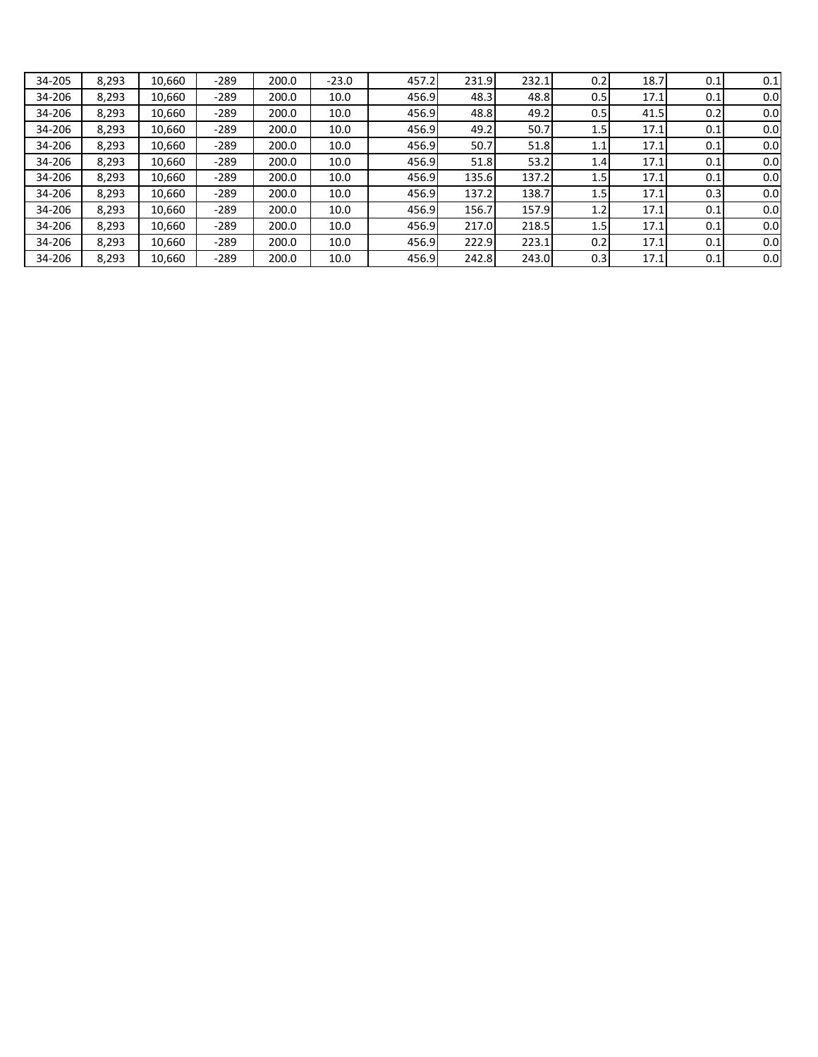| 34-205 | 8,293 | 10.660 | $-289$ | 200.0 | $-23.0$ | 457.2 | 231.9 | 232.1 | 0.2 | 18.7 | 0.1 | 0.1 |
|--------|-------|--------|--------|-------|---------|-------|-------|-------|-----|------|-----|-----|
| 34-206 | 8,293 | 10.660 | $-289$ | 200.0 | 10.0    | 456.9 | 48.3  | 48.8  | 0.5 | 17.1 | 0.1 | 0.0 |
| 34-206 | 8,293 | 10,660 | $-289$ | 200.0 | 10.0    | 456.9 | 48.8  | 49.2  | 0.5 | 41.5 | 0.2 | 0.0 |
| 34-206 | 8,293 | 10,660 | $-289$ | 200.0 | 10.0    | 456.9 | 49.2  | 50.7  | 1.5 | 17.1 | 0.1 | 0.0 |
| 34-206 | 8,293 | 10.660 | $-289$ | 200.0 | 10.0    | 456.9 | 50.7  | 51.8  | 1.1 | 17.1 | 0.1 | 0.0 |
| 34-206 | 8,293 | 10.660 | $-289$ | 200.0 | 10.0    | 456.9 | 51.8  | 53.2  | 1.4 | 17.1 | 0.1 | 0.0 |
| 34-206 | 8,293 | 10.660 | $-289$ | 200.0 | 10.0    | 456.9 | 135.6 | 137.2 | 1.5 | 17.1 | 0.1 | 0.0 |
| 34-206 | 8,293 | 10.660 | $-289$ | 200.0 | 10.0    | 456.9 | 137.2 | 138.7 | 1.5 | 17.1 | 0.3 | 0.0 |
| 34-206 | 8.293 | 10.660 | $-289$ | 200.0 | 10.0    | 456.9 | 156.7 | 157.9 | 1.2 | 17.1 | 0.1 | 0.0 |
| 34-206 | 8.293 | 10.660 | $-289$ | 200.0 | 10.0    | 456.9 | 217.0 | 218.5 | 1.5 | 17.1 | 0.1 | 0.0 |
| 34-206 | 8,293 | 10.660 | $-289$ | 200.0 | 10.0    | 456.9 | 222.9 | 223.1 | 0.2 | 17.1 | 0.1 | 0.0 |
| 34-206 | 8,293 | 10,660 | $-289$ | 200.0 | 10.0    | 456.9 | 242.8 | 243.0 | 0.3 | 17.1 | 0.1 | 0.0 |
|        |       |        |        |       |         |       |       |       |     |      |     |     |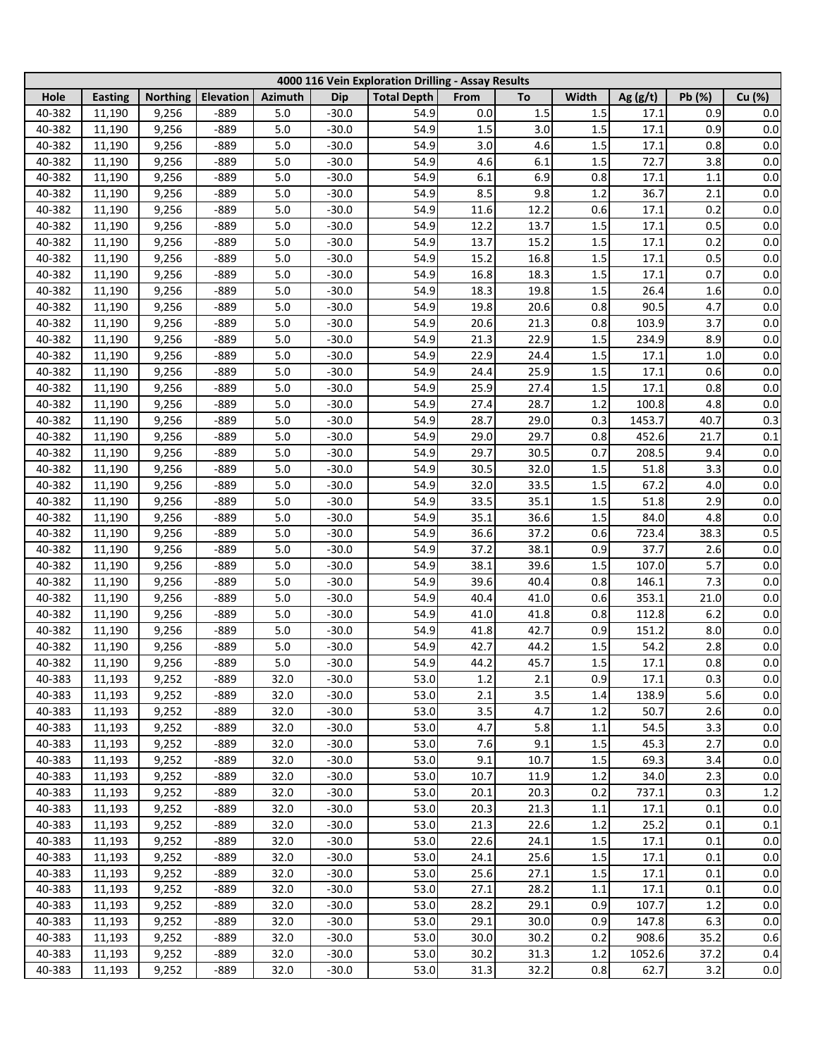|        |                |                 |           |                |            | 4000 116 Vein Exploration Drilling - Assay Results |         |      |         |            |        |         |
|--------|----------------|-----------------|-----------|----------------|------------|----------------------------------------------------|---------|------|---------|------------|--------|---------|
| Hole   | <b>Easting</b> | <b>Northing</b> | Elevation | <b>Azimuth</b> | <b>Dip</b> | <b>Total Depth</b>                                 | From    | To   | Width   | Ag $(g/t)$ | Pb (%) | Cu (%)  |
| 40-382 | 11,190         | 9,256           | $-889$    | 5.0            | $-30.0$    | 54.9                                               | $0.0\,$ | 1.5  | 1.5     | 17.1       | 0.9    | 0.0     |
| 40-382 | 11,190         | 9,256           | $-889$    | 5.0            | $-30.0$    | 54.9                                               | 1.5     | 3.0  | 1.5     | 17.1       | 0.9    | 0.0     |
| 40-382 | 11,190         | 9,256           | -889      | 5.0            | $-30.0$    | 54.9                                               | 3.0     | 4.6  | 1.5     | 17.1       | 0.8    | 0.0     |
| 40-382 | 11,190         | 9,256           | -889      | 5.0            | $-30.0$    | 54.9                                               | 4.6     | 6.1  | 1.5     | 72.7       | 3.8    | 0.0     |
| 40-382 | 11,190         | 9,256           | -889      | 5.0            | $-30.0$    | 54.9                                               | 6.1     | 6.9  | 0.8     | 17.1       | 1.1    | $0.0\,$ |
| 40-382 | 11,190         | 9,256           | -889      | 5.0            | $-30.0$    | 54.9                                               | 8.5     | 9.8  | 1.2     | 36.7       | 2.1    | 0.0     |
| 40-382 | 11,190         | 9,256           | -889      | 5.0            | $-30.0$    | 54.9                                               | 11.6    | 12.2 | 0.6     | 17.1       | 0.2    | 0.0     |
| 40-382 | 11,190         | 9,256           | -889      | 5.0            | $-30.0$    | 54.9                                               | 12.2    | 13.7 | 1.5     | 17.1       | 0.5    | 0.0     |
| 40-382 | 11,190         | 9,256           | -889      | 5.0            | $-30.0$    | 54.9                                               | 13.7    | 15.2 | 1.5     | 17.1       | 0.2    | 0.0     |
| 40-382 | 11,190         | 9,256           | -889      | 5.0            | $-30.0$    | 54.9                                               | 15.2    | 16.8 | 1.5     | 17.1       | 0.5    | $0.0\,$ |
| 40-382 | 11,190         | 9,256           | $-889$    | 5.0            | $-30.0$    | 54.9                                               | 16.8    | 18.3 | 1.5     | 17.1       | 0.7    | 0.0     |
| 40-382 | 11,190         | 9,256           | $-889$    | 5.0            | $-30.0$    | 54.9                                               | 18.3    | 19.8 | 1.5     | 26.4       | 1.6    | 0.0     |
| 40-382 | 11,190         | 9,256           | $-889$    | 5.0            | $-30.0$    | 54.9                                               | 19.8    | 20.6 | 0.8     | 90.5       | 4.7    | 0.0     |
| 40-382 | 11,190         | 9,256           | $-889$    | 5.0            | $-30.0$    | 54.9                                               | 20.6    | 21.3 | 0.8     | 103.9      | 3.7    | 0.0     |
| 40-382 | 11,190         | 9,256           | $-889$    | 5.0            | $-30.0$    | 54.9                                               | 21.3    | 22.9 | 1.5     | 234.9      | 8.9    | 0.0     |
| 40-382 | 11,190         | 9,256           | $-889$    | 5.0            | $-30.0$    | 54.9                                               | 22.9    | 24.4 | 1.5     | 17.1       | 1.0    | 0.0     |
| 40-382 | 11,190         | 9,256           | $-889$    | 5.0            | $-30.0$    | 54.9                                               | 24.4    | 25.9 | 1.5     | 17.1       | 0.6    | 0.0     |
| 40-382 | 11,190         | 9,256           | $-889$    | 5.0            | $-30.0$    | 54.9                                               | 25.9    | 27.4 | 1.5     | 17.1       | 0.8    | 0.0     |
| 40-382 | 11,190         | 9,256           | $-889$    | 5.0            | $-30.0$    | 54.9                                               | 27.4    | 28.7 | 1.2     | 100.8      | 4.8    | 0.0     |
| 40-382 |                | 9,256           | $-889$    | 5.0            | $-30.0$    | 54.9                                               | 28.7    | 29.0 | 0.3     | 1453.7     | 40.7   | 0.3     |
| 40-382 | 11,190         |                 |           | 5.0            | $-30.0$    | 54.9                                               |         | 29.7 | 0.8     | 452.6      | 21.7   | 0.1     |
|        | 11,190         | 9,256           | $-889$    |                |            |                                                    | 29.0    |      |         |            |        |         |
| 40-382 | 11,190         | 9,256           | $-889$    | 5.0            | $-30.0$    | 54.9                                               | 29.7    | 30.5 | 0.7     | 208.5      | 9.4    | 0.0     |
| 40-382 | 11,190         | 9,256           | $-889$    | 5.0            | $-30.0$    | 54.9                                               | 30.5    | 32.0 | 1.5     | 51.8       | 3.3    | 0.0     |
| 40-382 | 11,190         | 9,256           | $-889$    | 5.0            | $-30.0$    | 54.9                                               | 32.0    | 33.5 | 1.5     | 67.2       | 4.0    | 0.0     |
| 40-382 | 11,190         | 9,256           | $-889$    | 5.0            | $-30.0$    | 54.9                                               | 33.5    | 35.1 | 1.5     | 51.8       | 2.9    | 0.0     |
| 40-382 | 11,190         | 9,256           | $-889$    | 5.0            | $-30.0$    | 54.9                                               | 35.1    | 36.6 | 1.5     | 84.0       | 4.8    | 0.0     |
| 40-382 | 11,190         | 9,256           | $-889$    | 5.0            | $-30.0$    | 54.9                                               | 36.6    | 37.2 | 0.6     | 723.4      | 38.3   | 0.5     |
| 40-382 | 11,190         | 9,256           | -889      | 5.0            | $-30.0$    | 54.9                                               | 37.2    | 38.1 | 0.9     | 37.7       | 2.6    | 0.0     |
| 40-382 | 11,190         | 9,256           | -889      | 5.0            | $-30.0$    | 54.9                                               | 38.1    | 39.6 | 1.5     | 107.0      | 5.7    | 0.0     |
| 40-382 | 11,190         | 9,256           | -889      | 5.0            | $-30.0$    | 54.9                                               | 39.6    | 40.4 | 0.8     | 146.1      | 7.3    | $0.0\,$ |
| 40-382 | 11,190         | 9,256           | -889      | 5.0            | $-30.0$    | 54.9                                               | 40.4    | 41.0 | 0.6     | 353.1      | 21.0   | $0.0\,$ |
| 40-382 | 11,190         | 9,256           | $-889$    | 5.0            | $-30.0$    | 54.9                                               | 41.0    | 41.8 | 0.8     | 112.8      | 6.2    | $0.0\,$ |
| 40-382 | 11,190         | 9,256           | $-889$    | 5.0            | $-30.0$    | 54.9                                               | 41.8    | 42.7 | 0.9     | 151.2      | 8.0    | 0.0     |
| 40-382 | 11,190         | 9,256           | $-889$    | $5.0\,$        | $-30.0$    | 54.9                                               | 42.7    | 44.2 | 1.5     | 54.2       | 2.8    | $0.0\,$ |
| 40-382 | 11,190         | 9,256           | -889      | 5.0            | $-30.0$    | 54.9                                               | 44.2    | 45.7 | 1.5     | 17.1       | 0.8    | $0.0\,$ |
| 40-383 | 11,193         | 9,252           | $-889$    | 32.0           | $-30.0$    | 53.0                                               | $1.2\,$ | 2.1  | 0.9     | 17.1       | 0.3    | 0.0     |
| 40-383 | 11,193         | 9,252           | $-889$    | 32.0           | $-30.0$    | 53.0                                               | 2.1     | 3.5  | 1.4     | 138.9      | 5.6    | 0.0     |
| 40-383 | 11,193         | 9,252           | $-889$    | 32.0           | $-30.0$    | 53.0                                               | 3.5     | 4.7  | 1.2     | 50.7       | 2.6    | 0.0     |
| 40-383 | 11,193         | 9,252           | $-889$    | 32.0           | $-30.0$    | 53.0                                               | 4.7     | 5.8  | 1.1     | 54.5       | 3.3    | 0.0     |
| 40-383 | 11,193         | 9,252           | $-889$    | 32.0           | $-30.0$    | 53.0                                               | 7.6     | 9.1  | 1.5     | 45.3       | 2.7    | 0.0     |
| 40-383 | 11,193         | 9,252           | $-889$    | 32.0           | $-30.0$    | 53.0                                               | 9.1     | 10.7 | 1.5     | 69.3       | 3.4    | 0.0     |
| 40-383 | 11,193         | 9,252           | $-889$    | 32.0           | $-30.0$    | 53.0                                               | 10.7    | 11.9 | 1.2     | 34.0       | 2.3    | 0.0     |
| 40-383 | 11,193         | 9,252           | $-889$    | 32.0           | $-30.0$    | 53.0                                               | 20.1    | 20.3 | 0.2     | 737.1      | 0.3    | 1.2     |
| 40-383 | 11,193         | 9,252           | $-889$    | 32.0           | $-30.0$    | 53.0                                               | 20.3    | 21.3 | 1.1     | 17.1       | 0.1    | 0.0     |
| 40-383 | 11,193         | 9,252           | $-889$    | 32.0           | $-30.0$    | 53.0                                               | 21.3    | 22.6 | $1.2\,$ | 25.2       | 0.1    | 0.1     |
| 40-383 | 11,193         | 9,252           | $-889$    | 32.0           | $-30.0$    | 53.0                                               | 22.6    | 24.1 | 1.5     | 17.1       | 0.1    | $0.0\,$ |
| 40-383 | 11,193         | 9,252           | $-889$    | 32.0           | $-30.0$    | 53.0                                               | 24.1    | 25.6 | 1.5     | 17.1       | 0.1    | $0.0\,$ |
| 40-383 | 11,193         | 9,252           | $-889$    | 32.0           | $-30.0$    | 53.0                                               | 25.6    | 27.1 | 1.5     | 17.1       | 0.1    | 0.0     |
| 40-383 | 11,193         | 9,252           | $-889$    | 32.0           | $-30.0$    | 53.0                                               | 27.1    | 28.2 | 1.1     | 17.1       | 0.1    | $0.0\,$ |
| 40-383 | 11,193         | 9,252           | $-889$    | 32.0           | $-30.0$    | 53.0                                               | 28.2    | 29.1 | 0.9     | 107.7      | 1.2    | $0.0\,$ |
| 40-383 | 11,193         | 9,252           | $-889$    | 32.0           | $-30.0$    | 53.0                                               | 29.1    | 30.0 | 0.9     | 147.8      | 6.3    | 0.0     |
| 40-383 | 11,193         | 9,252           | $-889$    | 32.0           | $-30.0$    | 53.0                                               | 30.0    | 30.2 | 0.2     | 908.6      | 35.2   | 0.6     |
| 40-383 | 11,193         | 9,252           | -889      | 32.0           | $-30.0$    | 53.0                                               | 30.2    | 31.3 | 1.2     | 1052.6     | 37.2   | 0.4     |
| 40-383 | 11,193         | 9,252           | -889      | 32.0           | $-30.0$    | 53.0                                               | 31.3    | 32.2 | 0.8     | 62.7       | 3.2    | 0.0     |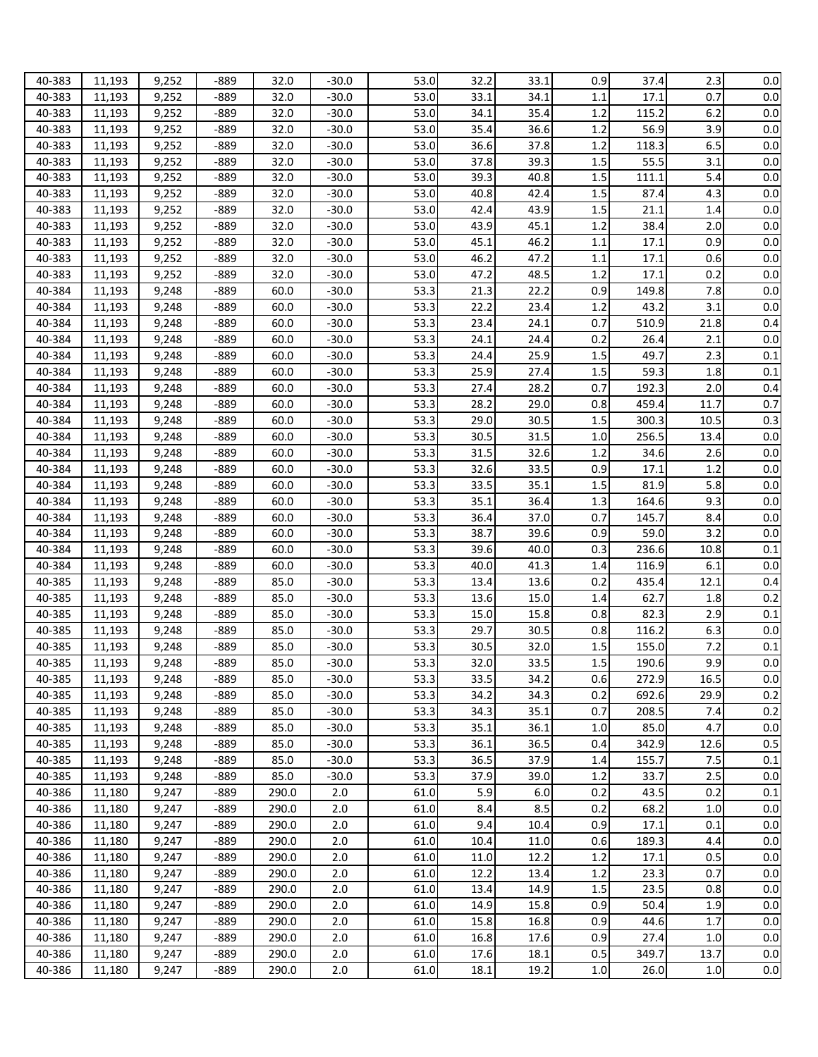| 40-383 | 11,193 | 9,252 | $-889$ | 32.0  | -30.0   | 53.0              | 32.2 | 33.1 | 0.9     | 37.4  | 2.3     | 0.0     |
|--------|--------|-------|--------|-------|---------|-------------------|------|------|---------|-------|---------|---------|
| 40-383 | 11,193 | 9,252 | $-889$ | 32.0  | $-30.0$ | 53.0              | 33.1 | 34.1 | 1.1     | 17.1  | 0.7     | 0.0     |
| 40-383 | 11,193 | 9,252 | $-889$ | 32.0  | $-30.0$ | 53.0              | 34.1 | 35.4 | 1.2     | 115.2 | 6.2     | 0.0     |
| 40-383 | 11,193 | 9,252 | $-889$ | 32.0  | $-30.0$ | 53.0              | 35.4 | 36.6 | 1.2     | 56.9  | 3.9     | 0.0     |
| 40-383 | 11,193 | 9,252 | $-889$ | 32.0  | $-30.0$ | 53.0              | 36.6 | 37.8 | 1.2     | 118.3 | 6.5     | 0.0     |
| 40-383 | 11,193 | 9,252 | $-889$ | 32.0  | $-30.0$ | 53.0              | 37.8 | 39.3 | 1.5     | 55.5  | 3.1     | 0.0     |
| 40-383 | 11,193 | 9,252 | $-889$ | 32.0  | $-30.0$ | 53.0              | 39.3 | 40.8 | 1.5     | 111.1 | 5.4     | 0.0     |
| 40-383 | 11,193 | 9,252 | $-889$ | 32.0  | $-30.0$ | 53.0              | 40.8 | 42.4 | 1.5     | 87.4  | 4.3     | 0.0     |
| 40-383 | 11,193 | 9,252 | $-889$ | 32.0  | $-30.0$ | 53.0              | 42.4 | 43.9 | 1.5     | 21.1  | 1.4     | 0.0     |
| 40-383 | 11,193 | 9,252 | $-889$ | 32.0  | $-30.0$ | 53.0              | 43.9 | 45.1 | 1.2     | 38.4  | 2.0     | 0.0     |
| 40-383 | 11,193 | 9,252 | $-889$ | 32.0  | $-30.0$ | 53.0              | 45.1 | 46.2 | 1.1     | 17.1  | 0.9     | 0.0     |
| 40-383 | 11,193 | 9,252 | $-889$ | 32.0  | $-30.0$ | 53.0              | 46.2 | 47.2 | 1.1     | 17.1  | 0.6     | 0.0     |
| 40-383 | 11,193 | 9,252 | $-889$ | 32.0  | $-30.0$ | 53.0              | 47.2 | 48.5 | 1.2     | 17.1  | 0.2     | 0.0     |
| 40-384 | 11,193 | 9,248 | $-889$ | 60.0  | $-30.0$ | 53.3              | 21.3 | 22.2 | 0.9     | 149.8 | 7.8     | 0.0     |
| 40-384 | 11,193 | 9,248 | $-889$ | 60.0  | $-30.0$ | 53.3              | 22.2 | 23.4 | 1.2     | 43.2  | 3.1     | 0.0     |
| 40-384 |        | 9,248 | $-889$ | 60.0  | $-30.0$ | 53.3              | 23.4 | 24.1 | 0.7     | 510.9 | 21.8    | 0.4     |
| 40-384 | 11,193 | 9,248 | $-889$ | 60.0  | $-30.0$ | 53.3              | 24.1 | 24.4 | 0.2     | 26.4  | 2.1     | 0.0     |
|        | 11,193 |       |        |       |         |                   |      |      |         |       |         |         |
| 40-384 | 11,193 | 9,248 | $-889$ | 60.0  | $-30.0$ | 53.3              | 24.4 | 25.9 | 1.5     | 49.7  | 2.3     | 0.1     |
| 40-384 | 11,193 | 9,248 | -889   | 60.0  | $-30.0$ | 53.3              | 25.9 | 27.4 | 1.5     | 59.3  | 1.8     | 0.1     |
| 40-384 | 11,193 | 9,248 | $-889$ | 60.0  | $-30.0$ | 53.3              | 27.4 | 28.2 | 0.7     | 192.3 | 2.0     | 0.4     |
| 40-384 | 11,193 | 9,248 | $-889$ | 60.0  | $-30.0$ | 53.3              | 28.2 | 29.0 | 0.8     | 459.4 | 11.7    | 0.7     |
| 40-384 | 11,193 | 9,248 | $-889$ | 60.0  | $-30.0$ | 53.3              | 29.0 | 30.5 | 1.5     | 300.3 | 10.5    | 0.3     |
| 40-384 | 11,193 | 9,248 | -889   | 60.0  | $-30.0$ | 53.3              | 30.5 | 31.5 | 1.0     | 256.5 | 13.4    | 0.0     |
| 40-384 | 11,193 | 9,248 | $-889$ | 60.0  | $-30.0$ | 53.3              | 31.5 | 32.6 | 1.2     | 34.6  | 2.6     | 0.0     |
| 40-384 | 11,193 | 9,248 | $-889$ | 60.0  | $-30.0$ | 53.3              | 32.6 | 33.5 | 0.9     | 17.1  | 1.2     | 0.0     |
| 40-384 | 11,193 | 9,248 | $-889$ | 60.0  | $-30.0$ | 53.3              | 33.5 | 35.1 | 1.5     | 81.9  | 5.8     | 0.0     |
| 40-384 | 11,193 | 9,248 | $-889$ | 60.0  | $-30.0$ | 53.3              | 35.1 | 36.4 | 1.3     | 164.6 | 9.3     | 0.0     |
| 40-384 | 11,193 | 9,248 | $-889$ | 60.0  | $-30.0$ | 53.3              | 36.4 | 37.0 | 0.7     | 145.7 | 8.4     | 0.0     |
| 40-384 | 11,193 | 9,248 | $-889$ | 60.0  | $-30.0$ | 53.3              | 38.7 | 39.6 | 0.9     | 59.0  | 3.2     | 0.0     |
| 40-384 | 11,193 | 9,248 | $-889$ | 60.0  | $-30.0$ | 53.3              | 39.6 | 40.0 | 0.3     | 236.6 | 10.8    | 0.1     |
| 40-384 | 11,193 | 9,248 | $-889$ | 60.0  | $-30.0$ | 53.3              | 40.0 | 41.3 | 1.4     | 116.9 | 6.1     | 0.0     |
| 40-385 | 11,193 | 9,248 | $-889$ | 85.0  | $-30.0$ | $\overline{53.3}$ | 13.4 | 13.6 | 0.2     | 435.4 | 12.1    | 0.4     |
| 40-385 | 11,193 | 9,248 | $-889$ | 85.0  | $-30.0$ | 53.3              | 13.6 | 15.0 | 1.4     | 62.7  | 1.8     | 0.2     |
| 40-385 | 11,193 | 9,248 | $-889$ | 85.0  | $-30.0$ | 53.3              | 15.0 | 15.8 | 0.8     | 82.3  | 2.9     | 0.1     |
| 40-385 | 11,193 | 9,248 | $-889$ | 85.0  | $-30.0$ | 53.3              | 29.7 | 30.5 | 0.8     | 116.2 | 6.3     | 0.0     |
| 40-385 | 11,193 | 9,248 | -889   | 85.0  | $-30.0$ | 53.3              | 30.5 | 32.0 | 1.5     | 155.0 | 7.2     | 0.1     |
| 40-385 | 11,193 | 9,248 | -889   | 85.0  | $-30.0$ | 53.3              | 32.0 | 33.5 | 1.5     | 190.6 | 9.9     | 0.0     |
| 40-385 | 11,193 | 9,248 | -889   | 85.0  | $-30.0$ | 53.3              | 33.5 | 34.2 | 0.6     | 272.9 | 16.5    | 0.0     |
| 40-385 | 11,193 | 9,248 | -889   | 85.0  | $-30.0$ | 53.3              | 34.2 | 34.3 | 0.2     | 692.6 | 29.9    | 0.2     |
| 40-385 | 11,193 | 9,248 | -889   | 85.0  | $-30.0$ | 53.3              | 34.3 | 35.1 | 0.7     | 208.5 | 7.4     | 0.2     |
| 40-385 | 11,193 | 9,248 | $-889$ | 85.0  | $-30.0$ | 53.3              | 35.1 | 36.1 | 1.0     | 85.0  | 4.7     | 0.0     |
| 40-385 | 11,193 | 9,248 | -889   | 85.0  | $-30.0$ | 53.3              | 36.1 | 36.5 | 0.4     | 342.9 | 12.6    | 0.5     |
| 40-385 | 11,193 | 9,248 | -889   | 85.0  | $-30.0$ | 53.3              | 36.5 | 37.9 | 1.4     | 155.7 | 7.5     | 0.1     |
| 40-385 | 11,193 | 9,248 | -889   | 85.0  | $-30.0$ | 53.3              | 37.9 | 39.0 | 1.2     | 33.7  | 2.5     | 0.0     |
| 40-386 | 11,180 | 9,247 | -889   | 290.0 | 2.0     | 61.0              | 5.9  | 6.0  | 0.2     | 43.5  | 0.2     | 0.1     |
| 40-386 | 11,180 | 9,247 | $-889$ | 290.0 | 2.0     | 61.0              | 8.4  | 8.5  | 0.2     | 68.2  | 1.0     | 0.0     |
| 40-386 | 11,180 | 9,247 | $-889$ | 290.0 | 2.0     | 61.0              | 9.4  | 10.4 | 0.9     | 17.1  | 0.1     | 0.0     |
| 40-386 | 11,180 | 9,247 | $-889$ | 290.0 | 2.0     | 61.0              | 10.4 | 11.0 | 0.6     | 189.3 | 4.4     | 0.0     |
| 40-386 | 11,180 | 9,247 | $-889$ | 290.0 | 2.0     | 61.0              | 11.0 | 12.2 | 1.2     | 17.1  | 0.5     | 0.0     |
| 40-386 | 11,180 | 9,247 | $-889$ | 290.0 | 2.0     | 61.0              | 12.2 | 13.4 | 1.2     | 23.3  | 0.7     | 0.0     |
| 40-386 | 11,180 | 9,247 | $-889$ | 290.0 | 2.0     | 61.0              | 13.4 | 14.9 | $1.5\,$ | 23.5  | 0.8     | 0.0     |
|        |        |       |        |       |         |                   |      | 15.8 | 0.9     |       |         |         |
| 40-386 | 11,180 | 9,247 | $-889$ | 290.0 | 2.0     | 61.0              | 14.9 | 16.8 |         | 50.4  | 1.9     | 0.0     |
| 40-386 | 11,180 | 9,247 | $-889$ | 290.0 | 2.0     | 61.0              | 15.8 |      | 0.9     | 44.6  | 1.7     | 0.0     |
| 40-386 | 11,180 | 9,247 | $-889$ | 290.0 | 2.0     | 61.0              | 16.8 | 17.6 | 0.9     | 27.4  | 1.0     | 0.0     |
| 40-386 | 11,180 | 9,247 | $-889$ | 290.0 | 2.0     | 61.0              | 17.6 | 18.1 | 0.5     | 349.7 | 13.7    | 0.0     |
| 40-386 | 11,180 | 9,247 | $-889$ | 290.0 | 2.0     | 61.0              | 18.1 | 19.2 | $1.0\,$ | 26.0  | $1.0\,$ | $0.0\,$ |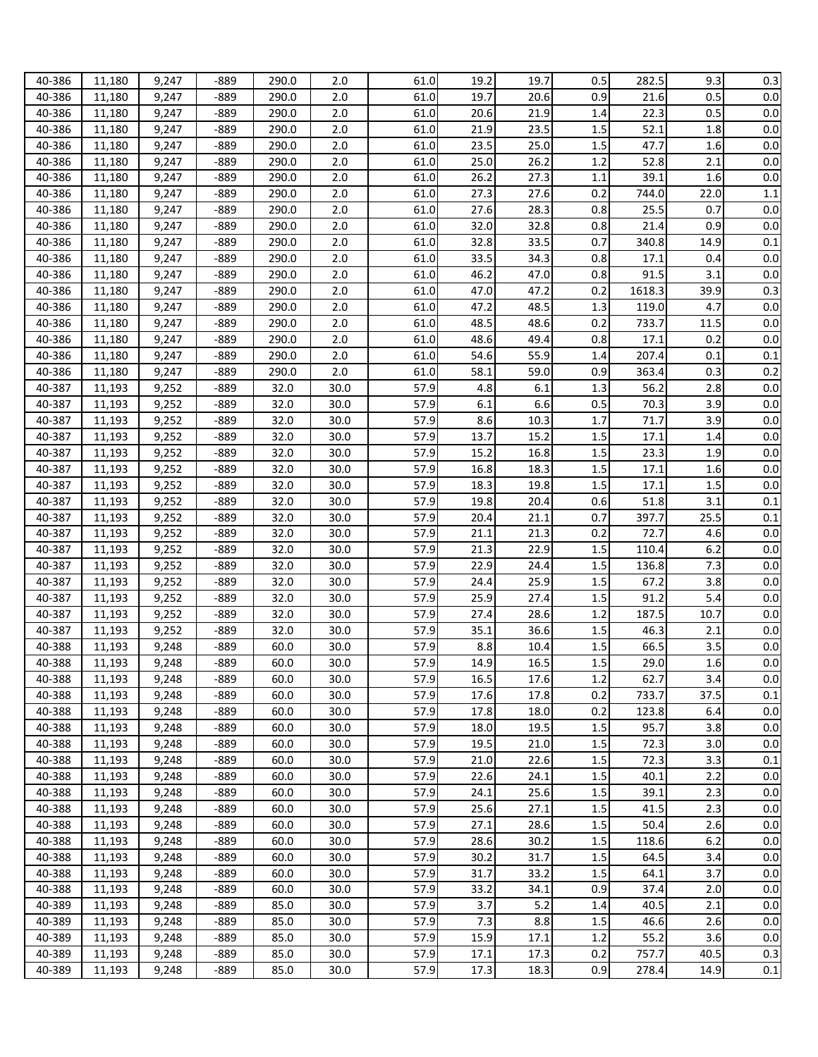| 40-386 | 11,180 | 9,247 | $-889$ | 290.0 | 2.0  | 61.0              | 19.2 | 19.7 | 0.5     | 282.5  | 9.3  | 0.3     |
|--------|--------|-------|--------|-------|------|-------------------|------|------|---------|--------|------|---------|
| 40-386 | 11,180 | 9,247 | $-889$ | 290.0 | 2.0  | 61.0              | 19.7 | 20.6 | 0.9     | 21.6   | 0.5  | 0.0     |
| 40-386 | 11,180 | 9,247 | $-889$ | 290.0 | 2.0  | 61.0              | 20.6 | 21.9 | 1.4     | 22.3   | 0.5  | 0.0     |
| 40-386 | 11,180 | 9,247 | $-889$ | 290.0 | 2.0  | 61.0              | 21.9 | 23.5 | 1.5     | 52.1   | 1.8  | 0.0     |
| 40-386 | 11,180 | 9,247 | $-889$ | 290.0 | 2.0  | 61.0              | 23.5 | 25.0 | 1.5     | 47.7   | 1.6  | 0.0     |
| 40-386 | 11,180 | 9,247 | $-889$ | 290.0 | 2.0  | 61.0              | 25.0 | 26.2 | 1.2     | 52.8   | 2.1  | 0.0     |
| 40-386 | 11,180 | 9,247 | $-889$ | 290.0 | 2.0  | 61.0              | 26.2 | 27.3 | 1.1     | 39.1   | 1.6  | 0.0     |
| 40-386 | 11,180 | 9,247 | $-889$ | 290.0 | 2.0  | 61.0              | 27.3 | 27.6 | 0.2     | 744.0  | 22.0 | 1.1     |
| 40-386 | 11,180 | 9,247 | $-889$ | 290.0 | 2.0  | 61.0              | 27.6 | 28.3 | 0.8     | 25.5   | 0.7  | 0.0     |
| 40-386 | 11,180 | 9,247 | $-889$ | 290.0 | 2.0  | 61.0              | 32.0 | 32.8 | 0.8     | 21.4   | 0.9  | 0.0     |
| 40-386 | 11,180 | 9,247 | $-889$ | 290.0 | 2.0  | 61.0              | 32.8 | 33.5 | 0.7     | 340.8  | 14.9 | 0.1     |
| 40-386 | 11,180 | 9,247 | $-889$ | 290.0 | 2.0  | 61.0              | 33.5 | 34.3 | 0.8     | 17.1   | 0.4  | 0.0     |
| 40-386 | 11,180 | 9,247 | $-889$ | 290.0 | 2.0  | 61.0              | 46.2 | 47.0 | 0.8     | 91.5   | 3.1  | 0.0     |
| 40-386 | 11,180 | 9,247 | $-889$ | 290.0 | 2.0  | 61.0              | 47.0 | 47.2 | 0.2     | 1618.3 | 39.9 | 0.3     |
| 40-386 | 11,180 | 9,247 | $-889$ | 290.0 | 2.0  | 61.0              | 47.2 | 48.5 | 1.3     | 119.0  | 4.7  | 0.0     |
| 40-386 |        | 9,247 | $-889$ | 290.0 | 2.0  | 61.0              | 48.5 | 48.6 | 0.2     | 733.7  | 11.5 | 0.0     |
| 40-386 | 11,180 | 9,247 | $-889$ | 290.0 | 2.0  | 61.0              | 48.6 | 49.4 | 0.8     | 17.1   | 0.2  | 0.0     |
|        | 11,180 |       |        |       |      |                   |      |      |         |        |      |         |
| 40-386 | 11,180 | 9,247 | $-889$ | 290.0 | 2.0  | 61.0              | 54.6 | 55.9 | 1.4     | 207.4  | 0.1  | 0.1     |
| 40-386 | 11,180 | 9,247 | $-889$ | 290.0 | 2.0  | 61.0              | 58.1 | 59.0 | 0.9     | 363.4  | 0.3  | 0.2     |
| 40-387 | 11,193 | 9,252 | $-889$ | 32.0  | 30.0 | 57.9              | 4.8  | 6.1  | 1.3     | 56.2   | 2.8  | 0.0     |
| 40-387 | 11,193 | 9,252 | $-889$ | 32.0  | 30.0 | 57.9              | 6.1  | 6.6  | 0.5     | 70.3   | 3.9  | 0.0     |
| 40-387 | 11,193 | 9,252 | $-889$ | 32.0  | 30.0 | 57.9              | 8.6  | 10.3 | 1.7     | 71.7   | 3.9  | 0.0     |
| 40-387 | 11,193 | 9,252 | $-889$ | 32.0  | 30.0 | 57.9              | 13.7 | 15.2 | 1.5     | 17.1   | 1.4  | 0.0     |
| 40-387 | 11,193 | 9,252 | $-889$ | 32.0  | 30.0 | 57.9              | 15.2 | 16.8 | 1.5     | 23.3   | 1.9  | 0.0     |
| 40-387 | 11,193 | 9,252 | $-889$ | 32.0  | 30.0 | 57.9              | 16.8 | 18.3 | 1.5     | 17.1   | 1.6  | 0.0     |
| 40-387 | 11,193 | 9,252 | $-889$ | 32.0  | 30.0 | 57.9              | 18.3 | 19.8 | 1.5     | 17.1   | 1.5  | 0.0     |
| 40-387 | 11,193 | 9,252 | $-889$ | 32.0  | 30.0 | 57.9              | 19.8 | 20.4 | 0.6     | 51.8   | 3.1  | 0.1     |
| 40-387 | 11,193 | 9,252 | $-889$ | 32.0  | 30.0 | 57.9              | 20.4 | 21.1 | 0.7     | 397.7  | 25.5 | 0.1     |
| 40-387 | 11,193 | 9,252 | $-889$ | 32.0  | 30.0 | 57.9              | 21.1 | 21.3 | 0.2     | 72.7   | 4.6  | 0.0     |
| 40-387 | 11,193 | 9,252 | $-889$ | 32.0  | 30.0 | $\overline{57.9}$ | 21.3 | 22.9 | 1.5     | 110.4  | 6.2  | 0.0     |
| 40-387 | 11,193 | 9,252 | $-889$ | 32.0  | 30.0 | 57.9              | 22.9 | 24.4 | 1.5     | 136.8  | 7.3  | 0.0     |
| 40-387 | 11,193 | 9,252 | $-889$ | 32.0  | 30.0 | $\overline{57.9}$ | 24.4 | 25.9 | 1.5     | 67.2   | 3.8  | 0.0     |
| 40-387 | 11,193 | 9,252 | $-889$ | 32.0  | 30.0 | 57.9              | 25.9 | 27.4 | 1.5     | 91.2   | 5.4  | 0.0     |
| 40-387 | 11,193 | 9,252 | $-889$ | 32.0  | 30.0 | 57.9              | 27.4 | 28.6 | 1.2     | 187.5  | 10.7 | 0.0     |
| 40-387 | 11,193 | 9,252 | $-889$ | 32.0  | 30.0 | 57.9              | 35.1 | 36.6 | 1.5     | 46.3   | 2.1  | 0.0     |
| 40-388 | 11,193 | 9,248 | $-889$ | 60.0  | 30.0 | 57.9              | 8.8  | 10.4 | 1.5     | 66.5   | 3.5  | 0.0     |
| 40-388 | 11,193 | 9,248 | -889   | 60.0  | 30.0 | 57.9              | 14.9 | 16.5 | 1.5     | 29.0   | 1.6  | 0.0     |
| 40-388 | 11,193 | 9,248 | -889   | 60.0  | 30.0 | 57.9              | 16.5 | 17.6 | 1.2     | 62.7   | 3.4  | 0.0     |
| 40-388 | 11,193 | 9,248 | -889   | 60.0  | 30.0 | 57.9              | 17.6 | 17.8 | 0.2     | 733.7  | 37.5 | 0.1     |
| 40-388 | 11,193 | 9,248 | -889   | 60.0  | 30.0 | 57.9              | 17.8 | 18.0 | 0.2     | 123.8  | 6.4  | 0.0     |
| 40-388 | 11,193 | 9,248 | $-889$ | 60.0  | 30.0 | 57.9              | 18.0 | 19.5 | 1.5     | 95.7   | 3.8  | 0.0     |
| 40-388 | 11,193 | 9,248 | -889   | 60.0  | 30.0 | 57.9              | 19.5 | 21.0 | 1.5     | 72.3   | 3.0  | 0.0     |
| 40-388 | 11,193 | 9,248 | -889   | 60.0  | 30.0 | 57.9              | 21.0 | 22.6 | 1.5     | 72.3   | 3.3  | 0.1     |
| 40-388 | 11,193 | 9,248 | -889   | 60.0  | 30.0 | 57.9              | 22.6 | 24.1 | 1.5     | 40.1   | 2.2  | 0.0     |
| 40-388 | 11,193 | 9,248 | -889   | 60.0  | 30.0 | 57.9              | 24.1 | 25.6 | 1.5     | 39.1   | 2.3  | 0.0     |
| 40-388 | 11,193 | 9,248 | $-889$ | 60.0  | 30.0 | 57.9              | 25.6 | 27.1 | 1.5     | 41.5   | 2.3  | 0.0     |
| 40-388 | 11,193 | 9,248 | -889   | 60.0  | 30.0 | 57.9              | 27.1 | 28.6 | 1.5     | 50.4   | 2.6  | 0.0     |
| 40-388 | 11,193 | 9,248 | -889   | 60.0  | 30.0 | 57.9              | 28.6 | 30.2 | $1.5\,$ | 118.6  | 6.2  | 0.0     |
| 40-388 | 11,193 | 9,248 | $-889$ | 60.0  | 30.0 | 57.9              | 30.2 | 31.7 | 1.5     | 64.5   | 3.4  | 0.0     |
| 40-388 | 11,193 | 9,248 | $-889$ | 60.0  | 30.0 | 57.9              | 31.7 | 33.2 | 1.5     | 64.1   | 3.7  | 0.0     |
| 40-388 | 11,193 | 9,248 | $-889$ | 60.0  | 30.0 | 57.9              | 33.2 | 34.1 | 0.9     | 37.4   | 2.0  | 0.0     |
|        |        |       |        |       |      | 57.9              |      | 5.2  | 1.4     | 40.5   | 2.1  |         |
| 40-389 | 11,193 | 9,248 | $-889$ | 85.0  | 30.0 |                   | 3.7  | 8.8  | 1.5     |        | 2.6  | 0.0     |
| 40-389 | 11,193 | 9,248 | $-889$ | 85.0  | 30.0 | 57.9              | 7.3  | 17.1 | 1.2     | 46.6   | 3.6  | 0.0     |
| 40-389 | 11,193 | 9,248 | $-889$ | 85.0  | 30.0 | 57.9              | 15.9 |      |         | 55.2   |      | 0.0     |
| 40-389 | 11,193 | 9,248 | $-889$ | 85.0  | 30.0 | 57.9              | 17.1 | 17.3 | 0.2     | 757.7  | 40.5 | 0.3     |
| 40-389 | 11,193 | 9,248 | $-889$ | 85.0  | 30.0 | 57.9              | 17.3 | 18.3 | 0.9     | 278.4  | 14.9 | $0.1\,$ |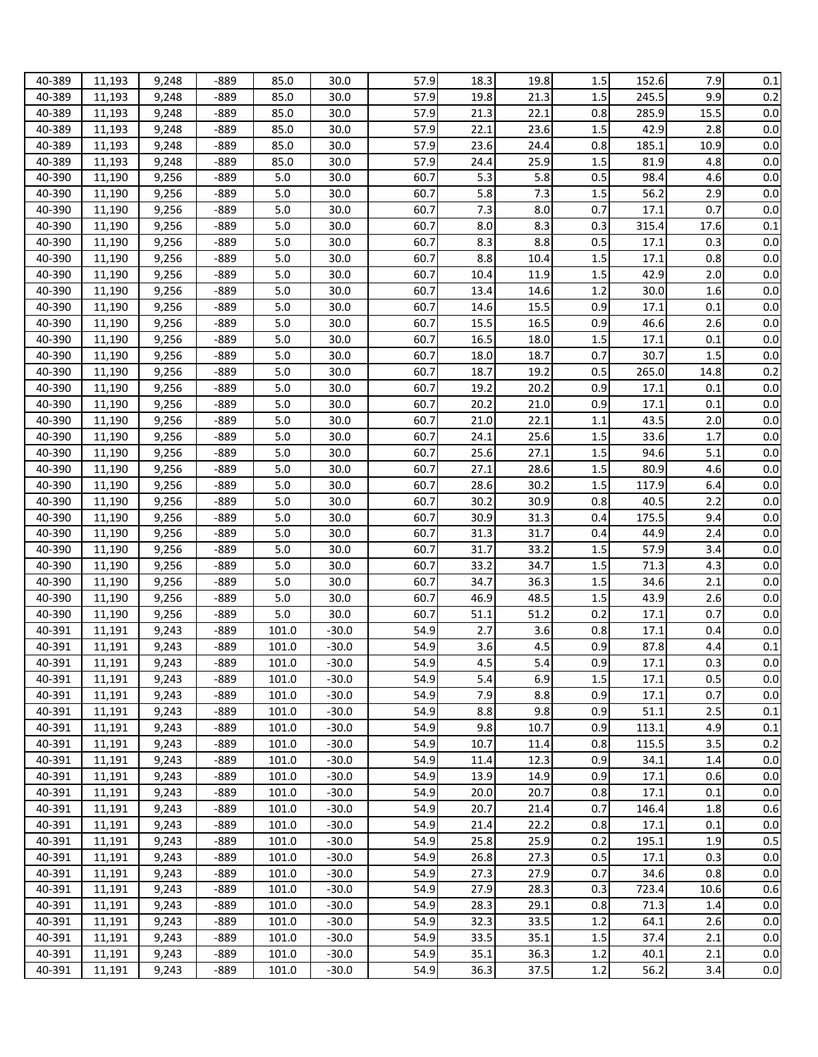| 40-389 | 11,193 | 9,248 | $-889$ | 85.0  | 30.0    | 57.9 | 18.3 | 19.8 | 1.5     | 152.6 | 7.9  | 0.1 |
|--------|--------|-------|--------|-------|---------|------|------|------|---------|-------|------|-----|
|        |        |       |        |       |         |      |      |      |         |       |      |     |
| 40-389 | 11,193 | 9,248 | $-889$ | 85.0  | 30.0    | 57.9 | 19.8 | 21.3 | 1.5     | 245.5 | 9.9  | 0.2 |
| 40-389 | 11,193 | 9,248 | $-889$ | 85.0  | 30.0    | 57.9 | 21.3 | 22.1 | 0.8     | 285.9 | 15.5 | 0.0 |
| 40-389 | 11,193 | 9,248 | $-889$ | 85.0  | 30.0    | 57.9 | 22.1 | 23.6 | 1.5     | 42.9  | 2.8  | 0.0 |
| 40-389 | 11,193 | 9,248 | $-889$ | 85.0  | 30.0    | 57.9 | 23.6 | 24.4 | 0.8     | 185.1 | 10.9 | 0.0 |
| 40-389 | 11,193 | 9,248 | $-889$ | 85.0  | 30.0    | 57.9 | 24.4 | 25.9 | 1.5     | 81.9  | 4.8  | 0.0 |
| 40-390 | 11,190 | 9,256 | $-889$ | 5.0   | 30.0    | 60.7 | 5.3  | 5.8  | 0.5     | 98.4  | 4.6  | 0.0 |
| 40-390 | 11,190 | 9,256 | $-889$ | 5.0   | 30.0    | 60.7 | 5.8  | 7.3  | 1.5     | 56.2  | 2.9  | 0.0 |
| 40-390 | 11,190 | 9,256 | $-889$ | 5.0   | 30.0    | 60.7 | 7.3  | 8.0  | 0.7     | 17.1  | 0.7  | 0.0 |
| 40-390 | 11,190 | 9,256 | $-889$ | 5.0   | 30.0    | 60.7 | 8.0  | 8.3  | 0.3     | 315.4 | 17.6 | 0.1 |
| 40-390 |        |       |        | 5.0   |         | 60.7 | 8.3  | 8.8  |         | 17.1  | 0.3  | 0.0 |
|        | 11,190 | 9,256 | $-889$ |       | 30.0    |      |      |      | 0.5     |       |      |     |
| 40-390 | 11,190 | 9,256 | $-889$ | 5.0   | 30.0    | 60.7 | 8.8  | 10.4 | 1.5     | 17.1  | 0.8  | 0.0 |
| 40-390 | 11,190 | 9,256 | $-889$ | 5.0   | 30.0    | 60.7 | 10.4 | 11.9 | 1.5     | 42.9  | 2.0  | 0.0 |
| 40-390 | 11,190 | 9,256 | $-889$ | 5.0   | 30.0    | 60.7 | 13.4 | 14.6 | 1.2     | 30.0  | 1.6  | 0.0 |
| 40-390 | 11,190 | 9,256 | $-889$ | 5.0   | 30.0    | 60.7 | 14.6 | 15.5 | 0.9     | 17.1  | 0.1  | 0.0 |
| 40-390 | 11,190 | 9,256 | $-889$ | 5.0   | 30.0    | 60.7 | 15.5 | 16.5 | 0.9     | 46.6  | 2.6  | 0.0 |
| 40-390 | 11,190 | 9,256 | $-889$ | 5.0   | 30.0    | 60.7 | 16.5 | 18.0 | 1.5     | 17.1  | 0.1  | 0.0 |
| 40-390 | 11,190 | 9,256 | $-889$ | 5.0   | 30.0    | 60.7 | 18.0 | 18.7 | 0.7     | 30.7  | 1.5  | 0.0 |
| 40-390 | 11,190 | 9,256 | $-889$ | 5.0   | 30.0    | 60.7 | 18.7 | 19.2 | 0.5     | 265.0 | 14.8 | 0.2 |
| 40-390 | 11,190 | 9,256 | $-889$ | 5.0   | 30.0    | 60.7 | 19.2 | 20.2 | 0.9     | 17.1  | 0.1  | 0.0 |
| 40-390 | 11,190 | 9,256 | $-889$ | 5.0   | 30.0    | 60.7 | 20.2 | 21.0 | 0.9     | 17.1  | 0.1  | 0.0 |
|        |        |       |        |       | 30.0    | 60.7 |      | 22.1 |         |       |      | 0.0 |
| 40-390 | 11,190 | 9,256 | $-889$ | 5.0   |         |      | 21.0 |      | 1.1     | 43.5  | 2.0  |     |
| 40-390 | 11,190 | 9,256 | $-889$ | 5.0   | 30.0    | 60.7 | 24.1 | 25.6 | 1.5     | 33.6  | 1.7  | 0.0 |
| 40-390 | 11,190 | 9,256 | $-889$ | 5.0   | 30.0    | 60.7 | 25.6 | 27.1 | 1.5     | 94.6  | 5.1  | 0.0 |
| 40-390 | 11,190 | 9,256 | $-889$ | 5.0   | 30.0    | 60.7 | 27.1 | 28.6 | 1.5     | 80.9  | 4.6  | 0.0 |
| 40-390 | 11,190 | 9,256 | $-889$ | 5.0   | 30.0    | 60.7 | 28.6 | 30.2 | 1.5     | 117.9 | 6.4  | 0.0 |
| 40-390 | 11,190 | 9,256 | $-889$ | 5.0   | 30.0    | 60.7 | 30.2 | 30.9 | 0.8     | 40.5  | 2.2  | 0.0 |
| 40-390 | 11,190 | 9,256 | $-889$ | 5.0   | 30.0    | 60.7 | 30.9 | 31.3 | 0.4     | 175.5 | 9.4  | 0.0 |
| 40-390 | 11,190 | 9,256 | $-889$ | 5.0   | 30.0    | 60.7 | 31.3 | 31.7 | 0.4     | 44.9  | 2.4  | 0.0 |
| 40-390 | 11,190 | 9,256 | $-889$ | 5.0   | 30.0    | 60.7 | 31.7 | 33.2 | 1.5     | 57.9  | 3.4  | 0.0 |
| 40-390 | 11,190 | 9,256 | $-889$ | 5.0   | 30.0    | 60.7 | 33.2 | 34.7 | 1.5     | 71.3  | 4.3  | 0.0 |
| 40-390 | 11,190 | 9,256 | $-889$ | 5.0   | 30.0    | 60.7 | 34.7 | 36.3 | 1.5     | 34.6  | 2.1  | 0.0 |
| 40-390 | 11,190 | 9,256 | $-889$ | 5.0   | 30.0    | 60.7 | 46.9 | 48.5 | 1.5     | 43.9  | 2.6  | 0.0 |
| 40-390 |        | 9,256 | $-889$ | 5.0   | 30.0    | 60.7 | 51.1 | 51.2 | 0.2     | 17.1  | 0.7  | 0.0 |
|        | 11,190 |       |        |       |         |      |      |      |         |       |      |     |
| 40-391 | 11,191 | 9,243 | $-889$ | 101.0 | $-30.0$ | 54.9 | 2.7  | 3.6  | 0.8     | 17.1  | 0.4  | 0.0 |
| 40-391 | 11,191 | 9,243 | $-889$ | 101.0 | $-30.0$ | 54.9 | 3.6  | 4.5  | 0.9     | 87.8  | 4.4  | 0.1 |
| 40-391 | 11,191 | 9,243 | $-889$ | 101.0 | $-30.0$ | 54.9 | 4.5  | 5.4  | 0.9     | 17.1  | 0.3  | 0.0 |
| 40-391 | 11,191 | 9,243 | -889   | 101.0 | $-30.0$ | 54.9 | 5.4  | 6.9  | 1.5     | 17.1  | 0.5  | 0.0 |
| 40-391 | 11,191 | 9,243 | $-889$ | 101.0 | $-30.0$ | 54.9 | 7.9  | 8.8  | 0.9     | 17.1  | 0.7  | 0.0 |
| 40-391 | 11,191 | 9,243 | $-889$ | 101.0 | $-30.0$ | 54.9 | 8.8  | 9.8  | 0.9     | 51.1  | 2.5  | 0.1 |
| 40-391 | 11,191 | 9,243 | $-889$ | 101.0 | $-30.0$ | 54.9 | 9.8  | 10.7 | 0.9     | 113.1 | 4.9  | 0.1 |
| 40-391 | 11,191 | 9,243 | $-889$ | 101.0 | $-30.0$ | 54.9 | 10.7 | 11.4 | 0.8     | 115.5 | 3.5  | 0.2 |
| 40-391 | 11,191 | 9,243 | -889   | 101.0 | $-30.0$ | 54.9 | 11.4 | 12.3 | 0.9     | 34.1  | 1.4  | 0.0 |
| 40-391 | 11,191 | 9,243 | $-889$ | 101.0 | $-30.0$ | 54.9 | 13.9 | 14.9 | 0.9     | 17.1  | 0.6  | 0.0 |
| 40-391 | 11,191 | 9,243 | $-889$ | 101.0 | $-30.0$ | 54.9 | 20.0 | 20.7 | 0.8     | 17.1  | 0.1  | 0.0 |
| 40-391 | 11,191 | 9,243 | -889   | 101.0 | $-30.0$ | 54.9 | 20.7 | 21.4 | 0.7     | 146.4 | 1.8  | 0.6 |
| 40-391 | 11,191 | 9,243 | -889   | 101.0 | $-30.0$ | 54.9 | 21.4 | 22.2 | 0.8     | 17.1  | 0.1  | 0.0 |
| 40-391 |        |       | -889   | 101.0 | $-30.0$ | 54.9 | 25.8 | 25.9 | 0.2     | 195.1 | 1.9  | 0.5 |
|        | 11,191 | 9,243 |        |       |         |      |      |      |         |       |      |     |
| 40-391 | 11,191 | 9,243 | $-889$ | 101.0 | $-30.0$ | 54.9 | 26.8 | 27.3 | $0.5\,$ | 17.1  | 0.3  | 0.0 |
| 40-391 | 11,191 | 9,243 | $-889$ | 101.0 | $-30.0$ | 54.9 | 27.3 | 27.9 | 0.7     | 34.6  | 0.8  | 0.0 |
| 40-391 | 11,191 | 9,243 | -889   | 101.0 | $-30.0$ | 54.9 | 27.9 | 28.3 | 0.3     | 723.4 | 10.6 | 0.6 |
| 40-391 | 11,191 | 9,243 | $-889$ | 101.0 | $-30.0$ | 54.9 | 28.3 | 29.1 | 0.8     | 71.3  | 1.4  | 0.0 |
| 40-391 | 11,191 | 9,243 | $-889$ | 101.0 | $-30.0$ | 54.9 | 32.3 | 33.5 | 1.2     | 64.1  | 2.6  | 0.0 |
| 40-391 | 11,191 | 9,243 | $-889$ | 101.0 | $-30.0$ | 54.9 | 33.5 | 35.1 | $1.5\,$ | 37.4  | 2.1  | 0.0 |
| 40-391 | 11,191 | 9,243 | $-889$ | 101.0 | $-30.0$ | 54.9 | 35.1 | 36.3 | 1.2     | 40.1  | 2.1  | 0.0 |
| 40-391 | 11,191 | 9,243 | $-889$ | 101.0 | $-30.0$ | 54.9 | 36.3 | 37.5 | 1.2     | 56.2  | 3.4  | 0.0 |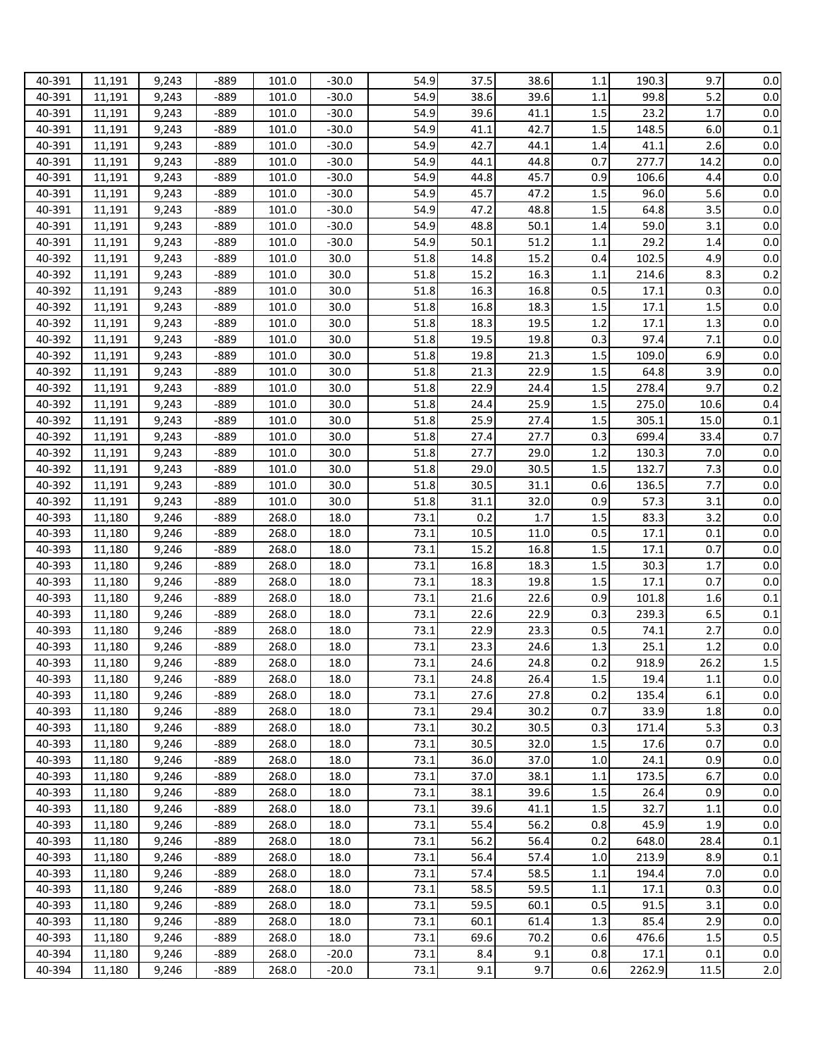| 40-391 | 11,191 | 9,243 | $-889$ | 101.0 | $-30.0$ | 54.9 | 37.5 | 38.6 | 1.1     | 190.3  | 9.7     | 0.0   |
|--------|--------|-------|--------|-------|---------|------|------|------|---------|--------|---------|-------|
| 40-391 | 11,191 | 9,243 | $-889$ | 101.0 | $-30.0$ | 54.9 | 38.6 | 39.6 | 1.1     | 99.8   | 5.2     | 0.0   |
| 40-391 | 11,191 | 9,243 | $-889$ | 101.0 | $-30.0$ | 54.9 | 39.6 | 41.1 | 1.5     | 23.2   | 1.7     | 0.0   |
| 40-391 | 11,191 | 9,243 | $-889$ | 101.0 | $-30.0$ | 54.9 | 41.1 | 42.7 | 1.5     | 148.5  | 6.0     | 0.1   |
| 40-391 | 11,191 | 9,243 | $-889$ | 101.0 | $-30.0$ | 54.9 | 42.7 | 44.1 | 1.4     | 41.1   | 2.6     | 0.0   |
| 40-391 | 11,191 | 9,243 | $-889$ | 101.0 | $-30.0$ | 54.9 | 44.1 | 44.8 | 0.7     | 277.7  | 14.2    | 0.0   |
| 40-391 | 11,191 | 9,243 | $-889$ | 101.0 | $-30.0$ | 54.9 | 44.8 | 45.7 | 0.9     | 106.6  | 4.4     | 0.0   |
| 40-391 | 11,191 | 9,243 | $-889$ | 101.0 | $-30.0$ | 54.9 | 45.7 | 47.2 | 1.5     | 96.0   | 5.6     | 0.0   |
| 40-391 | 11,191 | 9,243 | $-889$ | 101.0 | $-30.0$ | 54.9 | 47.2 | 48.8 | 1.5     | 64.8   | 3.5     | 0.0   |
| 40-391 | 11,191 | 9,243 | $-889$ | 101.0 | $-30.0$ | 54.9 | 48.8 | 50.1 | 1.4     | 59.0   | 3.1     | 0.0   |
| 40-391 | 11,191 | 9,243 | $-889$ | 101.0 | $-30.0$ | 54.9 | 50.1 | 51.2 | 1.1     | 29.2   | 1.4     | 0.0   |
| 40-392 | 11,191 | 9,243 | $-889$ | 101.0 | 30.0    | 51.8 | 14.8 | 15.2 | 0.4     | 102.5  | 4.9     | 0.0   |
| 40-392 | 11,191 | 9,243 | $-889$ | 101.0 | 30.0    | 51.8 | 15.2 | 16.3 | 1.1     | 214.6  | 8.3     | 0.2   |
| 40-392 | 11,191 | 9,243 | $-889$ | 101.0 | 30.0    | 51.8 | 16.3 | 16.8 | 0.5     | 17.1   | 0.3     | 0.0   |
| 40-392 |        | 9,243 | $-889$ | 101.0 | 30.0    | 51.8 | 16.8 | 18.3 | 1.5     | 17.1   | 1.5     | 0.0   |
|        | 11,191 |       |        |       |         | 51.8 |      |      |         |        |         | 0.0   |
| 40-392 | 11,191 | 9,243 | $-889$ | 101.0 | 30.0    |      | 18.3 | 19.5 | 1.2     | 17.1   | 1.3     |       |
| 40-392 | 11,191 | 9,243 | $-889$ | 101.0 | 30.0    | 51.8 | 19.5 | 19.8 | 0.3     | 97.4   | 7.1     | 0.0   |
| 40-392 | 11,191 | 9,243 | $-889$ | 101.0 | 30.0    | 51.8 | 19.8 | 21.3 | 1.5     | 109.0  | 6.9     | 0.0   |
| 40-392 | 11,191 | 9,243 | $-889$ | 101.0 | 30.0    | 51.8 | 21.3 | 22.9 | 1.5     | 64.8   | 3.9     | 0.0   |
| 40-392 | 11,191 | 9,243 | $-889$ | 101.0 | 30.0    | 51.8 | 22.9 | 24.4 | 1.5     | 278.4  | 9.7     | 0.2   |
| 40-392 | 11,191 | 9,243 | $-889$ | 101.0 | 30.0    | 51.8 | 24.4 | 25.9 | 1.5     | 275.0  | 10.6    | 0.4   |
| 40-392 | 11,191 | 9,243 | $-889$ | 101.0 | 30.0    | 51.8 | 25.9 | 27.4 | 1.5     | 305.1  | 15.0    | 0.1   |
| 40-392 | 11,191 | 9,243 | $-889$ | 101.0 | 30.0    | 51.8 | 27.4 | 27.7 | 0.3     | 699.4  | 33.4    | 0.7   |
| 40-392 | 11,191 | 9,243 | $-889$ | 101.0 | 30.0    | 51.8 | 27.7 | 29.0 | 1.2     | 130.3  | 7.0     | 0.0   |
| 40-392 | 11,191 | 9,243 | $-889$ | 101.0 | 30.0    | 51.8 | 29.0 | 30.5 | 1.5     | 132.7  | 7.3     | 0.0   |
| 40-392 | 11,191 | 9,243 | $-889$ | 101.0 | 30.0    | 51.8 | 30.5 | 31.1 | 0.6     | 136.5  | 7.7     | 0.0   |
| 40-392 | 11,191 | 9,243 | $-889$ | 101.0 | 30.0    | 51.8 | 31.1 | 32.0 | 0.9     | 57.3   | 3.1     | 0.0   |
| 40-393 | 11,180 | 9,246 | $-889$ | 268.0 | 18.0    | 73.1 | 0.2  | 1.7  | 1.5     | 83.3   | 3.2     | 0.0   |
| 40-393 | 11,180 | 9,246 | $-889$ | 268.0 | 18.0    | 73.1 | 10.5 | 11.0 | 0.5     | 17.1   | 0.1     | 0.0   |
| 40-393 | 11,180 | 9,246 | $-889$ | 268.0 | 18.0    | 73.1 | 15.2 | 16.8 | 1.5     | 17.1   | 0.7     | 0.0   |
| 40-393 | 11,180 | 9,246 | $-889$ | 268.0 | 18.0    | 73.1 | 16.8 | 18.3 | 1.5     | 30.3   | 1.7     | 0.0   |
| 40-393 | 11,180 | 9,246 | $-889$ | 268.0 | 18.0    | 73.1 | 18.3 | 19.8 | 1.5     | 17.1   | 0.7     | 0.0   |
| 40-393 | 11,180 | 9,246 | $-889$ | 268.0 | 18.0    | 73.1 | 21.6 | 22.6 | 0.9     | 101.8  | 1.6     | 0.1   |
| 40-393 | 11,180 | 9,246 | $-889$ | 268.0 | 18.0    | 73.1 | 22.6 | 22.9 | 0.3     | 239.3  | 6.5     | 0.1   |
| 40-393 | 11,180 | 9,246 | $-889$ | 268.0 | 18.0    | 73.1 | 22.9 | 23.3 | 0.5     | 74.1   | 2.7     | 0.0   |
| 40-393 | 11,180 | 9,246 | -889   | 268.0 | 18.0    | 73.1 | 23.3 | 24.6 | 1.3     | 25.1   | 1.2     | 0.0   |
| 40-393 | 11,180 | 9,246 | -889   | 268.0 | 18.0    | 73.1 | 24.6 | 24.8 | 0.2     | 918.9  | 26.2    | 1.5   |
| 40-393 | 11,180 | 9,246 | -889   | 268.0 | 18.0    | 73.1 | 24.8 | 26.4 | $1.5\,$ | 19.4   | $1.1\,$ | 0.0   |
| 40-393 | 11,180 | 9,246 | -889   | 268.0 | 18.0    | 73.1 | 27.6 | 27.8 | 0.2     | 135.4  | 6.1     | 0.0   |
| 40-393 | 11,180 | 9,246 | -889   | 268.0 | 18.0    | 73.1 | 29.4 | 30.2 | 0.7     | 33.9   | 1.8     | 0.0   |
| 40-393 | 11,180 | 9,246 | $-889$ | 268.0 | 18.0    | 73.1 | 30.2 | 30.5 | 0.3     | 171.4  | 5.3     | 0.3   |
| 40-393 | 11,180 | 9,246 | $-889$ | 268.0 | 18.0    | 73.1 | 30.5 | 32.0 | 1.5     | 17.6   | 0.7     | 0.0   |
| 40-393 | 11,180 | 9,246 | -889   | 268.0 | 18.0    | 73.1 | 36.0 | 37.0 | 1.0     | 24.1   | 0.9     | 0.0   |
| 40-393 | 11,180 | 9,246 | -889   | 268.0 | 18.0    | 73.1 | 37.0 | 38.1 | 1.1     | 173.5  | 6.7     | 0.0   |
| 40-393 | 11,180 | 9,246 | -889   | 268.0 | 18.0    | 73.1 | 38.1 | 39.6 | 1.5     | 26.4   | 0.9     | 0.0   |
| 40-393 | 11,180 | 9,246 | $-889$ | 268.0 | 18.0    | 73.1 | 39.6 | 41.1 | 1.5     | 32.7   | 1.1     | 0.0   |
| 40-393 | 11,180 | 9,246 | $-889$ | 268.0 | 18.0    | 73.1 | 55.4 | 56.2 | 0.8     | 45.9   | 1.9     | 0.0   |
| 40-393 | 11,180 | 9,246 | -889   | 268.0 | 18.0    | 73.1 | 56.2 | 56.4 | 0.2     | 648.0  | 28.4    | 0.1   |
| 40-393 | 11,180 | 9,246 | $-889$ | 268.0 | 18.0    | 73.1 | 56.4 | 57.4 | 1.0     | 213.9  | 8.9     | 0.1   |
|        |        |       |        |       |         |      |      |      |         | 194.4  |         |       |
| 40-393 | 11,180 | 9,246 | $-889$ | 268.0 | 18.0    | 73.1 | 57.4 | 58.5 | 1.1     |        | 7.0     | 0.0   |
| 40-393 | 11,180 | 9,246 | $-889$ | 268.0 | 18.0    | 73.1 | 58.5 | 59.5 | 1.1     | 17.1   | 0.3     | 0.0   |
| 40-393 | 11,180 | 9,246 | $-889$ | 268.0 | 18.0    | 73.1 | 59.5 | 60.1 | 0.5     | 91.5   | 3.1     | 0.0   |
| 40-393 | 11,180 | 9,246 | $-889$ | 268.0 | 18.0    | 73.1 | 60.1 | 61.4 | 1.3     | 85.4   | 2.9     | 0.0   |
| 40-393 | 11,180 | 9,246 | $-889$ | 268.0 | 18.0    | 73.1 | 69.6 | 70.2 | 0.6     | 476.6  | 1.5     | 0.5   |
| 40-394 | 11,180 | 9,246 | $-889$ | 268.0 | $-20.0$ | 73.1 | 8.4  | 9.1  | 0.8     | 17.1   | 0.1     | 0.0   |
| 40-394 | 11,180 | 9,246 | $-889$ | 268.0 | $-20.0$ | 73.1 | 9.1  | 9.7  | 0.6     | 2262.9 | 11.5    | $2.0$ |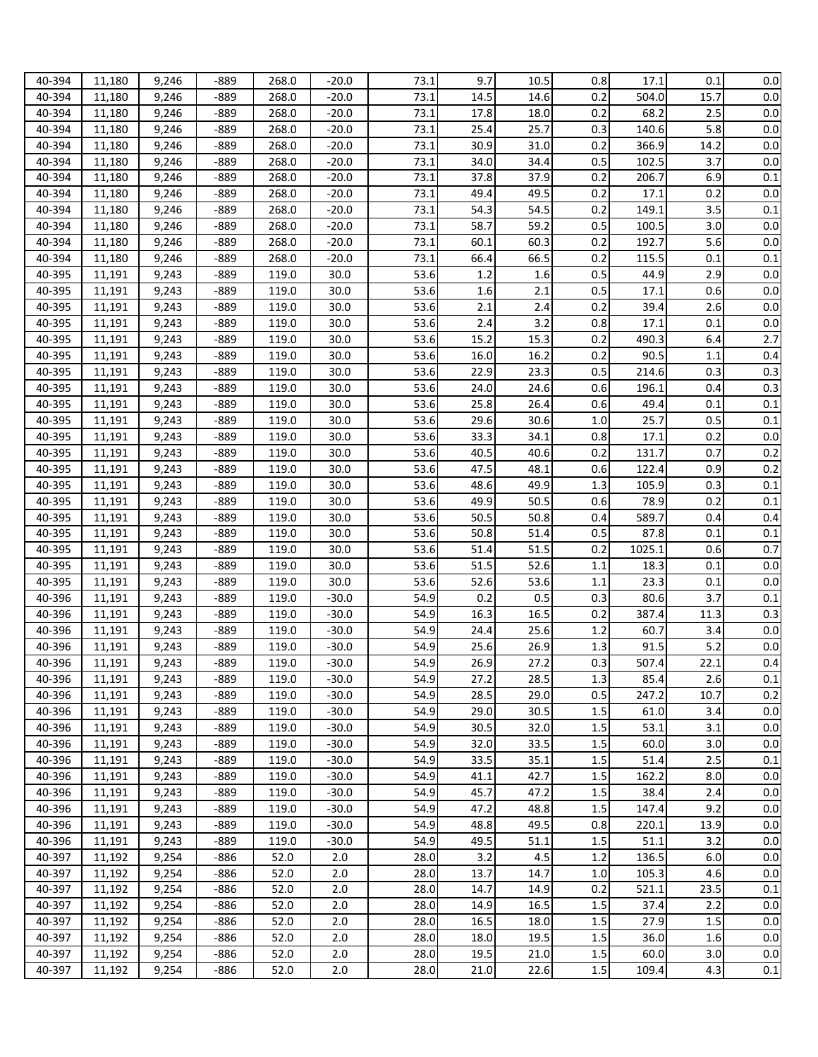| 40-394 | 11,180           | 9,246 | $-889$ | 268.0 | $-20.0$ | 73.1 | 9.7  | 10.5 | 0.8     | 17.1   | 0.1  | 0.0     |
|--------|------------------|-------|--------|-------|---------|------|------|------|---------|--------|------|---------|
| 40-394 | 11,180           | 9,246 | $-889$ | 268.0 | $-20.0$ | 73.1 | 14.5 | 14.6 | 0.2     | 504.0  | 15.7 | 0.0     |
| 40-394 | 11,180           | 9,246 | $-889$ | 268.0 | $-20.0$ | 73.1 | 17.8 | 18.0 | 0.2     | 68.2   | 2.5  | 0.0     |
| 40-394 | 11,180           | 9,246 | $-889$ | 268.0 | $-20.0$ | 73.1 | 25.4 | 25.7 | 0.3     | 140.6  | 5.8  | 0.0     |
| 40-394 | 11,180           | 9,246 | $-889$ | 268.0 | $-20.0$ | 73.1 | 30.9 | 31.0 | 0.2     | 366.9  | 14.2 | 0.0     |
| 40-394 | 11,180           | 9,246 | $-889$ | 268.0 | $-20.0$ | 73.1 | 34.0 | 34.4 | 0.5     | 102.5  | 3.7  | 0.0     |
| 40-394 | 11,180           | 9,246 | $-889$ | 268.0 | $-20.0$ | 73.1 | 37.8 | 37.9 | 0.2     | 206.7  | 6.9  | 0.1     |
| 40-394 | 11,180           | 9,246 | $-889$ | 268.0 | $-20.0$ | 73.1 | 49.4 | 49.5 | 0.2     | 17.1   | 0.2  | 0.0     |
| 40-394 | 11,180           | 9,246 | $-889$ | 268.0 | $-20.0$ | 73.1 | 54.3 | 54.5 | 0.2     | 149.1  | 3.5  | 0.1     |
| 40-394 | 11,180           | 9,246 | $-889$ | 268.0 | $-20.0$ | 73.1 | 58.7 | 59.2 | 0.5     | 100.5  | 3.0  | 0.0     |
| 40-394 | 11,180           | 9,246 | $-889$ | 268.0 | $-20.0$ | 73.1 | 60.1 | 60.3 | 0.2     | 192.7  | 5.6  | 0.0     |
| 40-394 | 11,180           | 9,246 | $-889$ | 268.0 | $-20.0$ | 73.1 | 66.4 | 66.5 | 0.2     | 115.5  | 0.1  | 0.1     |
| 40-395 | 11,191           | 9,243 | $-889$ | 119.0 | 30.0    | 53.6 | 1.2  | 1.6  | 0.5     | 44.9   | 2.9  | 0.0     |
| 40-395 | 11,191           | 9,243 | $-889$ | 119.0 | 30.0    | 53.6 | 1.6  | 2.1  | 0.5     | 17.1   | 0.6  | 0.0     |
| 40-395 | 11,191           | 9,243 | $-889$ | 119.0 | 30.0    | 53.6 | 2.1  | 2.4  | 0.2     | 39.4   | 2.6  | 0.0     |
| 40-395 | 11,191           | 9,243 | $-889$ | 119.0 | 30.0    | 53.6 | 2.4  | 3.2  | 0.8     | 17.1   | 0.1  | 0.0     |
| 40-395 | 11,191           | 9,243 | $-889$ | 119.0 | 30.0    | 53.6 | 15.2 | 15.3 | 0.2     | 490.3  | 6.4  | 2.7     |
| 40-395 | 11,191           | 9,243 | $-889$ | 119.0 | 30.0    | 53.6 | 16.0 | 16.2 | 0.2     | 90.5   | 1.1  | 0.4     |
| 40-395 | 11,191           | 9,243 | $-889$ | 119.0 | 30.0    | 53.6 | 22.9 | 23.3 | 0.5     | 214.6  | 0.3  | 0.3     |
| 40-395 | 11,191           | 9,243 | $-889$ | 119.0 | 30.0    | 53.6 | 24.0 | 24.6 | 0.6     | 196.1  | 0.4  | 0.3     |
| 40-395 |                  | 9,243 | $-889$ | 119.0 | 30.0    | 53.6 | 25.8 | 26.4 | 0.6     | 49.4   | 0.1  | 0.1     |
| 40-395 | 11,191<br>11,191 | 9,243 | $-889$ | 119.0 | 30.0    | 53.6 | 29.6 | 30.6 | 1.0     | 25.7   | 0.5  | 0.1     |
|        |                  |       |        | 119.0 | 30.0    | 53.6 |      |      | 0.8     | 17.1   | 0.2  | 0.0     |
| 40-395 | 11,191           | 9,243 | -889   |       |         |      | 33.3 | 34.1 |         |        |      |         |
| 40-395 | 11,191           | 9,243 | $-889$ | 119.0 | 30.0    | 53.6 | 40.5 | 40.6 | 0.2     | 131.7  | 0.7  | 0.2     |
| 40-395 | 11,191           | 9,243 | $-889$ | 119.0 | 30.0    | 53.6 | 47.5 | 48.1 | 0.6     | 122.4  | 0.9  | 0.2     |
| 40-395 | 11,191           | 9,243 | $-889$ | 119.0 | 30.0    | 53.6 | 48.6 | 49.9 | 1.3     | 105.9  | 0.3  | 0.1     |
| 40-395 | 11,191           | 9,243 | $-889$ | 119.0 | 30.0    | 53.6 | 49.9 | 50.5 | 0.6     | 78.9   | 0.2  | 0.1     |
| 40-395 | 11,191           | 9,243 | $-889$ | 119.0 | 30.0    | 53.6 | 50.5 | 50.8 | 0.4     | 589.7  | 0.4  | 0.4     |
| 40-395 | 11,191           | 9,243 | $-889$ | 119.0 | 30.0    | 53.6 | 50.8 | 51.4 | 0.5     | 87.8   | 0.1  | 0.1     |
| 40-395 | 11,191           | 9,243 | $-889$ | 119.0 | 30.0    | 53.6 | 51.4 | 51.5 | 0.2     | 1025.1 | 0.6  | 0.7     |
| 40-395 | 11,191           | 9,243 | $-889$ | 119.0 | 30.0    | 53.6 | 51.5 | 52.6 | 1.1     | 18.3   | 0.1  | 0.0     |
| 40-395 | 11,191           | 9,243 | $-889$ | 119.0 | 30.0    | 53.6 | 52.6 | 53.6 | 1.1     | 23.3   | 0.1  | 0.0     |
| 40-396 | 11,191           | 9,243 | $-889$ | 119.0 | $-30.0$ | 54.9 | 0.2  | 0.5  | 0.3     | 80.6   | 3.7  | 0.1     |
| 40-396 | 11,191           | 9,243 | $-889$ | 119.0 | $-30.0$ | 54.9 | 16.3 | 16.5 | 0.2     | 387.4  | 11.3 | 0.3     |
| 40-396 | 11,191           | 9,243 | $-889$ | 119.0 | $-30.0$ | 54.9 | 24.4 | 25.6 | 1.2     | 60.7   | 3.4  | 0.0     |
| 40-396 | 11,191           | 9,243 | -889   | 119.0 | $-30.0$ | 54.9 | 25.6 | 26.9 | 1.3     | 91.5   | 5.2  | 0.0     |
| 40-396 | 11,191           | 9,243 | -889   | 119.0 | $-30.0$ | 54.9 | 26.9 | 27.2 | 0.3     | 507.4  | 22.1 | 0.4     |
| 40-396 | 11,191           | 9,243 | -889   | 119.0 | $-30.0$ | 54.9 | 27.2 | 28.5 | 1.3     | 85.4   | 2.6  | 0.1     |
| 40-396 | 11,191           | 9,243 | -889   | 119.0 | $-30.0$ | 54.9 | 28.5 | 29.0 | 0.5     | 247.2  | 10.7 | 0.2     |
| 40-396 | 11,191           | 9,243 | $-889$ | 119.0 | $-30.0$ | 54.9 | 29.0 | 30.5 | 1.5     | 61.0   | 3.4  | 0.0     |
| 40-396 | 11,191           | 9,243 | $-889$ | 119.0 | $-30.0$ | 54.9 | 30.5 | 32.0 | 1.5     | 53.1   | 3.1  | 0.0     |
| 40-396 | 11,191           | 9,243 | $-889$ | 119.0 | $-30.0$ | 54.9 | 32.0 | 33.5 | 1.5     | 60.0   | 3.0  | 0.0     |
| 40-396 | 11,191           | 9,243 | -889   | 119.0 | $-30.0$ | 54.9 | 33.5 | 35.1 | 1.5     | 51.4   | 2.5  | 0.1     |
| 40-396 | 11,191           | 9,243 | $-889$ | 119.0 | $-30.0$ | 54.9 | 41.1 | 42.7 | 1.5     | 162.2  | 8.0  | 0.0     |
| 40-396 | 11,191           | 9,243 | $-889$ | 119.0 | $-30.0$ | 54.9 | 45.7 | 47.2 | 1.5     | 38.4   | 2.4  | 0.0     |
| 40-396 | 11,191           | 9,243 | $-889$ | 119.0 | $-30.0$ | 54.9 | 47.2 | 48.8 | 1.5     | 147.4  | 9.2  | 0.0     |
| 40-396 | 11,191           | 9,243 | -889   | 119.0 | $-30.0$ | 54.9 | 48.8 | 49.5 | 0.8     | 220.1  | 13.9 | 0.0     |
| 40-396 | 11,191           | 9,243 | -889   | 119.0 | $-30.0$ | 54.9 | 49.5 | 51.1 | 1.5     | 51.1   | 3.2  | 0.0     |
| 40-397 | 11,192           | 9,254 | $-886$ | 52.0  | 2.0     | 28.0 | 3.2  | 4.5  | 1.2     | 136.5  | 6.0  | 0.0     |
| 40-397 | 11,192           | 9,254 | $-886$ | 52.0  | 2.0     | 28.0 | 13.7 | 14.7 | 1.0     | 105.3  | 4.6  | 0.0     |
| 40-397 | 11,192           | 9,254 | $-886$ | 52.0  | 2.0     | 28.0 | 14.7 | 14.9 | 0.2     | 521.1  | 23.5 | 0.1     |
| 40-397 | 11,192           | 9,254 | $-886$ | 52.0  | 2.0     | 28.0 | 14.9 | 16.5 | 1.5     | 37.4   | 2.2  | 0.0     |
| 40-397 | 11,192           | 9,254 | $-886$ | 52.0  | 2.0     | 28.0 | 16.5 | 18.0 | 1.5     | 27.9   | 1.5  | 0.0     |
| 40-397 | 11,192           | 9,254 | $-886$ | 52.0  | 2.0     | 28.0 | 18.0 | 19.5 | 1.5     | 36.0   | 1.6  | 0.0     |
| 40-397 | 11,192           | 9,254 | $-886$ | 52.0  | 2.0     | 28.0 | 19.5 | 21.0 | 1.5     | 60.0   | 3.0  | 0.0     |
| 40-397 | 11,192           | 9,254 | $-886$ | 52.0  | 2.0     | 28.0 | 21.0 | 22.6 | $1.5\,$ | 109.4  | 4.3  | $0.1\,$ |
|        |                  |       |        |       |         |      |      |      |         |        |      |         |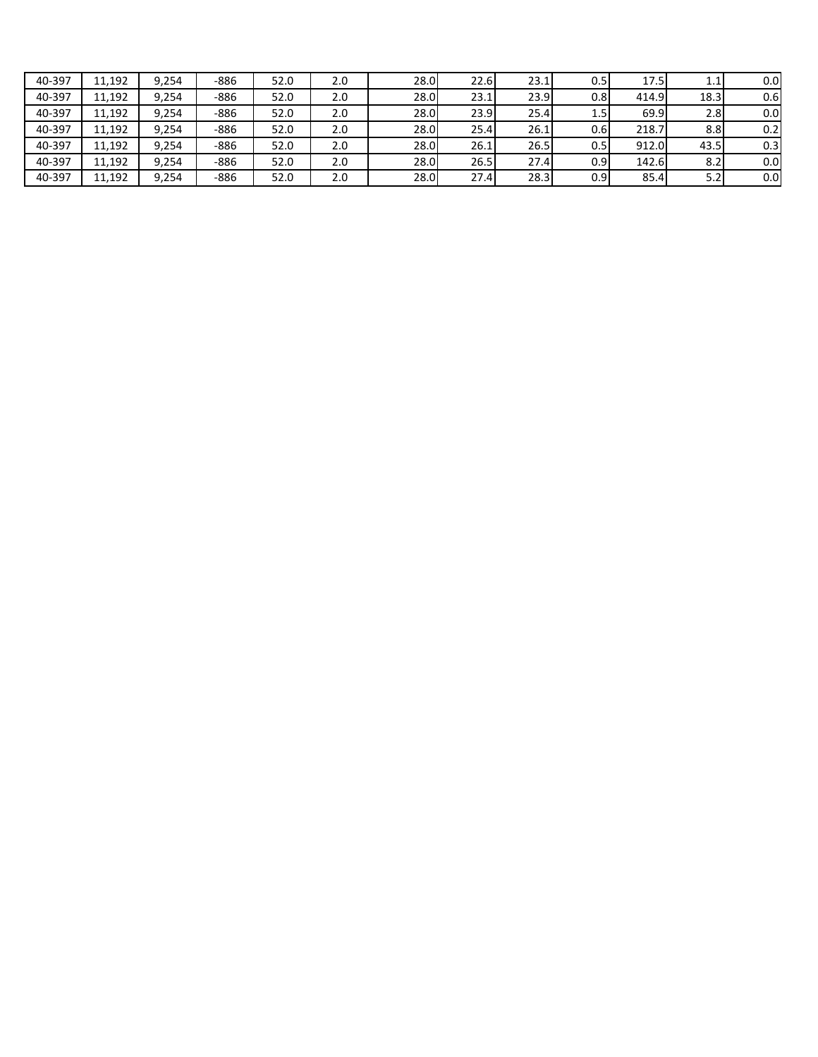| 40-397 | 11.192 | 9.254 | -886 | 52.0 | 2.0 | 28.0 | 22.6 | 23.1 | U.51 | 17.5  | 1.1              | 0.0 |
|--------|--------|-------|------|------|-----|------|------|------|------|-------|------------------|-----|
| 40-397 | 11,192 | 9.254 | -886 | 52.0 | 2.0 | 28.0 | 23.1 | 23.9 | 0.8I | 414.9 | 18.3             | 0.6 |
| 40-397 | 11,192 | 9.254 | -886 | 52.0 | 2.0 | 28.0 | 23.9 | 25.4 | 1.5' | 69.9  | 2.8              | 0.0 |
| 40-397 | 11,192 | 9.254 | -886 | 52.0 | 2.0 | 28.0 | 25.4 | 26.1 | 0.6  | 218.7 | 8.8 <sub>l</sub> | 0.2 |
| 40-397 | 11,192 | 9.254 | -886 | 52.0 | 2.0 | 28.0 | 26.1 | 26.5 | 0.51 | 912.0 | 43.5             | 0.3 |
| 40-397 | 11,192 | 9.254 | -886 | 52.0 | 2.0 | 28.0 | 26.5 | 27.4 | 0.91 | 142.6 | 8.2              | 0.0 |
| 40-397 | 11,192 | 9.254 | -886 | 52.0 | 2.0 | 28.0 | 27.4 | 28.3 | 0.91 | 85.4  | 5.2              | 0.0 |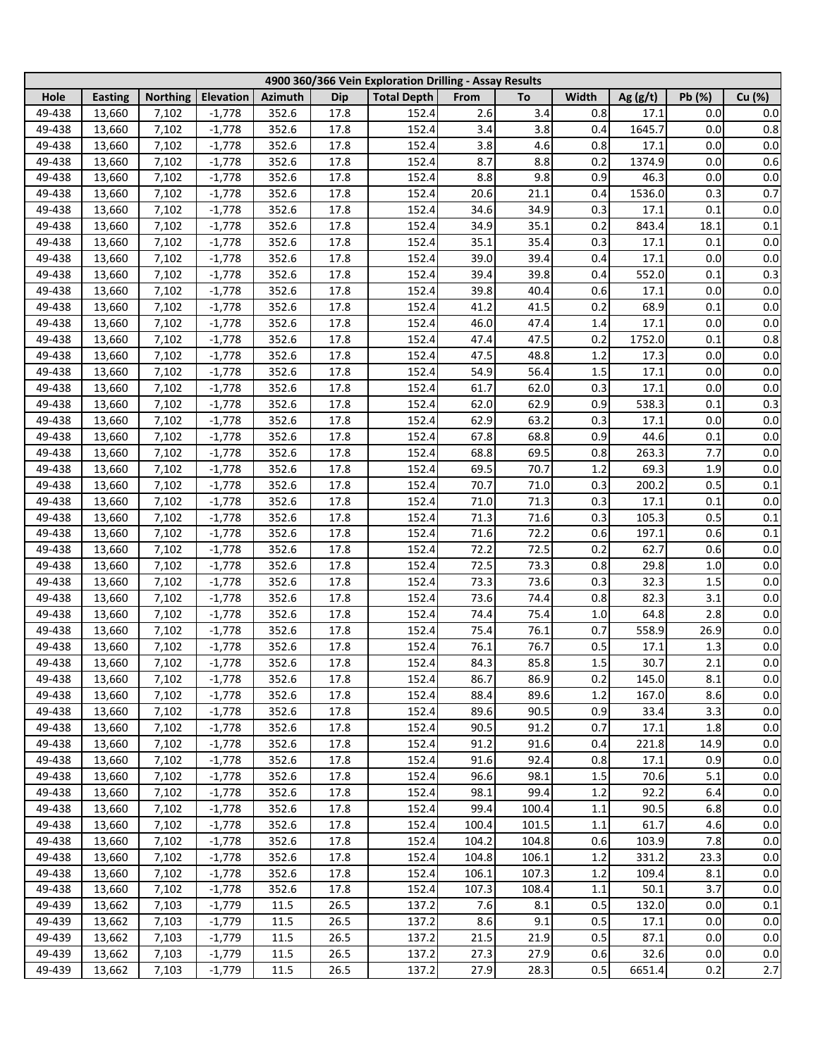|        |                |                 |           |                |            | 4900 360/366 Vein Exploration Drilling - Assay Results |       |       |         |            |        |         |
|--------|----------------|-----------------|-----------|----------------|------------|--------------------------------------------------------|-------|-------|---------|------------|--------|---------|
| Hole   | <b>Easting</b> | <b>Northing</b> | Elevation | <b>Azimuth</b> | <b>Dip</b> | <b>Total Depth</b>                                     | From  | To    | Width   | Ag $(g/t)$ | Pb (%) | Cu (%)  |
| 49-438 | 13,660         | 7,102           | $-1,778$  | 352.6          | 17.8       | 152.4                                                  | 2.6   | 3.4   | 0.8     | 17.1       | 0.0    | 0.0     |
| 49-438 | 13,660         | 7,102           | $-1,778$  | 352.6          | 17.8       | 152.4                                                  | 3.4   | 3.8   | 0.4     | 1645.7     | 0.0    | 0.8     |
| 49-438 | 13,660         | 7,102           | $-1,778$  | 352.6          | 17.8       | 152.4                                                  | 3.8   | 4.6   | 0.8     | 17.1       | 0.0    | 0.0     |
| 49-438 | 13,660         | 7,102           | $-1,778$  | 352.6          | 17.8       | 152.4                                                  | 8.7   | 8.8   | 0.2     | 1374.9     | 0.0    | $0.6\,$ |
| 49-438 | 13,660         | 7,102           | $-1,778$  | 352.6          | 17.8       | 152.4                                                  | 8.8   | 9.8   | 0.9     | 46.3       | 0.0    | $0.0\,$ |
| 49-438 | 13,660         | 7,102           | $-1,778$  | 352.6          | 17.8       | 152.4                                                  | 20.6  | 21.1  | 0.4     | 1536.0     | 0.3    | 0.7     |
| 49-438 | 13,660         | 7,102           | $-1,778$  | 352.6          | 17.8       | 152.4                                                  | 34.6  | 34.9  | 0.3     | 17.1       | 0.1    | $0.0\,$ |
| 49-438 | 13,660         | 7,102           | $-1,778$  | 352.6          | 17.8       | 152.4                                                  | 34.9  | 35.1  | 0.2     | 843.4      | 18.1   | 0.1     |
| 49-438 | 13,660         | 7,102           | $-1,778$  | 352.6          | 17.8       | 152.4                                                  | 35.1  | 35.4  | 0.3     | 17.1       | 0.1    | $0.0\,$ |
| 49-438 | 13,660         | 7,102           | $-1,778$  | 352.6          | 17.8       | 152.4                                                  | 39.0  | 39.4  | 0.4     | 17.1       | 0.0    | $0.0\,$ |
| 49-438 | 13,660         | 7,102           | $-1,778$  | 352.6          | 17.8       | 152.4                                                  | 39.4  | 39.8  | 0.4     | 552.0      | 0.1    | 0.3     |
| 49-438 | 13,660         | 7,102           | $-1,778$  | 352.6          | 17.8       | 152.4                                                  | 39.8  | 40.4  | 0.6     | 17.1       | 0.0    | 0.0     |
| 49-438 | 13,660         | 7,102           | $-1,778$  | 352.6          | 17.8       | 152.4                                                  | 41.2  | 41.5  | 0.2     | 68.9       | 0.1    | 0.0     |
| 49-438 | 13,660         | 7,102           | $-1,778$  | 352.6          | 17.8       | 152.4                                                  | 46.0  | 47.4  | 1.4     | 17.1       | 0.0    | $0.0\,$ |
| 49-438 | 13,660         | 7,102           | $-1,778$  | 352.6          | 17.8       | 152.4                                                  | 47.4  | 47.5  | 0.2     | 1752.0     | 0.1    | 0.8     |
| 49-438 | 13,660         | 7,102           | $-1,778$  | 352.6          | 17.8       | 152.4                                                  | 47.5  | 48.8  | 1.2     | 17.3       | 0.0    | 0.0     |
|        |                |                 |           |                |            |                                                        |       |       |         |            | 0.0    |         |
| 49-438 | 13,660         | 7,102           | $-1,778$  | 352.6          | 17.8       | 152.4                                                  | 54.9  | 56.4  | 1.5     | 17.1       |        | $0.0\,$ |
| 49-438 | 13,660         | 7,102           | $-1,778$  | 352.6          | 17.8       | 152.4                                                  | 61.7  | 62.0  | 0.3     | 17.1       | 0.0    | $0.0\,$ |
| 49-438 | 13,660         | 7,102           | $-1,778$  | 352.6          | 17.8       | 152.4                                                  | 62.0  | 62.9  | 0.9     | 538.3      | 0.1    | 0.3     |
| 49-438 | 13,660         | 7,102           | $-1,778$  | 352.6          | 17.8       | 152.4                                                  | 62.9  | 63.2  | 0.3     | 17.1       | 0.0    | $0.0\,$ |
| 49-438 | 13,660         | 7,102           | $-1,778$  | 352.6          | 17.8       | 152.4                                                  | 67.8  | 68.8  | 0.9     | 44.6       | 0.1    | 0.0     |
| 49-438 | 13,660         | 7,102           | $-1,778$  | 352.6          | 17.8       | 152.4                                                  | 68.8  | 69.5  | 0.8     | 263.3      | 7.7    | 0.0     |
| 49-438 | 13,660         | 7,102           | $-1,778$  | 352.6          | 17.8       | 152.4                                                  | 69.5  | 70.7  | 1.2     | 69.3       | 1.9    | 0.0     |
| 49-438 | 13,660         | 7,102           | $-1,778$  | 352.6          | 17.8       | 152.4                                                  | 70.7  | 71.0  | 0.3     | 200.2      | 0.5    | 0.1     |
| 49-438 | 13,660         | 7,102           | $-1,778$  | 352.6          | 17.8       | 152.4                                                  | 71.0  | 71.3  | 0.3     | 17.1       | 0.1    | $0.0\,$ |
| 49-438 | 13,660         | 7,102           | $-1,778$  | 352.6          | 17.8       | 152.4                                                  | 71.3  | 71.6  | 0.3     | 105.3      | 0.5    | 0.1     |
| 49-438 | 13,660         | 7,102           | $-1,778$  | 352.6          | 17.8       | 152.4                                                  | 71.6  | 72.2  | 0.6     | 197.1      | 0.6    | 0.1     |
| 49-438 | 13,660         | 7,102           | $-1,778$  | 352.6          | 17.8       | 152.4                                                  | 72.2  | 72.5  | 0.2     | 62.7       | 0.6    | $0.0\,$ |
| 49-438 | 13,660         | 7,102           | $-1,778$  | 352.6          | 17.8       | 152.4                                                  | 72.5  | 73.3  | 0.8     | 29.8       | 1.0    | $0.0\,$ |
| 49-438 | 13,660         | 7,102           | $-1,778$  | 352.6          | 17.8       | 152.4                                                  | 73.3  | 73.6  | 0.3     | 32.3       | 1.5    | $0.0\,$ |
| 49-438 | 13,660         | 7,102           | $-1,778$  | 352.6          | 17.8       | 152.4                                                  | 73.6  | 74.4  | 0.8     | 82.3       | 3.1    | $0.0\,$ |
| 49-438 | 13,660         | 7,102           | $-1,778$  | 352.6          | 17.8       | 152.4                                                  | 74.4  | 75.4  | 1.0     | 64.8       | 2.8    | 0.0     |
| 49-438 | 13,660         | 7,102           | $-1,778$  | 352.6          | 17.8       | 152.4                                                  | 75.4  | 76.1  | 0.7     | 558.9      | 26.9   | 0.0     |
| 49-438 | 13,660         | 7,102           | $-1,778$  | 352.6          | 17.8       | 152.4                                                  | 76.1  | 76.7  | 0.5     | 17.1       | 1.3    | $0.0\,$ |
| 49-438 | 13,660         | 7,102           | $-1,778$  | 352.6          | 17.8       | 152.4                                                  | 84.3  | 85.8  | 1.5     | 30.7       | 2.1    | $0.0\,$ |
| 49-438 | 13,660         | 7,102           | $-1,778$  | 352.6          | 17.8       | 152.4                                                  | 86.7  | 86.9  | 0.2     | 145.0      | 8.1    | 0.0     |
| 49-438 | 13,660         | 7,102           | $-1,778$  | 352.6          | 17.8       | 152.4                                                  | 88.4  | 89.6  | 1.2     | 167.0      | 8.6    | 0.0     |
| 49-438 | 13,660         | 7,102           | $-1,778$  | 352.6          | 17.8       | 152.4                                                  | 89.6  | 90.5  | 0.9     | 33.4       | 3.3    | 0.0     |
| 49-438 | 13,660         | 7,102           | $-1,778$  | 352.6          | 17.8       | 152.4                                                  | 90.5  | 91.2  | 0.7     | 17.1       | 1.8    | 0.0     |
| 49-438 | 13,660         | 7,102           | $-1,778$  | 352.6          | 17.8       | 152.4                                                  | 91.2  | 91.6  | 0.4     | 221.8      | 14.9   | 0.0     |
| 49-438 | 13,660         | 7,102           | $-1,778$  | 352.6          | 17.8       | 152.4                                                  | 91.6  | 92.4  | 0.8     | 17.1       | 0.9    | 0.0     |
| 49-438 | 13,660         | 7,102           | $-1,778$  | 352.6          | 17.8       | 152.4                                                  | 96.6  | 98.1  | 1.5     | 70.6       | 5.1    | 0.0     |
| 49-438 | 13,660         | 7,102           | $-1,778$  | 352.6          | 17.8       | 152.4                                                  | 98.1  | 99.4  | 1.2     | 92.2       | 6.4    | 0.0     |
| 49-438 | 13,660         | 7,102           | $-1,778$  | 352.6          | 17.8       | 152.4                                                  | 99.4  | 100.4 | 1.1     | 90.5       | 6.8    | 0.0     |
| 49-438 | 13,660         | 7,102           | $-1,778$  | 352.6          | 17.8       | 152.4                                                  | 100.4 | 101.5 | $1.1\,$ | 61.7       | 4.6    | 0.0     |
| 49-438 | 13,660         | 7,102           | $-1,778$  | 352.6          | 17.8       | 152.4                                                  | 104.2 | 104.8 | 0.6     | 103.9      | 7.8    | 0.0     |
| 49-438 | 13,660         | 7,102           | $-1,778$  | 352.6          | 17.8       | 152.4                                                  | 104.8 | 106.1 | 1.2     | 331.2      | 23.3   | $0.0\,$ |
| 49-438 | 13,660         | 7,102           | $-1,778$  | 352.6          | 17.8       | 152.4                                                  | 106.1 | 107.3 | 1.2     | 109.4      | 8.1    | 0.0     |
| 49-438 | 13,660         | 7,102           | $-1,778$  | 352.6          | 17.8       | 152.4                                                  | 107.3 | 108.4 | 1.1     | 50.1       | 3.7    | $0.0\,$ |
| 49-439 | 13,662         | 7,103           | $-1,779$  | $11.5\,$       | 26.5       | 137.2                                                  | 7.6   | 8.1   | 0.5     | 132.0      | 0.0    | 0.1     |
| 49-439 | 13,662         | 7,103           | $-1,779$  | 11.5           | 26.5       | 137.2                                                  | 8.6   | 9.1   | 0.5     | 17.1       | 0.0    | 0.0     |
| 49-439 | 13,662         | 7,103           | $-1,779$  | $11.5\,$       | 26.5       | 137.2                                                  | 21.5  | 21.9  | 0.5     | 87.1       | 0.0    | 0.0     |
| 49-439 | 13,662         | 7,103           | $-1,779$  | $11.5\,$       | 26.5       | 137.2                                                  | 27.3  | 27.9  | 0.6     | 32.6       | 0.0    | 0.0     |
| 49-439 | 13,662         | 7,103           | $-1,779$  | 11.5           | 26.5       | 137.2                                                  | 27.9  | 28.3  | 0.5     | 6651.4     | 0.2    | 2.7     |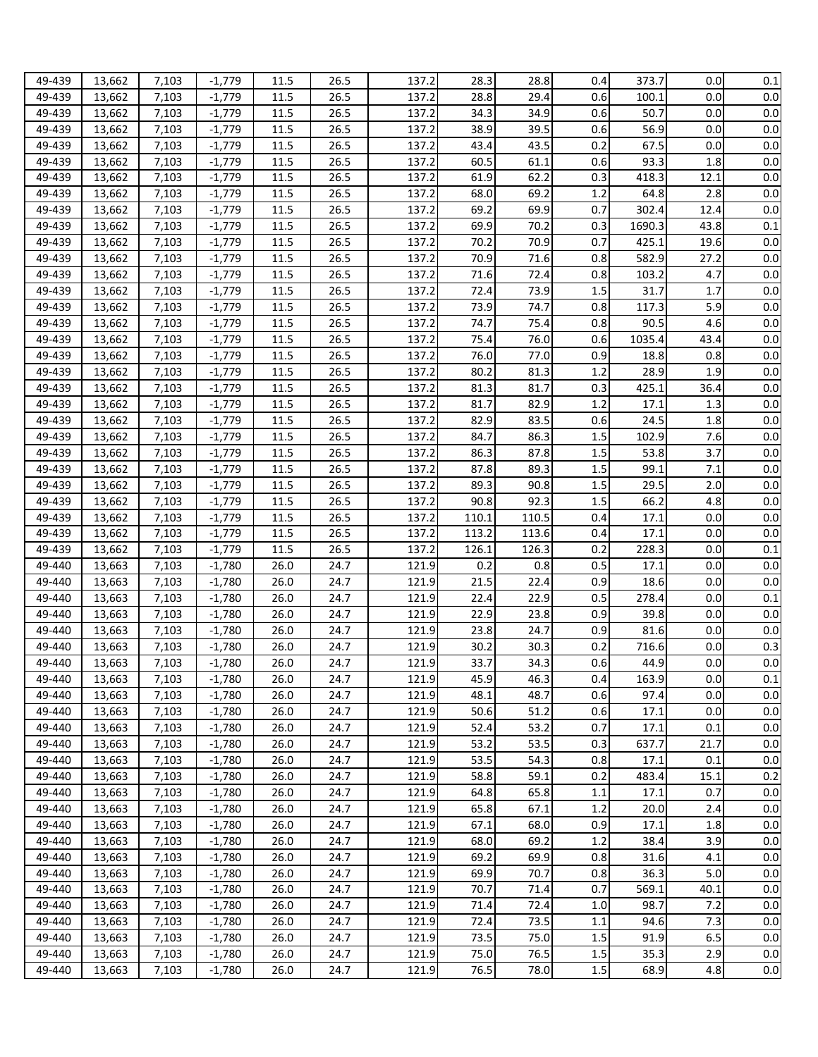| 49-439           | 13,662           | 7,103          | $-1,779$             | 11.5         | 26.5         | 137.2          | 28.3         | 28.8         | 0.4            | 373.7        | 0.0        | 0.1               |
|------------------|------------------|----------------|----------------------|--------------|--------------|----------------|--------------|--------------|----------------|--------------|------------|-------------------|
| 49-439           | 13,662           | 7,103          | $-1,779$             | 11.5         | 26.5         | 137.2          | 28.8         | 29.4         | 0.6            | 100.1        | 0.0        | 0.0               |
| 49-439           | 13,662           | 7,103          | $-1,779$             | 11.5         | 26.5         | 137.2          | 34.3         | 34.9         | 0.6            | 50.7         | 0.0        | 0.0               |
| 49-439           | 13,662           | 7,103          | $-1,779$             | 11.5         | 26.5         | 137.2          | 38.9         | 39.5         | 0.6            | 56.9         | 0.0        | 0.0               |
| 49-439           | 13,662           | 7,103          | $-1,779$             | 11.5         | 26.5         | 137.2          | 43.4         | 43.5         | 0.2            | 67.5         | 0.0        | 0.0               |
| 49-439           | 13,662           | 7,103          | $-1,779$             | 11.5         | 26.5         | 137.2          | 60.5         | 61.1         | 0.6            | 93.3         | 1.8        | 0.0               |
| 49-439           |                  |                |                      |              | 26.5         |                | 61.9         | 62.2         | 0.3            |              |            | 0.0               |
|                  | 13,662           | 7,103          | $-1,779$             | 11.5         |              | 137.2          |              |              |                | 418.3        | 12.1       |                   |
| 49-439           | 13,662           | 7,103          | $-1,779$             | 11.5         | 26.5         | 137.2          | 68.0         | 69.2         | 1.2            | 64.8         | 2.8        | 0.0               |
| 49-439           | 13,662           | 7,103          | $-1,779$             | 11.5         | 26.5         | 137.2          | 69.2         | 69.9         | 0.7            | 302.4        | 12.4       | 0.0               |
| 49-439           | 13,662           | 7,103          | $-1,779$             | 11.5         | 26.5         | 137.2          | 69.9         | 70.2         | 0.3            | 1690.3       | 43.8       | 0.1               |
| 49-439           | 13,662           | 7,103          | $-1,779$             | 11.5         | 26.5         | 137.2          | 70.2         | 70.9         | 0.7            | 425.1        | 19.6       | 0.0               |
| 49-439           | 13,662           | 7,103          | $-1,779$             | 11.5         | 26.5         | 137.2          | 70.9         | 71.6         | 0.8            | 582.9        | 27.2       | 0.0               |
| 49-439           | 13,662           | 7,103          | $-1,779$             | 11.5         | 26.5         | 137.2          | 71.6         | 72.4         | 0.8            | 103.2        | 4.7        | 0.0               |
| 49-439           | 13,662           | 7,103          | $-1,779$             | 11.5         | 26.5         | 137.2          | 72.4         | 73.9         | 1.5            | 31.7         | 1.7        | 0.0               |
| 49-439           | 13,662           | 7,103          | $-1,779$             | 11.5         | 26.5         | 137.2          | 73.9         | 74.7         | 0.8            | 117.3        | 5.9        | 0.0               |
| 49-439           | 13,662           | 7,103          | $-1,779$             | 11.5         | 26.5         | 137.2          | 74.7         | 75.4         | 0.8            | 90.5         | 4.6        | 0.0               |
| 49-439           | 13,662           | 7,103          | $-1,779$             | 11.5         | 26.5         | 137.2          | 75.4         | 76.0         | 0.6            | 1035.4       | 43.4       | 0.0               |
| 49-439           | 13,662           | 7,103          | $-1,779$             | 11.5         | 26.5         | 137.2          | 76.0         | 77.0         | 0.9            | 18.8         | 0.8        | 0.0               |
| 49-439           | 13,662           | 7,103          | $-1,779$             | 11.5         | 26.5         | 137.2          | 80.2         | 81.3         | 1.2            | 28.9         | 1.9        | 0.0               |
| 49-439           | 13,662           | 7,103          | $-1,779$             | 11.5         | 26.5         | 137.2          | 81.3         | 81.7         | 0.3            | 425.1        | 36.4       | $0.0\,$           |
| 49-439           | 13,662           | 7,103          | $-1,779$             | 11.5         | 26.5         | 137.2          | 81.7         | 82.9         | 1.2            | 17.1         | 1.3        | 0.0               |
| 49-439           | 13,662           | 7,103          | $-1,779$             | 11.5         | 26.5         | 137.2          | 82.9         | 83.5         | 0.6            | 24.5         | 1.8        | $0.0\,$           |
| 49-439           | 13,662           | 7,103          | $-1,779$             | 11.5         | 26.5         | 137.2          | 84.7         | 86.3         | 1.5            | 102.9        | 7.6        | $0.0\,$           |
| 49-439           | 13,662           | 7,103          | $-1,779$             | 11.5         | 26.5         | 137.2          | 86.3         | 87.8         | 1.5            | 53.8         | 3.7        | $0.0\,$           |
| 49-439           | 13,662           | 7,103          | $-1,779$             | 11.5         | 26.5         | 137.2          | 87.8         | 89.3         | 1.5            | 99.1         | 7.1        | $0.0\,$           |
| 49-439           | 13,662           | 7,103          | $-1,779$             | 11.5         | 26.5         | 137.2          | 89.3         | 90.8         | 1.5            | 29.5         | 2.0        | $0.0\,$           |
| 49-439           | 13,662           | 7,103          | $-1,779$             | 11.5         | 26.5         | 137.2          | 90.8         | 92.3         | 1.5            | 66.2         | 4.8        | 0.0               |
| 49-439           | 13,662           | 7,103          | $-1,779$             | 11.5         | 26.5         | 137.2          | 110.1        | 110.5        | 0.4            | 17.1         | 0.0        | 0.0               |
| 49-439           | 13,662           | 7,103          | $-1,779$             | 11.5         | 26.5         | 137.2          | 113.2        | 113.6        | 0.4            | 17.1         | 0.0        | 0.0               |
| 49-439           | 13,662           | 7,103          | $-1,779$             | 11.5         | 26.5         | 137.2          | 126.1        | 126.3        | 0.2            | 228.3        | 0.0        | 0.1               |
| 49-440           |                  | 7,103          | $-1,780$             | 26.0         | 24.7         | 121.9          | 0.2          | 0.8          | 0.5            | 17.1         | 0.0        | 0.0               |
|                  | 13,663           |                |                      | 26.0         | 24.7         | 121.9          | 21.5         | 22.4         | 0.9            |              | 0.0        | 0.0               |
| 49-440           | 13,663           | 7,103          | $-1,780$             |              |              |                |              |              |                | 18.6         |            |                   |
| 49-440           | 13,663           | 7,103          | $-1,780$             | 26.0         | 24.7         | 121.9          | 22.4         | 22.9         | 0.5            | 278.4        | 0.0        | 0.1               |
| 49-440           | 13,663           | 7,103          | $-1,780$             | 26.0         | 24.7         | 121.9          | 22.9         | 23.8         | 0.9            | 39.8         | 0.0        | 0.0               |
| 49-440           | 13,663           | 7,103          | $-1,780$             | 26.0         | 24.7         | 121.9          | 23.8         | 24.7         | 0.9            | 81.6         | 0.0        | 0.0               |
| 49-440           | 13,663           | 7,103          | $-1,780$             | 26.0         | 24.7         | 121.9          | 30.2         | 30.3         | 0.2            | 716.6        | 0.0        | 0.3               |
| 49-440           | 13,663           | 7,103          | $-1,780$             | 26.0         | 24.7         | 121.9          | 33.7         | 34.3         | 0.6            | 44.9         | 0.0        | 0.0               |
| 49-440           | 13,663           | 7,103          | $-1,780$             | 26.0         | 24.7         | 121.9          | 45.9         | 46.3         | 0.4            | 163.9        | 0.0        | $0.1\,$           |
| 49-440           | 13,663           | 7,103          | $-1,780$             | 26.0         | 24.7         | 121.9          | 48.1         | 48.7         | 0.6            | 97.4         | 0.0        | 0.0               |
| 49-440           | 13,663           | 7,103          | $-1,780$             | 26.0         | 24.7         | 121.9          | 50.6         | 51.2         | 0.6            | 17.1         | 0.0        | 0.0               |
| 49-440           | 13,663           | 7,103          | $-1,780$             | 26.0         | 24.7         | 121.9          | 52.4         | 53.2         | 0.7            | 17.1         | 0.1        | 0.0               |
| 49-440           | 13,663           | 7,103          | $-1,780$             | 26.0         | 24.7         | 121.9          | 53.2         | 53.5         | 0.3            | 637.7        | 21.7       | 0.0               |
| 49-440           | 13,663           | 7,103          | $-1,780$             | 26.0         | 24.7         | 121.9          | 53.5         | 54.3         | 0.8            | 17.1         | 0.1        | $0.0\,$           |
| 49-440           | 13,663           | 7,103          | $-1,780$             | 26.0         | 24.7         | 121.9          | 58.8         | 59.1         | 0.2            | 483.4        | 15.1       | 0.2               |
| 49-440           | 13,663           | 7,103          | $-1,780$             | 26.0         | 24.7         | 121.9          | 64.8         | 65.8         | 1.1            | 17.1         | 0.7        | 0.0               |
| 49-440           | 13,663           | 7,103          | $-1,780$             | 26.0         | 24.7         | 121.9          | 65.8         | 67.1         | 1.2            | 20.0         | 2.4        | 0.0               |
| 49-440           | 13,663           | 7,103          | $-1,780$             | 26.0         | 24.7         | 121.9          | 67.1         | 68.0         | 0.9            | 17.1         | 1.8        | 0.0               |
| 49-440           | 13,663           | 7,103          | $-1,780$             | 26.0         | 24.7         | 121.9          | 68.0         | 69.2         | 1.2            | 38.4         | 3.9        | 0.0               |
| 49-440           | 13,663           | 7,103          | $-1,780$             | 26.0         | 24.7         | 121.9          | 69.2         | 69.9         | 0.8            | 31.6         | 4.1        | 0.0               |
| 49-440           |                  | 7,103          | $-1,780$             | 26.0         | 24.7         | 121.9          | 69.9         | 70.7         | 0.8            | 36.3         | 5.0        | 0.0               |
|                  | 13,663           |                |                      |              |              |                |              |              |                |              |            | 0.0               |
| 49-440           | 13,663           | 7,103          | $-1,780$             | 26.0         | 24.7         | 121.9          | 70.7         | 71.4         | 0.7            | 569.1        | 40.1       |                   |
| 49-440           |                  |                |                      |              |              | 121.9          | 71.4         | 72.4         | 1.0            | 98.7         |            |                   |
|                  | 13,663           | 7,103          | $-1,780$             | 26.0         | 24.7         |                |              |              |                |              | 7.2        |                   |
| 49-440           | 13,663           | 7,103          | $-1,780$             | 26.0         | 24.7         | 121.9          | 72.4         | 73.5         | 1.1            | 94.6         | 7.3        |                   |
| 49-440           | 13,663           | 7,103          | $-1,780$             | 26.0         | 24.7         | 121.9          | 73.5         | 75.0         | $1.5\,$        | 91.9         | 6.5        | 0.0<br>0.0<br>0.0 |
| 49-440<br>49-440 | 13,663<br>13,663 | 7,103<br>7,103 | $-1,780$<br>$-1,780$ | 26.0<br>26.0 | 24.7<br>24.7 | 121.9<br>121.9 | 75.0<br>76.5 | 76.5<br>78.0 | 1.5<br>$1.5\,$ | 35.3<br>68.9 | 2.9<br>4.8 | 0.0<br>0.0        |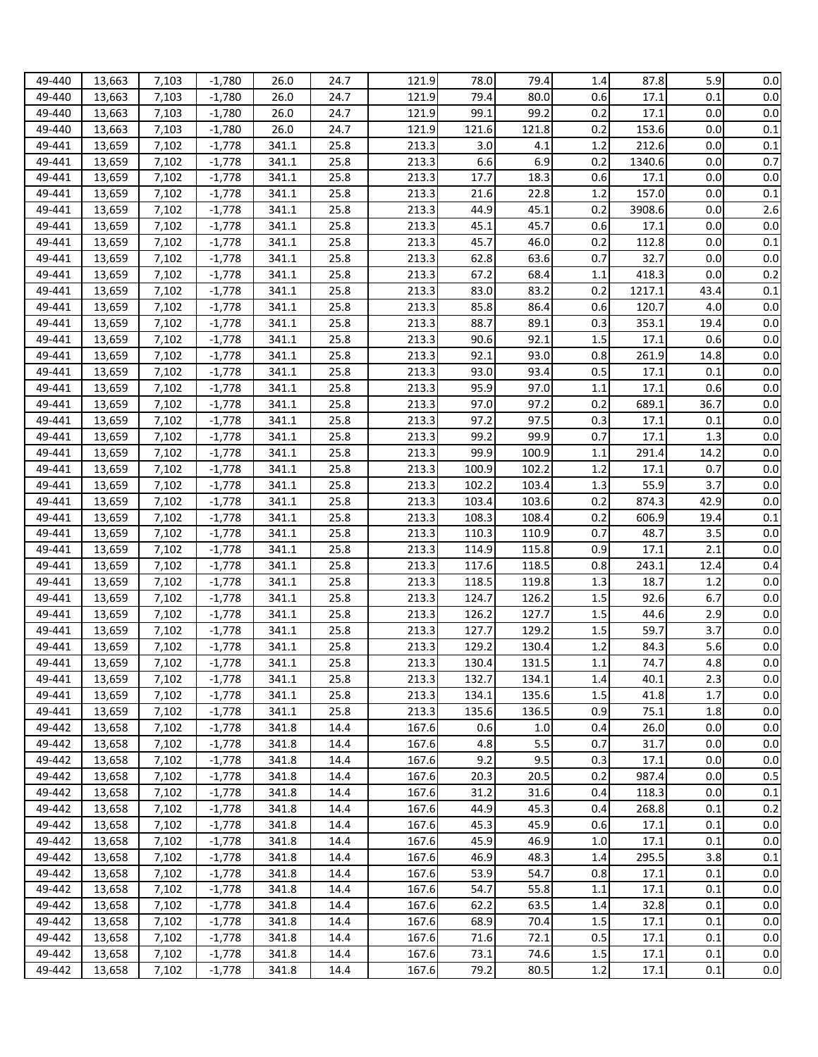| 49-440 | 13,663 | 7,103 | $-1.780$ | 26.0           | 24.7 | 121.9 | 78.0  | 79.4  | 1.4        | 87.8          | 5.9         | $0.0\,$ |
|--------|--------|-------|----------|----------------|------|-------|-------|-------|------------|---------------|-------------|---------|
| 49-440 | 13,663 | 7,103 | $-1,780$ | 26.0           | 24.7 | 121.9 | 79.4  | 80.0  | 0.6        | 17.1          | 0.1         | 0.0     |
| 49-440 | 13,663 | 7,103 | $-1,780$ | 26.0           | 24.7 | 121.9 | 99.1  | 99.2  | 0.2        | 17.1          | 0.0         | 0.0     |
| 49-440 | 13,663 | 7,103 | $-1,780$ | 26.0           | 24.7 | 121.9 | 121.6 | 121.8 | 0.2        | 153.6         | 0.0         | 0.1     |
| 49-441 | 13,659 | 7,102 | $-1,778$ | 341.1          | 25.8 | 213.3 | 3.0   | 4.1   | 1.2        | 212.6         | 0.0         | 0.1     |
| 49-441 | 13,659 | 7,102 | $-1,778$ | 341.1          | 25.8 | 213.3 | 6.6   | 6.9   | 0.2        | 1340.6        | 0.0         | 0.7     |
| 49-441 |        |       |          |                |      | 213.3 | 17.7  | 18.3  | 0.6        | 17.1          | 0.0         | 0.0     |
|        | 13,659 | 7,102 | $-1,778$ | 341.1          | 25.8 |       |       |       |            |               |             |         |
| 49-441 | 13,659 | 7,102 | $-1,778$ | 341.1          | 25.8 | 213.3 | 21.6  | 22.8  | 1.2        | 157.0         | 0.0         | 0.1     |
| 49-441 | 13,659 | 7,102 | $-1,778$ | 341.1          | 25.8 | 213.3 | 44.9  | 45.1  | 0.2        | 3908.6        | 0.0         | 2.6     |
| 49-441 | 13,659 | 7,102 | $-1,778$ | 341.1          | 25.8 | 213.3 | 45.1  | 45.7  | 0.6        | 17.1          | 0.0         | 0.0     |
| 49-441 | 13,659 | 7,102 | $-1,778$ | 341.1          | 25.8 | 213.3 | 45.7  | 46.0  | 0.2        | 112.8         | 0.0         | 0.1     |
| 49-441 | 13,659 | 7,102 | $-1,778$ | 341.1          | 25.8 | 213.3 | 62.8  | 63.6  | 0.7        | 32.7          | 0.0         | 0.0     |
| 49-441 | 13,659 | 7,102 | $-1,778$ | 341.1          | 25.8 | 213.3 | 67.2  | 68.4  | 1.1        | 418.3         | 0.0         | 0.2     |
| 49-441 | 13,659 | 7,102 | $-1,778$ | 341.1          | 25.8 | 213.3 | 83.0  | 83.2  | 0.2        | 1217.1        | 43.4        | 0.1     |
| 49-441 | 13,659 | 7,102 | $-1,778$ | 341.1          | 25.8 | 213.3 | 85.8  | 86.4  | 0.6        | 120.7         | 4.0         | 0.0     |
| 49-441 | 13,659 | 7,102 | $-1,778$ | 341.1          | 25.8 | 213.3 | 88.7  | 89.1  | 0.3        | 353.1         | 19.4        | 0.0     |
| 49-441 | 13,659 | 7,102 | $-1,778$ | 341.1          | 25.8 | 213.3 | 90.6  | 92.1  | 1.5        | 17.1          | 0.6         | $0.0\,$ |
| 49-441 | 13,659 | 7,102 | $-1,778$ | 341.1          | 25.8 | 213.3 | 92.1  | 93.0  | 0.8        | 261.9         | 14.8        | 0.0     |
| 49-441 | 13,659 | 7,102 | $-1,778$ | 341.1          | 25.8 | 213.3 | 93.0  | 93.4  | 0.5        | 17.1          | 0.1         | 0.0     |
| 49-441 | 13,659 | 7,102 | $-1,778$ | 341.1          | 25.8 | 213.3 | 95.9  | 97.0  | 1.1        | 17.1          | 0.6         | $0.0\,$ |
| 49-441 | 13,659 | 7,102 | $-1,778$ | 341.1          | 25.8 | 213.3 | 97.0  | 97.2  | 0.2        | 689.1         | 36.7        | 0.0     |
| 49-441 | 13,659 | 7,102 | $-1,778$ | 341.1          | 25.8 | 213.3 | 97.2  | 97.5  | 0.3        | 17.1          | 0.1         | $0.0\,$ |
| 49-441 | 13,659 | 7,102 | $-1,778$ | 341.1          | 25.8 | 213.3 | 99.2  | 99.9  | 0.7        | 17.1          | 1.3         | $0.0\,$ |
| 49-441 | 13,659 | 7,102 | $-1,778$ | 341.1          | 25.8 | 213.3 | 99.9  | 100.9 | 1.1        | 291.4         | 14.2        | $0.0\,$ |
| 49-441 | 13,659 | 7,102 | $-1,778$ | 341.1          | 25.8 | 213.3 | 100.9 | 102.2 | 1.2        | 17.1          | 0.7         | $0.0\,$ |
| 49-441 | 13,659 | 7,102 | $-1,778$ | 341.1          | 25.8 | 213.3 | 102.2 | 103.4 | 1.3        | 55.9          | 3.7         | $0.0\,$ |
| 49-441 | 13,659 | 7,102 | $-1,778$ | 341.1          | 25.8 | 213.3 | 103.4 | 103.6 | 0.2        | 874.3         | 42.9        | $0.0\,$ |
| 49-441 | 13,659 | 7,102 | $-1,778$ | 341.1          | 25.8 | 213.3 | 108.3 | 108.4 | 0.2        | 606.9         | 19.4        | 0.1     |
| 49-441 | 13,659 | 7,102 | $-1,778$ | 341.1          | 25.8 | 213.3 | 110.3 | 110.9 | 0.7        | 48.7          | 3.5         | 0.0     |
| 49-441 | 13,659 | 7,102 | $-1,778$ | 341.1          | 25.8 | 213.3 | 114.9 | 115.8 | 0.9        | 17.1          | 2.1         | 0.0     |
| 49-441 |        |       |          |                | 25.8 | 213.3 | 117.6 | 118.5 |            |               |             |         |
| 49-441 | 13,659 | 7,102 | $-1,778$ | 341.1<br>341.1 | 25.8 | 213.3 | 118.5 |       | 0.8<br>1.3 | 243.1<br>18.7 | 12.4<br>1.2 | 0.4     |
|        | 13,659 | 7,102 | $-1,778$ |                |      |       |       | 119.8 |            |               |             | 0.0     |
| 49-441 | 13,659 | 7,102 | $-1,778$ | 341.1          | 25.8 | 213.3 | 124.7 | 126.2 | 1.5        | 92.6          | 6.7         | 0.0     |
| 49-441 | 13,659 | 7,102 | $-1,778$ | 341.1          | 25.8 | 213.3 | 126.2 | 127.7 | 1.5        | 44.6          | 2.9         | 0.0     |
| 49-441 | 13,659 | 7,102 | $-1,778$ | 341.1          | 25.8 | 213.3 | 127.7 | 129.2 | 1.5        | 59.7          | 3.7         | 0.0     |
| 49-441 | 13,659 | 7,102 | $-1,778$ | 341.1          | 25.8 | 213.3 | 129.2 | 130.4 | 1.2        | 84.3          | 5.6         | 0.0     |
| 49-441 | 13,659 | 7,102 | $-1,778$ | 341.1          | 25.8 | 213.3 | 130.4 | 131.5 | $1.1\,$    | 74.7          | 4.8         | $0.0\,$ |
| 49-441 | 13,659 | 7,102 | $-1,778$ | 341.1          | 25.8 | 213.3 | 132.7 | 134.1 | 1.4        | 40.1          | 2.3         | 0.0     |
| 49-441 | 13,659 | 7,102 | $-1,778$ | 341.1          | 25.8 | 213.3 | 134.1 | 135.6 | 1.5        | 41.8          | 1.7         | 0.0     |
| 49-441 | 13,659 | 7,102 | $-1,778$ | 341.1          | 25.8 | 213.3 | 135.6 | 136.5 | 0.9        | 75.1          | 1.8         | 0.0     |
| 49-442 | 13,658 | 7,102 | $-1,778$ | 341.8          | 14.4 | 167.6 | 0.6   | 1.0   | 0.4        | 26.0          | 0.0         | 0.0     |
| 49-442 | 13,658 | 7,102 | $-1,778$ | 341.8          | 14.4 | 167.6 | 4.8   | 5.5   | 0.7        | 31.7          | 0.0         | 0.0     |
| 49-442 | 13,658 | 7,102 | $-1,778$ | 341.8          | 14.4 | 167.6 | 9.2   | 9.5   | 0.3        | 17.1          | 0.0         | $0.0\,$ |
| 49-442 | 13,658 | 7,102 | $-1,778$ | 341.8          | 14.4 | 167.6 | 20.3  | 20.5  | 0.2        | 987.4         | 0.0         | 0.5     |
| 49-442 | 13,658 | 7,102 | $-1,778$ | 341.8          | 14.4 | 167.6 | 31.2  | 31.6  | 0.4        | 118.3         | 0.0         | 0.1     |
| 49-442 | 13,658 | 7,102 | $-1,778$ | 341.8          | 14.4 | 167.6 | 44.9  | 45.3  | 0.4        | 268.8         | 0.1         | 0.2     |
| 49-442 | 13,658 | 7,102 | $-1,778$ | 341.8          | 14.4 | 167.6 | 45.3  | 45.9  | 0.6        | 17.1          | 0.1         | 0.0     |
| 49-442 | 13,658 | 7,102 | $-1,778$ | 341.8          | 14.4 | 167.6 | 45.9  | 46.9  | 1.0        | 17.1          | 0.1         | 0.0     |
| 49-442 | 13,658 | 7,102 | $-1,778$ | 341.8          | 14.4 | 167.6 | 46.9  | 48.3  | 1.4        | 295.5         | 3.8         | 0.1     |
| 49-442 | 13,658 | 7,102 | $-1,778$ | 341.8          | 14.4 | 167.6 | 53.9  | 54.7  | 0.8        | 17.1          | 0.1         | 0.0     |
| 49-442 | 13,658 | 7,102 | $-1,778$ | 341.8          | 14.4 | 167.6 | 54.7  | 55.8  | 1.1        | 17.1          | 0.1         | 0.0     |
| 49-442 | 13,658 | 7,102 | $-1,778$ | 341.8          | 14.4 | 167.6 | 62.2  | 63.5  | 1.4        | 32.8          | 0.1         | 0.0     |
| 49-442 | 13,658 | 7,102 | $-1,778$ | 341.8          | 14.4 | 167.6 | 68.9  | 70.4  | 1.5        | 17.1          | 0.1         | 0.0     |
| 49-442 | 13,658 | 7,102 | $-1,778$ | 341.8          | 14.4 | 167.6 | 71.6  | 72.1  | 0.5        | 17.1          | 0.1         | 0.0     |
| 49-442 | 13,658 | 7,102 | $-1,778$ | 341.8          | 14.4 | 167.6 | 73.1  | 74.6  | $1.5\,$    | 17.1          | 0.1         | 0.0     |
| 49-442 | 13,658 | 7,102 | $-1,778$ | 341.8          | 14.4 | 167.6 | 79.2  | 80.5  | 1.2        | 17.1          | 0.1         | 0.0     |
|        |        |       |          |                |      |       |       |       |            |               |             |         |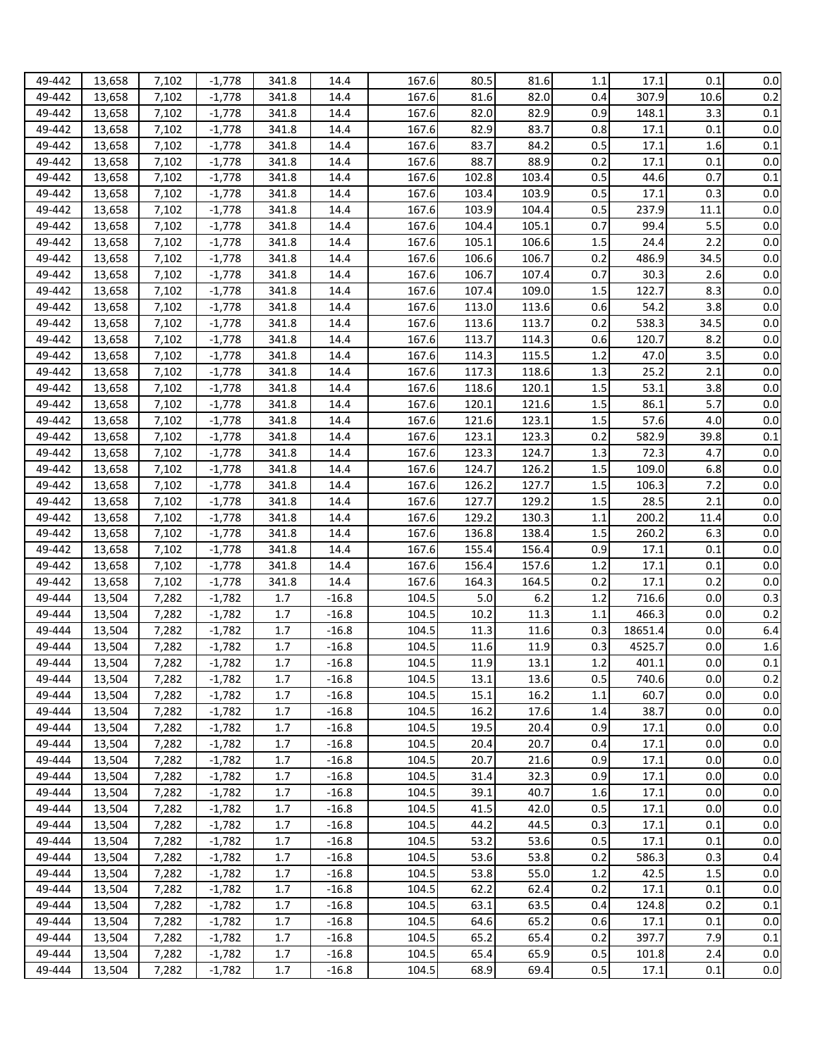| 49-442 | 13,658 | 7,102 | $-1,778$ | 341.8   | 14.4    | 167.6 | 80.5  | 81.6  | 1.1 | 17.1    | 0.1  | $0.0\,$ |
|--------|--------|-------|----------|---------|---------|-------|-------|-------|-----|---------|------|---------|
| 49-442 | 13,658 | 7,102 | $-1,778$ | 341.8   | 14.4    | 167.6 | 81.6  | 82.0  | 0.4 | 307.9   | 10.6 | 0.2     |
| 49-442 | 13,658 | 7,102 | $-1,778$ | 341.8   | 14.4    | 167.6 | 82.0  | 82.9  | 0.9 | 148.1   | 3.3  | 0.1     |
|        |        |       |          |         |         | 167.6 | 82.9  | 83.7  | 0.8 | 17.1    | 0.1  | 0.0     |
| 49-442 | 13,658 | 7,102 | $-1,778$ | 341.8   | 14.4    |       |       |       |     |         |      |         |
| 49-442 | 13,658 | 7,102 | $-1,778$ | 341.8   | 14.4    | 167.6 | 83.7  | 84.2  | 0.5 | 17.1    | 1.6  | 0.1     |
| 49-442 | 13,658 | 7,102 | $-1,778$ | 341.8   | 14.4    | 167.6 | 88.7  | 88.9  | 0.2 | 17.1    | 0.1  | 0.0     |
| 49-442 | 13,658 | 7,102 | $-1,778$ | 341.8   | 14.4    | 167.6 | 102.8 | 103.4 | 0.5 | 44.6    | 0.7  | 0.1     |
| 49-442 | 13,658 | 7,102 | $-1,778$ | 341.8   | 14.4    | 167.6 | 103.4 | 103.9 | 0.5 | 17.1    | 0.3  | 0.0     |
| 49-442 | 13,658 | 7,102 | $-1,778$ | 341.8   | 14.4    | 167.6 | 103.9 | 104.4 | 0.5 | 237.9   | 11.1 | 0.0     |
| 49-442 | 13,658 | 7,102 | $-1,778$ | 341.8   | 14.4    | 167.6 | 104.4 | 105.1 | 0.7 | 99.4    | 5.5  | 0.0     |
| 49-442 | 13,658 | 7,102 | $-1,778$ | 341.8   | 14.4    | 167.6 | 105.1 | 106.6 | 1.5 | 24.4    | 2.2  | 0.0     |
| 49-442 | 13,658 | 7,102 | $-1,778$ | 341.8   | 14.4    | 167.6 | 106.6 | 106.7 | 0.2 | 486.9   | 34.5 | 0.0     |
| 49-442 | 13,658 | 7,102 | $-1,778$ | 341.8   | 14.4    | 167.6 | 106.7 | 107.4 | 0.7 | 30.3    | 2.6  | 0.0     |
| 49-442 | 13,658 | 7,102 | $-1,778$ | 341.8   | 14.4    | 167.6 | 107.4 | 109.0 | 1.5 | 122.7   | 8.3  | 0.0     |
| 49-442 | 13,658 | 7,102 | $-1,778$ | 341.8   | 14.4    | 167.6 | 113.0 | 113.6 | 0.6 | 54.2    | 3.8  | 0.0     |
| 49-442 | 13,658 | 7,102 | $-1,778$ | 341.8   | 14.4    | 167.6 | 113.6 | 113.7 | 0.2 | 538.3   | 34.5 | $0.0\,$ |
| 49-442 | 13,658 | 7,102 | $-1,778$ | 341.8   | 14.4    | 167.6 | 113.7 | 114.3 | 0.6 | 120.7   | 8.2  | $0.0\,$ |
| 49-442 | 13,658 | 7,102 | $-1,778$ | 341.8   | 14.4    | 167.6 | 114.3 | 115.5 | 1.2 | 47.0    | 3.5  | 0.0     |
| 49-442 | 13,658 | 7,102 | $-1,778$ | 341.8   | 14.4    | 167.6 | 117.3 | 118.6 | 1.3 | 25.2    | 2.1  | 0.0     |
| 49-442 | 13,658 | 7,102 | $-1,778$ | 341.8   | 14.4    | 167.6 | 118.6 | 120.1 | 1.5 | 53.1    | 3.8  | $0.0\,$ |
| 49-442 | 13,658 | 7,102 | $-1,778$ | 341.8   | 14.4    | 167.6 | 120.1 | 121.6 | 1.5 | 86.1    | 5.7  | 0.0     |
| 49-442 | 13,658 | 7,102 | $-1,778$ | 341.8   | 14.4    | 167.6 | 121.6 | 123.1 | 1.5 | 57.6    | 4.0  | $0.0\,$ |
| 49-442 | 13,658 | 7,102 | $-1,778$ | 341.8   | 14.4    | 167.6 | 123.1 | 123.3 | 0.2 | 582.9   | 39.8 | 0.1     |
|        |        |       |          |         |         |       |       |       |     | 72.3    | 4.7  | $0.0\,$ |
| 49-442 | 13,658 | 7,102 | $-1,778$ | 341.8   | 14.4    | 167.6 | 123.3 | 124.7 | 1.3 |         |      |         |
| 49-442 | 13,658 | 7,102 | $-1,778$ | 341.8   | 14.4    | 167.6 | 124.7 | 126.2 | 1.5 | 109.0   | 6.8  | $0.0\,$ |
| 49-442 | 13,658 | 7,102 | $-1,778$ | 341.8   | 14.4    | 167.6 | 126.2 | 127.7 | 1.5 | 106.3   | 7.2  | $0.0\,$ |
| 49-442 | 13,658 | 7,102 | $-1,778$ | 341.8   | 14.4    | 167.6 | 127.7 | 129.2 | 1.5 | 28.5    | 2.1  | 0.0     |
| 49-442 | 13,658 | 7,102 | $-1,778$ | 341.8   | 14.4    | 167.6 | 129.2 | 130.3 | 1.1 | 200.2   | 11.4 | $0.0\,$ |
| 49-442 | 13,658 | 7,102 | $-1,778$ | 341.8   | 14.4    | 167.6 | 136.8 | 138.4 | 1.5 | 260.2   | 6.3  | $0.0\,$ |
| 49-442 | 13,658 | 7,102 | $-1,778$ | 341.8   | 14.4    | 167.6 | 155.4 | 156.4 | 0.9 | 17.1    | 0.1  | 0.0     |
| 49-442 | 13,658 | 7,102 | $-1,778$ | 341.8   | 14.4    | 167.6 | 156.4 | 157.6 | 1.2 | 17.1    | 0.1  | 0.0     |
| 49-442 | 13,658 | 7,102 | $-1,778$ | 341.8   | 14.4    | 167.6 | 164.3 | 164.5 | 0.2 | 17.1    | 0.2  | 0.0     |
| 49-444 | 13,504 | 7,282 | $-1,782$ | 1.7     | $-16.8$ | 104.5 | 5.0   | 6.2   | 1.2 | 716.6   | 0.0  | 0.3     |
| 49-444 | 13,504 | 7,282 | $-1,782$ | 1.7     | $-16.8$ | 104.5 | 10.2  | 11.3  | 1.1 | 466.3   | 0.0  | 0.2     |
| 49-444 | 13,504 | 7,282 | $-1,782$ | 1.7     | $-16.8$ | 104.5 | 11.3  | 11.6  | 0.3 | 18651.4 | 0.0  | 6.4     |
| 49-444 | 13,504 | 7,282 | $-1,782$ | 1.7     | $-16.8$ | 104.5 | 11.6  | 11.9  | 0.3 | 4525.7  | 0.0  | 1.6     |
| 49-444 | 13,504 | 7,282 | $-1,782$ | 1.7     | $-16.8$ | 104.5 | 11.9  | 13.1  | 1.2 | 401.1   | 0.0  | 0.1     |
| 49-444 | 13,504 | 7,282 | $-1,782$ | 1.7     | $-16.8$ | 104.5 | 13.1  | 13.6  | 0.5 | 740.6   | 0.0  | 0.2     |
| 49-444 | 13,504 | 7,282 | $-1,782$ | 1.7     | $-16.8$ | 104.5 | 15.1  | 16.2  | 1.1 | 60.7    | 0.0  | 0.0     |
| 49-444 | 13,504 | 7,282 | $-1,782$ | 1.7     | $-16.8$ | 104.5 | 16.2  | 17.6  | 1.4 | 38.7    | 0.0  | 0.0     |
| 49-444 | 13,504 | 7,282 | $-1,782$ | 1.7     | $-16.8$ | 104.5 | 19.5  | 20.4  | 0.9 | 17.1    | 0.0  | 0.0     |
| 49-444 | 13,504 | 7,282 | $-1,782$ | 1.7     | $-16.8$ | 104.5 | 20.4  | 20.7  | 0.4 | 17.1    | 0.0  | $0.0\,$ |
| 49-444 | 13,504 | 7,282 | $-1,782$ | $1.7\,$ | $-16.8$ | 104.5 | 20.7  | 21.6  | 0.9 | 17.1    | 0.0  | $0.0\,$ |
| 49-444 | 13,504 | 7,282 | $-1,782$ | 1.7     | $-16.8$ | 104.5 | 31.4  | 32.3  | 0.9 | 17.1    | 0.0  | $0.0\,$ |
| 49-444 | 13,504 | 7,282 | $-1,782$ | 1.7     | $-16.8$ | 104.5 | 39.1  | 40.7  | 1.6 | 17.1    | 0.0  | 0.0     |
| 49-444 | 13,504 | 7,282 | $-1,782$ | 1.7     | $-16.8$ | 104.5 | 41.5  | 42.0  | 0.5 | 17.1    | 0.0  | 0.0     |
| 49-444 | 13,504 | 7,282 | $-1,782$ | 1.7     | $-16.8$ | 104.5 | 44.2  | 44.5  | 0.3 | 17.1    | 0.1  | 0.0     |
| 49-444 |        |       | $-1,782$ |         |         | 104.5 |       |       | 0.5 | 17.1    |      |         |
|        | 13,504 | 7,282 |          | 1.7     | $-16.8$ |       | 53.2  | 53.6  |     |         | 0.1  | 0.0     |
| 49-444 | 13,504 | 7,282 | $-1,782$ | 1.7     | $-16.8$ | 104.5 | 53.6  | 53.8  | 0.2 | 586.3   | 0.3  | 0.4     |
| 49-444 | 13,504 | 7,282 | $-1,782$ | 1.7     | $-16.8$ | 104.5 | 53.8  | 55.0  | 1.2 | 42.5    | 1.5  | 0.0     |
| 49-444 | 13,504 | 7,282 | $-1,782$ | 1.7     | $-16.8$ | 104.5 | 62.2  | 62.4  | 0.2 | 17.1    | 0.1  | 0.0     |
| 49-444 | 13,504 | 7,282 | $-1,782$ | 1.7     | $-16.8$ | 104.5 | 63.1  | 63.5  | 0.4 | 124.8   | 0.2  | 0.1     |
| 49-444 | 13,504 | 7,282 | $-1,782$ | 1.7     | $-16.8$ | 104.5 | 64.6  | 65.2  | 0.6 | 17.1    | 0.1  | 0.0     |
| 49-444 | 13,504 | 7,282 | $-1,782$ | 1.7     | $-16.8$ | 104.5 | 65.2  | 65.4  | 0.2 | 397.7   | 7.9  | 0.1     |
| 49-444 | 13,504 | 7,282 | $-1,782$ | 1.7     | $-16.8$ | 104.5 | 65.4  | 65.9  | 0.5 | 101.8   | 2.4  | 0.0     |
| 49-444 | 13,504 | 7,282 | $-1,782$ | 1.7     | $-16.8$ | 104.5 | 68.9  | 69.4  | 0.5 | 17.1    | 0.1  | 0.0     |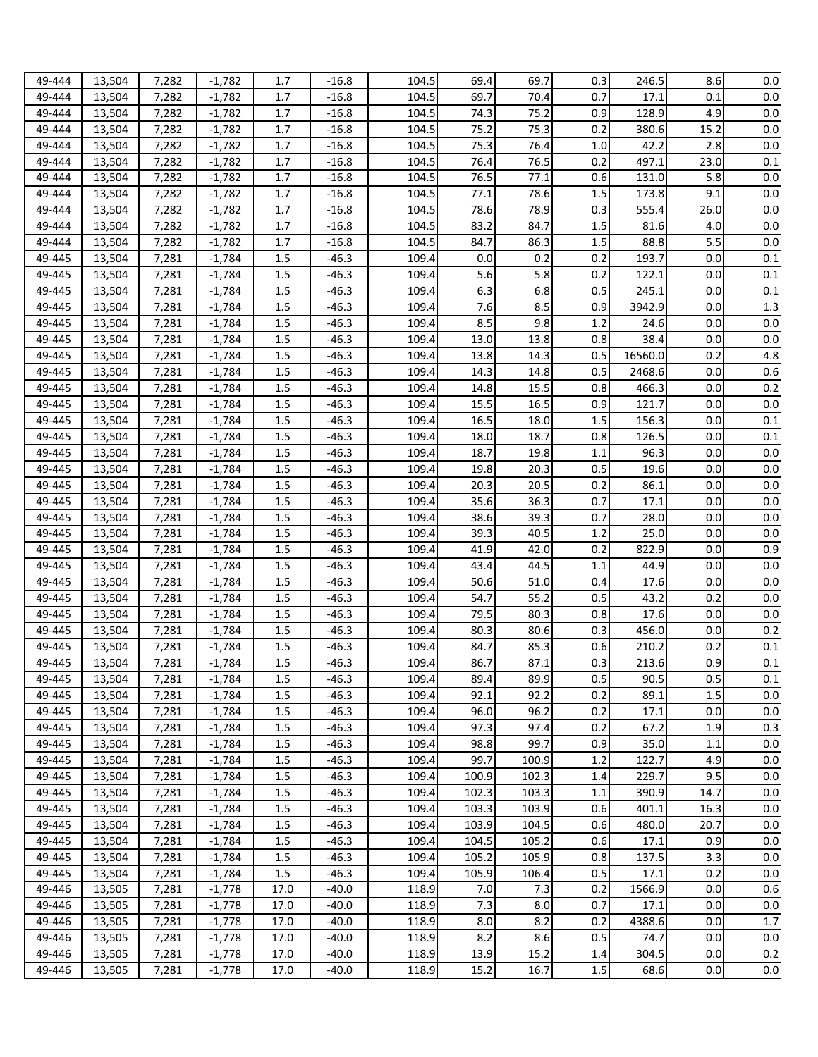| 49-444           | 13,504           | 7,282          | $-1,782$             | 1.7            | $-16.8$            | 104.5          | 69.4  | 69.7           | 0.3        | 246.5   | 8.6  | 0.0                |
|------------------|------------------|----------------|----------------------|----------------|--------------------|----------------|-------|----------------|------------|---------|------|--------------------|
| 49-444           | 13,504           | 7,282          | $-1,782$             | 1.7            | $-16.8$            | 104.5          | 69.7  | 70.4           | 0.7        | 17.1    | 0.1  | 0.0                |
| 49-444           | 13,504           | 7,282          | $-1,782$             | 1.7            | $-16.8$            | 104.5          | 74.3  | 75.2           | 0.9        | 128.9   | 4.9  | 0.0                |
| 49-444           | 13,504           | 7,282          | $-1,782$             | 1.7            | $-16.8$            | 104.5          | 75.2  | 75.3           | 0.2        | 380.6   | 15.2 | 0.0                |
| 49-444           | 13,504           | 7,282          | $-1,782$             | 1.7            | $-16.8$            | 104.5          | 75.3  | 76.4           | 1.0        | 42.2    | 2.8  | 0.0                |
| 49-444           | 13,504           | 7,282          | $-1,782$             | 1.7            | $-16.8$            | 104.5          | 76.4  | 76.5           | 0.2        | 497.1   | 23.0 | 0.1                |
| 49-444           | 13,504           | 7,282          | $-1,782$             | 1.7            | $-16.8$            | 104.5          | 76.5  | 77.1           | 0.6        | 131.0   | 5.8  | 0.0                |
|                  |                  |                |                      |                |                    |                |       |                |            |         |      |                    |
| 49-444           | 13,504           | 7,282          | $-1,782$             | 1.7            | $-16.8$            | 104.5          | 77.1  | 78.6           | 1.5        | 173.8   | 9.1  | 0.0                |
| 49-444           | 13,504           | 7,282          | $-1,782$             | 1.7            | $-16.8$            | 104.5          | 78.6  | 78.9           | 0.3        | 555.4   | 26.0 | 0.0                |
| 49-444           | 13,504           | 7,282          | $-1,782$             | 1.7            | $-16.8$            | 104.5          | 83.2  | 84.7           | 1.5        | 81.6    | 4.0  | 0.0                |
| 49-444           | 13,504           | 7,282          | $-1,782$             | 1.7            | $-16.8$            | 104.5          | 84.7  | 86.3           | 1.5        | 88.8    | 5.5  | 0.0                |
| 49-445           | 13,504           | 7,281          | $-1,784$             | 1.5            | $-46.3$            | 109.4          | 0.0   | 0.2            | 0.2        | 193.7   | 0.0  | 0.1                |
| 49-445           | 13,504           | 7,281          | $-1,784$             | 1.5            | $-46.3$            | 109.4          | 5.6   | 5.8            | 0.2        | 122.1   | 0.0  | 0.1                |
| 49-445           | 13,504           | 7,281          | $-1,784$             | 1.5            | $-46.3$            | 109.4          | 6.3   | 6.8            | 0.5        | 245.1   | 0.0  | 0.1                |
| 49-445           | 13,504           | 7,281          | $-1,784$             | 1.5            | $-46.3$            | 109.4          | 7.6   | 8.5            | 0.9        | 3942.9  | 0.0  | 1.3                |
| 49-445           | 13,504           | 7,281          | $-1,784$             | 1.5            | $-46.3$            | 109.4          | 8.5   | 9.8            | 1.2        | 24.6    | 0.0  | 0.0                |
| 49-445           | 13,504           | 7,281          | $-1,784$             | 1.5            | $-46.3$            | 109.4          | 13.0  | 13.8           | 0.8        | 38.4    | 0.0  | 0.0                |
| 49-445           | 13,504           | 7,281          | $-1,784$             | 1.5            | $-46.3$            | 109.4          | 13.8  | 14.3           | 0.5        | 16560.0 | 0.2  | 4.8                |
| 49-445           | 13,504           | 7,281          | $-1,784$             | 1.5            | $-46.3$            | 109.4          | 14.3  | 14.8           | 0.5        | 2468.6  | 0.0  | 0.6                |
| 49-445           | 13,504           | 7,281          | $-1,784$             | 1.5            | $-46.3$            | 109.4          | 14.8  | 15.5           | 0.8        | 466.3   | 0.0  | 0.2                |
| 49-445           | 13,504           | 7,281          | $-1,784$             | 1.5            | $-46.3$            | 109.4          | 15.5  | 16.5           | 0.9        | 121.7   | 0.0  | 0.0                |
| 49-445           | 13,504           | 7,281          | $-1,784$             | 1.5            | $-46.3$            | 109.4          | 16.5  | 18.0           | 1.5        | 156.3   | 0.0  | 0.1                |
| 49-445           | 13,504           | 7,281          | $-1,784$             | 1.5            | $-46.3$            | 109.4          | 18.0  | 18.7           | 0.8        | 126.5   | 0.0  | 0.1                |
| 49-445           | 13,504           | 7,281          | $-1,784$             | 1.5            | $-46.3$            | 109.4          | 18.7  | 19.8           | 1.1        | 96.3    | 0.0  | 0.0                |
| 49-445           | 13,504           | 7,281          | $-1,784$             | 1.5            | $-46.3$            | 109.4          | 19.8  | 20.3           | 0.5        | 19.6    | 0.0  | $0.0\,$            |
| 49-445           | 13,504           | 7,281          | $-1,784$             | 1.5            | $-46.3$            | 109.4          | 20.3  | 20.5           | 0.2        | 86.1    | 0.0  | 0.0                |
| 49-445           | 13,504           | 7,281          | $-1,784$             | 1.5            | $-46.3$            | 109.4          | 35.6  | 36.3           | 0.7        | 17.1    | 0.0  | 0.0                |
| 49-445           | 13,504           | 7,281          | $-1,784$             | 1.5            | $-46.3$            | 109.4          | 38.6  | 39.3           | 0.7        | 28.0    | 0.0  | 0.0                |
| 49-445           | 13,504           | 7,281          | $-1,784$             | 1.5            | $-46.3$            | 109.4          | 39.3  | 40.5           | 1.2        | 25.0    | 0.0  | 0.0                |
| 49-445           | 13,504           | 7,281          | $-1,784$             | 1.5            | $-46.3$            | 109.4          | 41.9  | 42.0           | 0.2        | 822.9   | 0.0  | 0.9                |
| 49-445           | 13,504           | 7,281          | $-1,784$             | 1.5            | $-46.3$            | 109.4          | 43.4  | 44.5           | 1.1        | 44.9    | 0.0  | 0.0                |
| 49-445           | 13,504           | 7,281          | $-1,784$             | 1.5            | $-46.3$            | 109.4          | 50.6  | 51.0           | 0.4        | 17.6    | 0.0  | 0.0                |
| 49-445           | 13,504           | 7,281          | $-1,784$             | 1.5            | $-46.3$            | 109.4          | 54.7  | 55.2           | 0.5        | 43.2    | 0.2  | 0.0                |
| 49-445           | 13,504           | 7,281          | $-1,784$             | 1.5            | $-46.3$            | 109.4          | 79.5  | 80.3           | 0.8        | 17.6    | 0.0  | 0.0                |
| 49-445           | 13,504           | 7,281          | $-1,784$             | 1.5            | $-46.3$            | 109.4          | 80.3  | 80.6           | 0.3        | 456.0   | 0.0  | 0.2                |
| 49-445           | 13,504           | 7,281          | $-1,784$             | 1.5            | $-46.3$            | 109.4          | 84.7  | 85.3           | 0.6        | 210.2   | 0.2  | 0.1                |
| 49-445           | 13,504           | 7,281          | $-1.784$             | 1.5            | $-46.3$            | 109.4          | 86.7  | 87.1           | 0.3        | 213.6   | 0.9  | 0.1                |
| 49-445           | 13,504           | 7,281          | $-1,784$             | 1.5            | $-46.3$            | 109.4          | 89.4  | 89.9           | 0.5        | 90.5    | 0.5  | $0.1\,$            |
| 49-445           | 13,504           | 7,281          | $-1,784$             | 1.5            | $-46.3$            | 109.4          | 92.1  | 92.2           | 0.2        | 89.1    | 1.5  | 0.0                |
| 49-445           | 13,504           | 7,281          | $-1,784$             | 1.5            | $-46.3$            | 109.4          | 96.0  | 96.2           | 0.2        | 17.1    | 0.0  | $0.0\,$            |
| 49-445           | 13,504           | 7,281          | $-1,784$             | 1.5            | $-46.3$            | 109.4          | 97.3  | 97.4           | 0.2        | 67.2    | 1.9  | 0.3                |
| 49-445           | 13,504           | 7,281          | $-1,784$             | 1.5            | $-46.3$            | 109.4          | 98.8  | 99.7           | 0.9        | 35.0    | 1.1  | 0.0                |
|                  |                  |                |                      |                |                    |                | 99.7  |                |            | 122.7   | 4.9  |                    |
| 49-445<br>49-445 | 13,504<br>13,504 | 7,281<br>7,281 | $-1,784$<br>$-1,784$ | $1.5\,$<br>1.5 | $-46.3$<br>$-46.3$ | 109.4<br>109.4 | 100.9 | 100.9<br>102.3 | 1.2<br>1.4 | 229.7   | 9.5  | $0.0\,$<br>$0.0\,$ |
|                  |                  |                |                      |                |                    |                |       |                |            |         |      |                    |
| 49-445           | 13,504           | 7,281          | $-1,784$             | 1.5            | $-46.3$            | 109.4          | 102.3 | 103.3          | 1.1        | 390.9   | 14.7 | 0.0                |
| 49-445           | 13,504           | 7,281          | $-1,784$             | 1.5            | $-46.3$            | 109.4          | 103.3 | 103.9          | 0.6        | 401.1   | 16.3 | 0.0                |
| 49-445           | 13,504           | 7,281          | $-1,784$             | 1.5            | $-46.3$            | 109.4          | 103.9 | 104.5          | 0.6        | 480.0   | 20.7 | 0.0                |
| 49-445           | 13,504           | 7,281          | $-1,784$             | 1.5            | $-46.3$            | 109.4          | 104.5 | 105.2          | 0.6        | 17.1    | 0.9  | 0.0                |
| 49-445           | 13,504           | 7,281          | $-1,784$             | 1.5            | $-46.3$            | 109.4          | 105.2 | 105.9          | 0.8        | 137.5   | 3.3  | 0.0                |
| 49-445           | 13,504           | 7,281          | $-1,784$             | 1.5            | $-46.3$            | 109.4          | 105.9 | 106.4          | 0.5        | 17.1    | 0.2  | 0.0                |
| 49-446           | 13,505           | 7,281          | $-1,778$             | 17.0           | $-40.0$            | 118.9          | 7.0   | 7.3            | 0.2        | 1566.9  | 0.0  | 0.6                |
| 49-446           | 13,505           | 7,281          | $-1,778$             | 17.0           | $-40.0$            | 118.9          | 7.3   | 8.0            | 0.7        | 17.1    | 0.0  | 0.0                |
| 49-446           | 13,505           | 7,281          | $-1,778$             | 17.0           | $-40.0$            | 118.9          | 8.0   | 8.2            | 0.2        | 4388.6  | 0.0  | $1.7\,$            |
| 49-446           | 13,505           | 7,281          | $-1,778$             | 17.0           | $-40.0$            | 118.9          | 8.2   | 8.6            | 0.5        | 74.7    | 0.0  | 0.0                |
| 49-446           | 13,505           | 7,281          | $-1,778$             | 17.0           | $-40.0$            | 118.9          | 13.9  | 15.2           | 1.4        | 304.5   | 0.0  | 0.2                |
| 49-446           | 13,505           | 7,281          | $-1,778$             | 17.0           | $-40.0$            | 118.9          | 15.2  | 16.7           | 1.5        | 68.6    | 0.0  | 0.0                |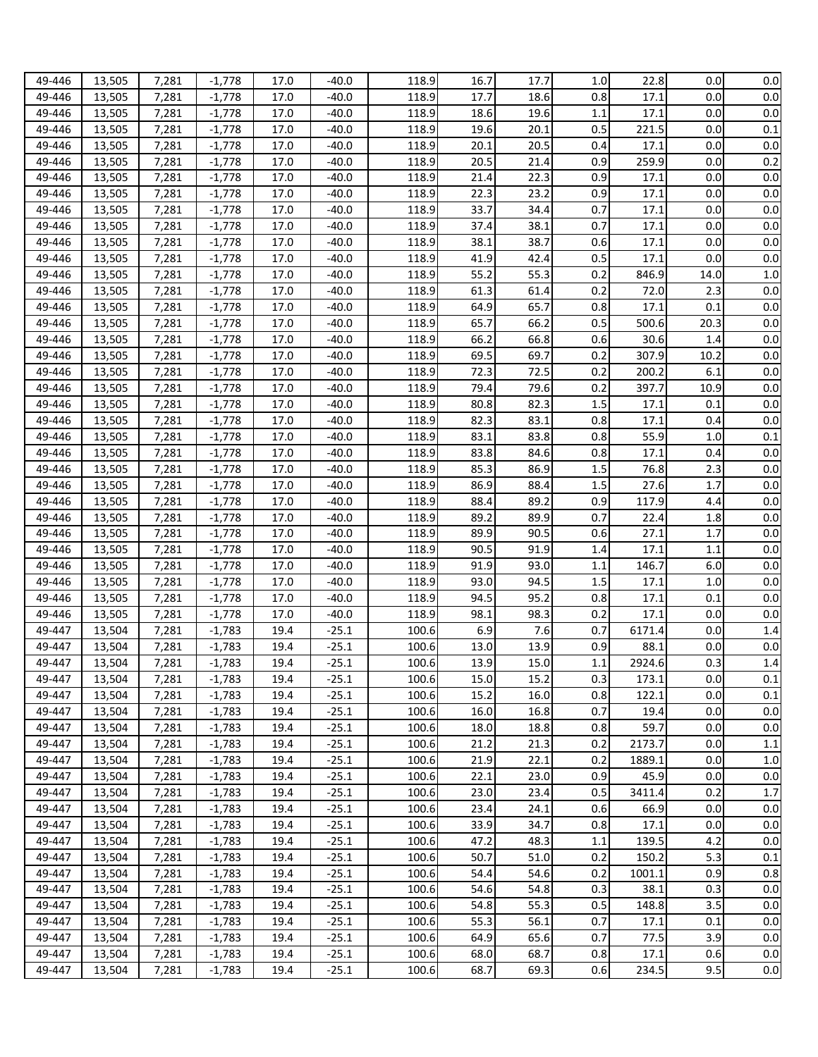| 49-446 | 13,505 | 7,281 | $-1.778$ | 17.0 | $-40.0$ | 118.9 | 16.7 | 17.7 | 1.0     | 22.8   | 0.0  | $0.0\,$ |
|--------|--------|-------|----------|------|---------|-------|------|------|---------|--------|------|---------|
|        |        |       |          |      |         |       |      |      |         |        |      |         |
| 49-446 | 13,505 | 7,281 | $-1,778$ | 17.0 | $-40.0$ | 118.9 | 17.7 | 18.6 | 0.8     | 17.1   | 0.0  | 0.0     |
| 49-446 | 13,505 | 7,281 | $-1,778$ | 17.0 | $-40.0$ | 118.9 | 18.6 | 19.6 | 1.1     | 17.1   | 0.0  | 0.0     |
| 49-446 | 13,505 | 7,281 | $-1,778$ | 17.0 | $-40.0$ | 118.9 | 19.6 | 20.1 | 0.5     | 221.5  | 0.0  | 0.1     |
| 49-446 | 13,505 | 7,281 | $-1,778$ | 17.0 | $-40.0$ | 118.9 | 20.1 | 20.5 | 0.4     | 17.1   | 0.0  | 0.0     |
| 49-446 | 13,505 | 7,281 | $-1,778$ | 17.0 | $-40.0$ | 118.9 | 20.5 | 21.4 | 0.9     | 259.9  | 0.0  | 0.2     |
| 49-446 | 13,505 | 7,281 | $-1,778$ | 17.0 | $-40.0$ | 118.9 | 21.4 | 22.3 | 0.9     | 17.1   | 0.0  | 0.0     |
| 49-446 | 13,505 | 7,281 | $-1,778$ | 17.0 | $-40.0$ | 118.9 | 22.3 | 23.2 | 0.9     | 17.1   | 0.0  | 0.0     |
| 49-446 | 13,505 | 7,281 | $-1,778$ | 17.0 | $-40.0$ | 118.9 | 33.7 | 34.4 | 0.7     | 17.1   | 0.0  | 0.0     |
| 49-446 |        |       |          |      |         |       | 37.4 |      |         |        | 0.0  | 0.0     |
|        | 13,505 | 7,281 | $-1,778$ | 17.0 | $-40.0$ | 118.9 |      | 38.1 | 0.7     | 17.1   |      |         |
| 49-446 | 13,505 | 7,281 | $-1,778$ | 17.0 | $-40.0$ | 118.9 | 38.1 | 38.7 | 0.6     | 17.1   | 0.0  | 0.0     |
| 49-446 | 13,505 | 7,281 | $-1,778$ | 17.0 | $-40.0$ | 118.9 | 41.9 | 42.4 | 0.5     | 17.1   | 0.0  | 0.0     |
| 49-446 | 13,505 | 7,281 | $-1,778$ | 17.0 | $-40.0$ | 118.9 | 55.2 | 55.3 | 0.2     | 846.9  | 14.0 | 1.0     |
| 49-446 | 13,505 | 7,281 | $-1,778$ | 17.0 | $-40.0$ | 118.9 | 61.3 | 61.4 | 0.2     | 72.0   | 2.3  | 0.0     |
| 49-446 | 13,505 | 7,281 | $-1,778$ | 17.0 | $-40.0$ | 118.9 | 64.9 | 65.7 | 0.8     | 17.1   | 0.1  | 0.0     |
| 49-446 | 13,505 | 7,281 | $-1,778$ | 17.0 | $-40.0$ | 118.9 | 65.7 | 66.2 | 0.5     | 500.6  | 20.3 | 0.0     |
| 49-446 | 13,505 | 7,281 | $-1,778$ | 17.0 | $-40.0$ | 118.9 | 66.2 | 66.8 | 0.6     | 30.6   | 1.4  | 0.0     |
| 49-446 | 13,505 | 7,281 | $-1,778$ | 17.0 | $-40.0$ | 118.9 | 69.5 | 69.7 | 0.2     | 307.9  | 10.2 | 0.0     |
| 49-446 | 13,505 | 7,281 | $-1,778$ | 17.0 | $-40.0$ | 118.9 | 72.3 | 72.5 | 0.2     | 200.2  | 6.1  | 0.0     |
| 49-446 |        | 7,281 | $-1,778$ | 17.0 | $-40.0$ | 118.9 | 79.4 | 79.6 | 0.2     | 397.7  | 10.9 | $0.0\,$ |
|        | 13,505 |       |          |      |         |       |      |      |         |        |      |         |
| 49-446 | 13,505 | 7,281 | $-1,778$ | 17.0 | $-40.0$ | 118.9 | 80.8 | 82.3 | 1.5     | 17.1   | 0.1  | 0.0     |
| 49-446 | 13,505 | 7,281 | $-1,778$ | 17.0 | $-40.0$ | 118.9 | 82.3 | 83.1 | 0.8     | 17.1   | 0.4  | 0.0     |
| 49-446 | 13,505 | 7,281 | $-1,778$ | 17.0 | $-40.0$ | 118.9 | 83.1 | 83.8 | 0.8     | 55.9   | 1.0  | 0.1     |
| 49-446 | 13,505 | 7,281 | $-1,778$ | 17.0 | $-40.0$ | 118.9 | 83.8 | 84.6 | 0.8     | 17.1   | 0.4  | $0.0\,$ |
| 49-446 | 13,505 | 7,281 | $-1,778$ | 17.0 | $-40.0$ | 118.9 | 85.3 | 86.9 | 1.5     | 76.8   | 2.3  | $0.0\,$ |
| 49-446 | 13,505 | 7,281 | $-1,778$ | 17.0 | $-40.0$ | 118.9 | 86.9 | 88.4 | 1.5     | 27.6   | 1.7  | $0.0\,$ |
| 49-446 | 13,505 | 7,281 | $-1,778$ | 17.0 | $-40.0$ | 118.9 | 88.4 | 89.2 | 0.9     | 117.9  | 4.4  | 0.0     |
| 49-446 | 13,505 | 7,281 | $-1,778$ | 17.0 | $-40.0$ | 118.9 | 89.2 | 89.9 | 0.7     | 22.4   | 1.8  | 0.0     |
| 49-446 | 13,505 | 7,281 | $-1,778$ | 17.0 | $-40.0$ | 118.9 | 89.9 | 90.5 | 0.6     | 27.1   | 1.7  | 0.0     |
| 49-446 | 13,505 | 7,281 | $-1,778$ | 17.0 | $-40.0$ | 118.9 | 90.5 | 91.9 | 1.4     | 17.1   | 1.1  | 0.0     |
|        |        |       |          | 17.0 | $-40.0$ | 118.9 | 91.9 | 93.0 | 1.1     | 146.7  | 6.0  | 0.0     |
| 49-446 | 13,505 | 7,281 | $-1,778$ |      |         |       |      |      |         |        |      |         |
| 49-446 | 13,505 | 7,281 | $-1,778$ | 17.0 | $-40.0$ | 118.9 | 93.0 | 94.5 | 1.5     | 17.1   | 1.0  | 0.0     |
| 49-446 | 13,505 | 7,281 | $-1,778$ | 17.0 | $-40.0$ | 118.9 | 94.5 | 95.2 | 0.8     | 17.1   | 0.1  | 0.0     |
| 49-446 | 13,505 | 7,281 | $-1,778$ | 17.0 | $-40.0$ | 118.9 | 98.1 | 98.3 | 0.2     | 17.1   | 0.0  | 0.0     |
| 49-447 | 13,504 | 7,281 | $-1,783$ | 19.4 | $-25.1$ | 100.6 | 6.9  | 7.6  | 0.7     | 6171.4 | 0.0  | 1.4     |
| 49-447 | 13,504 | 7,281 | $-1,783$ | 19.4 | $-25.1$ | 100.6 | 13.0 | 13.9 | 0.9     | 88.1   | 0.0  | 0.0     |
| 49-447 | 13,504 | 7,281 | $-1,783$ | 19.4 | $-25.1$ | 100.6 | 13.9 | 15.0 | $1.1\,$ | 2924.6 | 0.3  | 1.4     |
| 49-447 | 13,504 | 7,281 | $-1,783$ | 19.4 | $-25.1$ | 100.6 | 15.0 | 15.2 | 0.3     | 173.1  | 0.0  | $0.1\,$ |
| 49-447 | 13,504 | 7,281 | $-1,783$ | 19.4 | $-25.1$ | 100.6 | 15.2 | 16.0 | 0.8     | 122.1  | 0.0  | 0.1     |
| 49-447 | 13,504 | 7,281 | $-1,783$ | 19.4 | $-25.1$ | 100.6 | 16.0 | 16.8 | 0.7     | 19.4   | 0.0  | 0.0     |
| 49-447 | 13,504 | 7,281 | $-1,783$ | 19.4 | $-25.1$ | 100.6 | 18.0 | 18.8 | 0.8     | 59.7   | 0.0  | 0.0     |
| 49-447 | 13,504 | 7,281 | $-1,783$ | 19.4 | $-25.1$ | 100.6 | 21.2 | 21.3 | 0.2     | 2173.7 | 0.0  | 1.1     |
| 49-447 | 13,504 | 7,281 | $-1,783$ | 19.4 | $-25.1$ | 100.6 | 21.9 | 22.1 | 0.2     | 1889.1 | 0.0  |         |
|        |        |       |          |      |         |       |      |      |         |        |      | 1.0     |
| 49-447 | 13,504 | 7,281 | $-1,783$ | 19.4 | $-25.1$ | 100.6 | 22.1 | 23.0 | 0.9     | 45.9   | 0.0  | $0.0\,$ |
| 49-447 | 13,504 | 7,281 | $-1,783$ | 19.4 | $-25.1$ | 100.6 | 23.0 | 23.4 | 0.5     | 3411.4 | 0.2  | 1.7     |
| 49-447 | 13,504 | 7,281 | $-1,783$ | 19.4 | $-25.1$ | 100.6 | 23.4 | 24.1 | 0.6     | 66.9   | 0.0  | 0.0     |
| 49-447 | 13,504 | 7,281 | $-1,783$ | 19.4 | $-25.1$ | 100.6 | 33.9 | 34.7 | 0.8     | 17.1   | 0.0  | 0.0     |
| 49-447 | 13,504 | 7,281 | $-1,783$ | 19.4 | $-25.1$ | 100.6 | 47.2 | 48.3 | 1.1     | 139.5  | 4.2  | 0.0     |
| 49-447 | 13,504 | 7,281 | $-1,783$ | 19.4 | $-25.1$ | 100.6 | 50.7 | 51.0 | 0.2     | 150.2  | 5.3  | 0.1     |
| 49-447 | 13,504 | 7,281 | $-1,783$ | 19.4 | $-25.1$ | 100.6 | 54.4 | 54.6 | 0.2     | 1001.1 | 0.9  | 0.8     |
| 49-447 | 13,504 | 7,281 | $-1,783$ | 19.4 | $-25.1$ | 100.6 | 54.6 | 54.8 | 0.3     | 38.1   | 0.3  | 0.0     |
| 49-447 | 13,504 | 7,281 | $-1,783$ | 19.4 | $-25.1$ | 100.6 | 54.8 | 55.3 | 0.5     | 148.8  | 3.5  | 0.0     |
| 49-447 | 13,504 | 7,281 | $-1,783$ | 19.4 | $-25.1$ | 100.6 | 55.3 | 56.1 | 0.7     | 17.1   | 0.1  | 0.0     |
| 49-447 | 13,504 | 7,281 | $-1,783$ | 19.4 | $-25.1$ | 100.6 | 64.9 | 65.6 | 0.7     | 77.5   | 3.9  | 0.0     |
|        |        |       |          |      |         |       |      |      |         |        |      |         |
| 49-447 | 13,504 | 7,281 | $-1,783$ | 19.4 | $-25.1$ | 100.6 | 68.0 | 68.7 | 0.8     | 17.1   | 0.6  | 0.0     |
| 49-447 | 13,504 | 7,281 | $-1,783$ | 19.4 | $-25.1$ | 100.6 | 68.7 | 69.3 | 0.6     | 234.5  | 9.5  | 0.0     |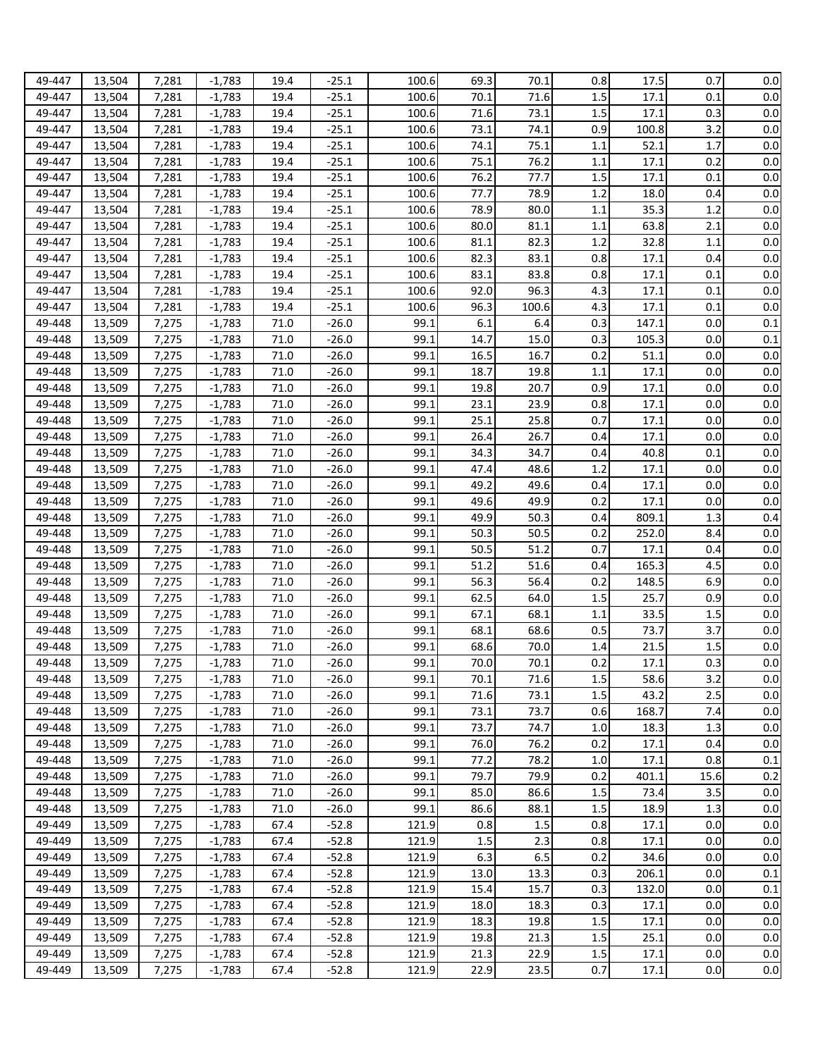| 49-447 | 13,504 | 7,281 | $-1.783$ | 19.4 | $-25.1$ | 100.6 | 69.3 | 70.1  | 0.8     | 17.5  | 0.7  | 0.0 |
|--------|--------|-------|----------|------|---------|-------|------|-------|---------|-------|------|-----|
| 49-447 | 13,504 | 7,281 | $-1,783$ | 19.4 | $-25.1$ | 100.6 | 70.1 | 71.6  | 1.5     | 17.1  | 0.1  | 0.0 |
| 49-447 | 13,504 | 7,281 | $-1,783$ | 19.4 | $-25.1$ | 100.6 | 71.6 | 73.1  | 1.5     | 17.1  | 0.3  | 0.0 |
|        |        |       |          |      |         |       |      |       |         |       |      |     |
| 49-447 | 13,504 | 7,281 | $-1,783$ | 19.4 | $-25.1$ | 100.6 | 73.1 | 74.1  | 0.9     | 100.8 | 3.2  | 0.0 |
| 49-447 | 13,504 | 7,281 | $-1,783$ | 19.4 | $-25.1$ | 100.6 | 74.1 | 75.1  | 1.1     | 52.1  | 1.7  | 0.0 |
| 49-447 | 13,504 | 7,281 | $-1,783$ | 19.4 | $-25.1$ | 100.6 | 75.1 | 76.2  | 1.1     | 17.1  | 0.2  | 0.0 |
| 49-447 | 13,504 | 7,281 | $-1,783$ | 19.4 | $-25.1$ | 100.6 | 76.2 | 77.7  | 1.5     | 17.1  | 0.1  | 0.0 |
| 49-447 | 13,504 | 7,281 | $-1,783$ | 19.4 | $-25.1$ | 100.6 | 77.7 | 78.9  | 1.2     | 18.0  | 0.4  | 0.0 |
| 49-447 | 13,504 | 7,281 | $-1,783$ | 19.4 | $-25.1$ | 100.6 | 78.9 | 80.0  | 1.1     | 35.3  | 1.2  | 0.0 |
| 49-447 | 13,504 | 7,281 | $-1,783$ | 19.4 | $-25.1$ | 100.6 | 80.0 | 81.1  | 1.1     | 63.8  | 2.1  | 0.0 |
| 49-447 | 13,504 | 7,281 | $-1,783$ | 19.4 | $-25.1$ | 100.6 | 81.1 | 82.3  | 1.2     | 32.8  | 1.1  | 0.0 |
| 49-447 | 13,504 | 7,281 | $-1,783$ | 19.4 | $-25.1$ | 100.6 | 82.3 | 83.1  | 0.8     | 17.1  | 0.4  | 0.0 |
| 49-447 | 13,504 | 7,281 | $-1,783$ | 19.4 | $-25.1$ | 100.6 | 83.1 | 83.8  | 0.8     | 17.1  | 0.1  | 0.0 |
| 49-447 | 13,504 | 7,281 | $-1,783$ | 19.4 | $-25.1$ | 100.6 | 92.0 | 96.3  | 4.3     | 17.1  | 0.1  | 0.0 |
| 49-447 |        | 7,281 | $-1,783$ | 19.4 | $-25.1$ | 100.6 | 96.3 | 100.6 | 4.3     | 17.1  | 0.1  | 0.0 |
|        | 13,504 |       |          |      |         |       |      |       |         |       |      |     |
| 49-448 | 13,509 | 7,275 | $-1,783$ | 71.0 | $-26.0$ | 99.1  | 6.1  | 6.4   | 0.3     | 147.1 | 0.0  | 0.1 |
| 49-448 | 13,509 | 7,275 | $-1,783$ | 71.0 | $-26.0$ | 99.1  | 14.7 | 15.0  | 0.3     | 105.3 | 0.0  | 0.1 |
| 49-448 | 13,509 | 7,275 | $-1,783$ | 71.0 | $-26.0$ | 99.1  | 16.5 | 16.7  | 0.2     | 51.1  | 0.0  | 0.0 |
| 49-448 | 13,509 | 7,275 | $-1,783$ | 71.0 | $-26.0$ | 99.1  | 18.7 | 19.8  | 1.1     | 17.1  | 0.0  | 0.0 |
| 49-448 | 13,509 | 7,275 | $-1,783$ | 71.0 | $-26.0$ | 99.1  | 19.8 | 20.7  | 0.9     | 17.1  | 0.0  | 0.0 |
| 49-448 | 13,509 | 7,275 | $-1,783$ | 71.0 | $-26.0$ | 99.1  | 23.1 | 23.9  | 0.8     | 17.1  | 0.0  | 0.0 |
| 49-448 | 13,509 | 7,275 | $-1,783$ | 71.0 | $-26.0$ | 99.1  | 25.1 | 25.8  | 0.7     | 17.1  | 0.0  | 0.0 |
| 49-448 | 13,509 | 7,275 | $-1,783$ | 71.0 | $-26.0$ | 99.1  | 26.4 | 26.7  | 0.4     | 17.1  | 0.0  | 0.0 |
| 49-448 | 13,509 | 7,275 | $-1,783$ | 71.0 | $-26.0$ | 99.1  | 34.3 | 34.7  | 0.4     | 40.8  | 0.1  | 0.0 |
| 49-448 | 13,509 | 7,275 | $-1,783$ | 71.0 | $-26.0$ | 99.1  | 47.4 | 48.6  | 1.2     | 17.1  | 0.0  | 0.0 |
| 49-448 | 13,509 | 7,275 | $-1,783$ | 71.0 | $-26.0$ | 99.1  | 49.2 | 49.6  | 0.4     | 17.1  | 0.0  | 0.0 |
| 49-448 | 13,509 | 7,275 | $-1,783$ | 71.0 | $-26.0$ | 99.1  | 49.6 | 49.9  | 0.2     | 17.1  | 0.0  | 0.0 |
| 49-448 | 13,509 | 7,275 | $-1,783$ | 71.0 | $-26.0$ | 99.1  | 49.9 | 50.3  | 0.4     | 809.1 | 1.3  | 0.4 |
| 49-448 | 13,509 | 7,275 | $-1,783$ | 71.0 | $-26.0$ | 99.1  | 50.3 | 50.5  | 0.2     | 252.0 | 8.4  | 0.0 |
| 49-448 | 13,509 | 7,275 | $-1,783$ | 71.0 | $-26.0$ | 99.1  | 50.5 | 51.2  | 0.7     | 17.1  | 0.4  | 0.0 |
| 49-448 | 13,509 | 7,275 | $-1,783$ | 71.0 | $-26.0$ | 99.1  | 51.2 | 51.6  | 0.4     | 165.3 | 4.5  | 0.0 |
| 49-448 | 13,509 | 7,275 | $-1,783$ | 71.0 | $-26.0$ | 99.1  | 56.3 | 56.4  | 0.2     | 148.5 | 6.9  | 0.0 |
|        |        |       |          |      |         |       |      |       |         |       |      |     |
| 49-448 | 13,509 | 7,275 | $-1,783$ | 71.0 | $-26.0$ | 99.1  | 62.5 | 64.0  | 1.5     | 25.7  | 0.9  | 0.0 |
| 49-448 | 13,509 | 7,275 | $-1,783$ | 71.0 | $-26.0$ | 99.1  | 67.1 | 68.1  | 1.1     | 33.5  | 1.5  | 0.0 |
| 49-448 | 13,509 | 7,275 | $-1,783$ | 71.0 | $-26.0$ | 99.1  | 68.1 | 68.6  | 0.5     | 73.7  | 3.7  | 0.0 |
| 49-448 | 13,509 | 7,275 | $-1,783$ | 71.0 | $-26.0$ | 99.1  | 68.6 | 70.0  | 1.4     | 21.5  | 1.5  | 0.0 |
| 49-448 | 13,509 | 7,275 | $-1,783$ | 71.0 | $-26.0$ | 99.1  | 70.0 | 70.1  | 0.2     | 17.1  | 0.3  | 0.0 |
| 49-448 | 13,509 | 7,275 | $-1,783$ | 71.0 | $-26.0$ | 99.1  | 70.1 | 71.6  | 1.5     | 58.6  | 3.2  | 0.0 |
| 49-448 | 13,509 | 7,275 | $-1,783$ | 71.0 | $-26.0$ | 99.1  | 71.6 | 73.1  | 1.5     | 43.2  | 2.5  | 0.0 |
| 49-448 | 13,509 | 7,275 | $-1,783$ | 71.0 | $-26.0$ | 99.1  | 73.1 | 73.7  | 0.6     | 168.7 | 7.4  | 0.0 |
| 49-448 | 13,509 | 7,275 | $-1,783$ | 71.0 | $-26.0$ | 99.1  | 73.7 | 74.7  | 1.0     | 18.3  | 1.3  | 0.0 |
| 49-448 | 13,509 | 7,275 | $-1,783$ | 71.0 | $-26.0$ | 99.1  | 76.0 | 76.2  | 0.2     | 17.1  | 0.4  | 0.0 |
| 49-448 | 13,509 | 7,275 | $-1,783$ | 71.0 | $-26.0$ | 99.1  | 77.2 | 78.2  | 1.0     | 17.1  | 0.8  | 0.1 |
| 49-448 | 13,509 | 7,275 | $-1,783$ | 71.0 | $-26.0$ | 99.1  | 79.7 | 79.9  | 0.2     | 401.1 | 15.6 | 0.2 |
| 49-448 | 13,509 | 7,275 | $-1,783$ | 71.0 | $-26.0$ | 99.1  | 85.0 | 86.6  | 1.5     | 73.4  | 3.5  | 0.0 |
| 49-448 | 13,509 | 7,275 | $-1,783$ | 71.0 | $-26.0$ | 99.1  | 86.6 | 88.1  | 1.5     | 18.9  | 1.3  | 0.0 |
| 49-449 | 13,509 | 7,275 | $-1,783$ | 67.4 | $-52.8$ | 121.9 | 0.8  | 1.5   | 0.8     | 17.1  | 0.0  | 0.0 |
| 49-449 | 13,509 | 7,275 | $-1,783$ | 67.4 | $-52.8$ | 121.9 | 1.5  | 2.3   | 0.8     | 17.1  | 0.0  | 0.0 |
| 49-449 | 13,509 | 7,275 | $-1,783$ | 67.4 | $-52.8$ | 121.9 | 6.3  | 6.5   | 0.2     | 34.6  | 0.0  | 0.0 |
| 49-449 |        |       |          |      |         |       |      | 13.3  | 0.3     |       | 0.0  |     |
|        | 13,509 | 7,275 | $-1,783$ | 67.4 | $-52.8$ | 121.9 | 13.0 |       |         | 206.1 |      | 0.1 |
| 49-449 | 13,509 | 7,275 | $-1,783$ | 67.4 | $-52.8$ | 121.9 | 15.4 | 15.7  | 0.3     | 132.0 | 0.0  | 0.1 |
| 49-449 | 13,509 | 7,275 | $-1,783$ | 67.4 | $-52.8$ | 121.9 | 18.0 | 18.3  | 0.3     | 17.1  | 0.0  | 0.0 |
| 49-449 | 13,509 | 7,275 | $-1,783$ | 67.4 | $-52.8$ | 121.9 | 18.3 | 19.8  | 1.5     | 17.1  | 0.0  | 0.0 |
| 49-449 | 13,509 | 7,275 | $-1,783$ | 67.4 | $-52.8$ | 121.9 | 19.8 | 21.3  | 1.5     | 25.1  | 0.0  | 0.0 |
| 49-449 | 13,509 | 7,275 | $-1,783$ | 67.4 | $-52.8$ | 121.9 | 21.3 | 22.9  | $1.5\,$ | 17.1  | 0.0  | 0.0 |
| 49-449 | 13,509 | 7,275 | $-1,783$ | 67.4 | $-52.8$ | 121.9 | 22.9 | 23.5  | 0.7     | 17.1  | 0.0  | 0.0 |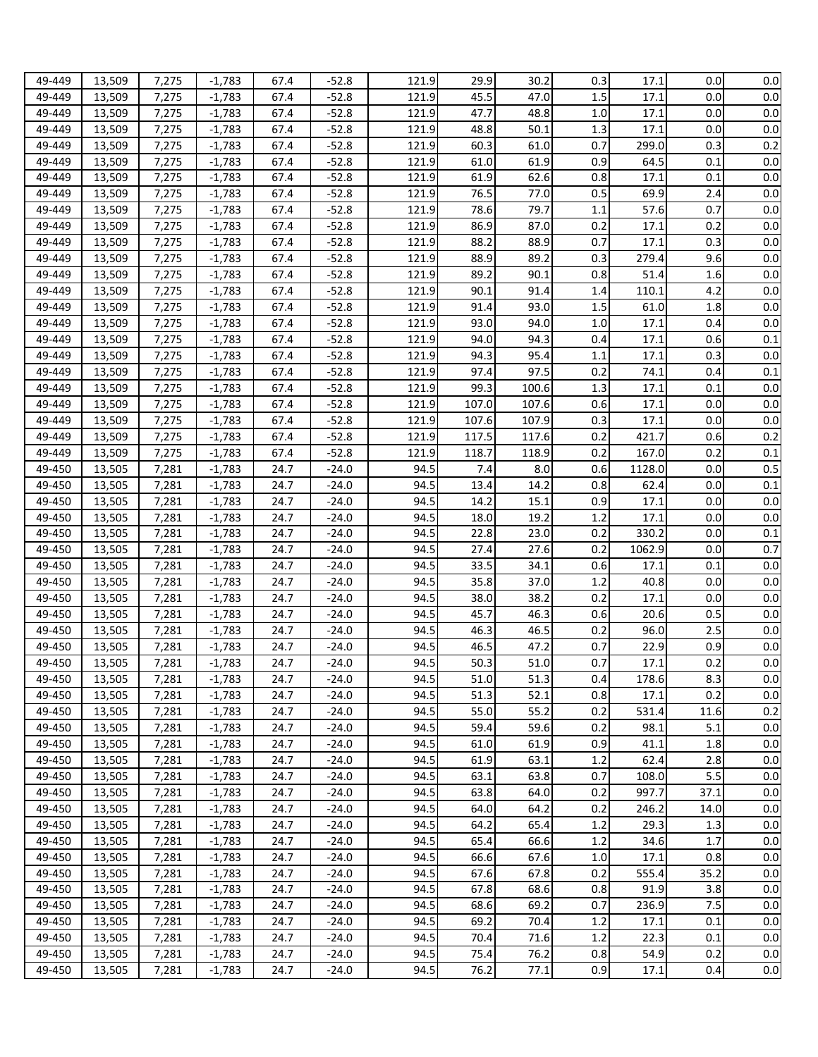| 49-449 | 13,509 | 7,275 | $-1.783$ | 67.4 | $-52.8$ | 121.9 | 29.9  | 30.2  | 0.3 | 17.1   | 0.0  | $0.0\,$ |
|--------|--------|-------|----------|------|---------|-------|-------|-------|-----|--------|------|---------|
| 49-449 | 13,509 | 7,275 | $-1,783$ | 67.4 | $-52.8$ | 121.9 | 45.5  | 47.0  | 1.5 | 17.1   | 0.0  | 0.0     |
| 49-449 | 13,509 | 7,275 | $-1,783$ | 67.4 | $-52.8$ | 121.9 | 47.7  | 48.8  | 1.0 | 17.1   | 0.0  | 0.0     |
| 49-449 | 13,509 | 7,275 | $-1,783$ | 67.4 | $-52.8$ | 121.9 | 48.8  | 50.1  | 1.3 | 17.1   | 0.0  | 0.0     |
| 49-449 | 13,509 | 7,275 | $-1,783$ | 67.4 | $-52.8$ | 121.9 | 60.3  | 61.0  | 0.7 | 299.0  | 0.3  | 0.2     |
| 49-449 | 13,509 | 7,275 | $-1,783$ | 67.4 | $-52.8$ | 121.9 | 61.0  | 61.9  | 0.9 | 64.5   | 0.1  | 0.0     |
| 49-449 |        |       |          | 67.4 |         |       | 61.9  | 62.6  |     | 17.1   | 0.1  | 0.0     |
|        | 13,509 | 7,275 | $-1,783$ |      | $-52.8$ | 121.9 |       |       | 0.8 |        |      |         |
| 49-449 | 13,509 | 7,275 | $-1,783$ | 67.4 | $-52.8$ | 121.9 | 76.5  | 77.0  | 0.5 | 69.9   | 2.4  | 0.0     |
| 49-449 | 13,509 | 7,275 | $-1,783$ | 67.4 | $-52.8$ | 121.9 | 78.6  | 79.7  | 1.1 | 57.6   | 0.7  | 0.0     |
| 49-449 | 13,509 | 7,275 | $-1,783$ | 67.4 | $-52.8$ | 121.9 | 86.9  | 87.0  | 0.2 | 17.1   | 0.2  | 0.0     |
| 49-449 | 13,509 | 7,275 | $-1,783$ | 67.4 | $-52.8$ | 121.9 | 88.2  | 88.9  | 0.7 | 17.1   | 0.3  | 0.0     |
| 49-449 | 13,509 | 7,275 | $-1,783$ | 67.4 | $-52.8$ | 121.9 | 88.9  | 89.2  | 0.3 | 279.4  | 9.6  | 0.0     |
| 49-449 | 13,509 | 7,275 | $-1,783$ | 67.4 | $-52.8$ | 121.9 | 89.2  | 90.1  | 0.8 | 51.4   | 1.6  | 0.0     |
| 49-449 | 13,509 | 7,275 | $-1,783$ | 67.4 | $-52.8$ | 121.9 | 90.1  | 91.4  | 1.4 | 110.1  | 4.2  | 0.0     |
| 49-449 | 13,509 | 7,275 | $-1,783$ | 67.4 | $-52.8$ | 121.9 | 91.4  | 93.0  | 1.5 | 61.0   | 1.8  | 0.0     |
| 49-449 | 13,509 | 7,275 | $-1,783$ | 67.4 | $-52.8$ | 121.9 | 93.0  | 94.0  | 1.0 | 17.1   | 0.4  | 0.0     |
| 49-449 | 13,509 | 7,275 | $-1,783$ | 67.4 | $-52.8$ | 121.9 | 94.0  | 94.3  | 0.4 | 17.1   | 0.6  | 0.1     |
| 49-449 | 13,509 | 7,275 | $-1,783$ | 67.4 | $-52.8$ | 121.9 | 94.3  | 95.4  | 1.1 | 17.1   | 0.3  | 0.0     |
| 49-449 | 13,509 | 7,275 | $-1,783$ | 67.4 | $-52.8$ | 121.9 | 97.4  | 97.5  | 0.2 | 74.1   | 0.4  | 0.1     |
| 49-449 | 13,509 | 7,275 | $-1,783$ | 67.4 | $-52.8$ | 121.9 | 99.3  | 100.6 | 1.3 | 17.1   | 0.1  | $0.0\,$ |
| 49-449 | 13,509 | 7,275 | $-1,783$ | 67.4 | $-52.8$ | 121.9 | 107.0 | 107.6 | 0.6 | 17.1   | 0.0  | 0.0     |
| 49-449 | 13,509 | 7,275 | $-1,783$ | 67.4 | $-52.8$ | 121.9 | 107.6 | 107.9 | 0.3 | 17.1   | 0.0  | 0.0     |
| 49-449 | 13,509 | 7,275 | $-1,783$ | 67.4 | $-52.8$ | 121.9 | 117.5 | 117.6 | 0.2 | 421.7  | 0.6  | 0.2     |
| 49-449 | 13,509 | 7,275 | $-1,783$ | 67.4 | $-52.8$ | 121.9 | 118.7 | 118.9 | 0.2 | 167.0  | 0.2  | 0.1     |
| 49-450 | 13,505 | 7,281 | $-1,783$ | 24.7 | $-24.0$ | 94.5  | 7.4   | 8.0   | 0.6 | 1128.0 | 0.0  | 0.5     |
| 49-450 | 13,505 | 7,281 | $-1,783$ | 24.7 | $-24.0$ | 94.5  | 13.4  | 14.2  | 0.8 | 62.4   | 0.0  | 0.1     |
| 49-450 | 13,505 | 7,281 | $-1,783$ | 24.7 | $-24.0$ | 94.5  | 14.2  | 15.1  | 0.9 | 17.1   | 0.0  | 0.0     |
| 49-450 | 13,505 | 7,281 | $-1,783$ | 24.7 | $-24.0$ | 94.5  | 18.0  | 19.2  | 1.2 | 17.1   | 0.0  | 0.0     |
| 49-450 | 13,505 | 7,281 | $-1,783$ | 24.7 | $-24.0$ | 94.5  | 22.8  | 23.0  | 0.2 | 330.2  | 0.0  | 0.1     |
| 49-450 | 13,505 | 7,281 | $-1,783$ | 24.7 | $-24.0$ | 94.5  | 27.4  | 27.6  | 0.2 | 1062.9 | 0.0  | 0.7     |
| 49-450 | 13,505 | 7,281 | $-1,783$ | 24.7 | $-24.0$ | 94.5  | 33.5  | 34.1  | 0.6 | 17.1   | 0.1  | 0.0     |
| 49-450 |        |       |          | 24.7 | $-24.0$ | 94.5  | 35.8  | 37.0  | 1.2 | 40.8   | 0.0  | 0.0     |
|        | 13,505 | 7,281 | $-1,783$ |      |         |       |       |       |     |        |      |         |
| 49-450 | 13,505 | 7,281 | $-1,783$ | 24.7 | $-24.0$ | 94.5  | 38.0  | 38.2  | 0.2 | 17.1   | 0.0  | 0.0     |
| 49-450 | 13,505 | 7,281 | $-1,783$ | 24.7 | $-24.0$ | 94.5  | 45.7  | 46.3  | 0.6 | 20.6   | 0.5  | 0.0     |
| 49-450 | 13,505 | 7,281 | $-1,783$ | 24.7 | $-24.0$ | 94.5  | 46.3  | 46.5  | 0.2 | 96.0   | 2.5  | 0.0     |
| 49-450 | 13,505 | 7,281 | $-1,783$ | 24.7 | $-24.0$ | 94.5  | 46.5  | 47.2  | 0.7 | 22.9   | 0.9  | 0.0     |
| 49-450 | 13,505 | 7,281 | $-1,783$ | 24.7 | $-24.0$ | 94.5  | 50.3  | 51.0  | 0.7 | 17.1   | 0.2  | $0.0\,$ |
| 49-450 | 13,505 | 7,281 | $-1,783$ | 24.7 | $-24.0$ | 94.5  | 51.0  | 51.3  | 0.4 | 178.6  | 8.3  | 0.0     |
| 49-450 | 13,505 | 7,281 | $-1,783$ | 24.7 | $-24.0$ | 94.5  | 51.3  | 52.1  | 0.8 | 17.1   | 0.2  | 0.0     |
| 49-450 | 13,505 | 7,281 | $-1,783$ | 24.7 | $-24.0$ | 94.5  | 55.0  | 55.2  | 0.2 | 531.4  | 11.6 | 0.2     |
| 49-450 | 13,505 | 7,281 | $-1,783$ | 24.7 | $-24.0$ | 94.5  | 59.4  | 59.6  | 0.2 | 98.1   | 5.1  | 0.0     |
| 49-450 | 13,505 | 7,281 | $-1,783$ | 24.7 | $-24.0$ | 94.5  | 61.0  | 61.9  | 0.9 | 41.1   | 1.8  | 0.0     |
| 49-450 | 13,505 | 7,281 | $-1,783$ | 24.7 | $-24.0$ | 94.5  | 61.9  | 63.1  | 1.2 | 62.4   | 2.8  | $0.0\,$ |
| 49-450 | 13,505 | 7,281 | $-1,783$ | 24.7 | $-24.0$ | 94.5  | 63.1  | 63.8  | 0.7 | 108.0  | 5.5  | 0.0     |
| 49-450 | 13,505 | 7,281 | $-1,783$ | 24.7 | $-24.0$ | 94.5  | 63.8  | 64.0  | 0.2 | 997.7  | 37.1 | 0.0     |
| 49-450 | 13,505 | 7,281 | $-1,783$ | 24.7 | $-24.0$ | 94.5  | 64.0  | 64.2  | 0.2 | 246.2  | 14.0 | 0.0     |
| 49-450 | 13,505 | 7,281 | $-1,783$ | 24.7 | $-24.0$ | 94.5  | 64.2  | 65.4  | 1.2 | 29.3   | 1.3  | 0.0     |
| 49-450 | 13,505 | 7,281 | $-1,783$ | 24.7 | $-24.0$ | 94.5  | 65.4  | 66.6  | 1.2 | 34.6   | 1.7  | 0.0     |
| 49-450 | 13,505 | 7,281 | $-1,783$ | 24.7 | $-24.0$ | 94.5  | 66.6  | 67.6  | 1.0 | 17.1   | 0.8  | 0.0     |
| 49-450 | 13,505 | 7,281 | $-1,783$ | 24.7 | $-24.0$ | 94.5  | 67.6  | 67.8  | 0.2 | 555.4  | 35.2 | 0.0     |
| 49-450 | 13,505 | 7,281 | $-1,783$ | 24.7 | $-24.0$ | 94.5  | 67.8  | 68.6  | 0.8 | 91.9   | 3.8  | 0.0     |
| 49-450 | 13,505 | 7,281 | $-1,783$ | 24.7 | $-24.0$ | 94.5  | 68.6  | 69.2  | 0.7 | 236.9  | 7.5  | 0.0     |
| 49-450 | 13,505 | 7,281 | $-1,783$ | 24.7 | $-24.0$ | 94.5  | 69.2  | 70.4  | 1.2 | 17.1   | 0.1  | 0.0     |
| 49-450 | 13,505 | 7,281 | $-1,783$ | 24.7 | $-24.0$ | 94.5  | 70.4  | 71.6  | 1.2 | 22.3   | 0.1  | 0.0     |
| 49-450 | 13,505 | 7,281 | $-1,783$ | 24.7 | $-24.0$ | 94.5  | 75.4  | 76.2  | 0.8 | 54.9   | 0.2  | 0.0     |
| 49-450 | 13,505 | 7,281 | $-1,783$ | 24.7 | $-24.0$ | 94.5  | 76.2  | 77.1  | 0.9 | 17.1   | 0.4  | 0.0     |
|        |        |       |          |      |         |       |       |       |     |        |      |         |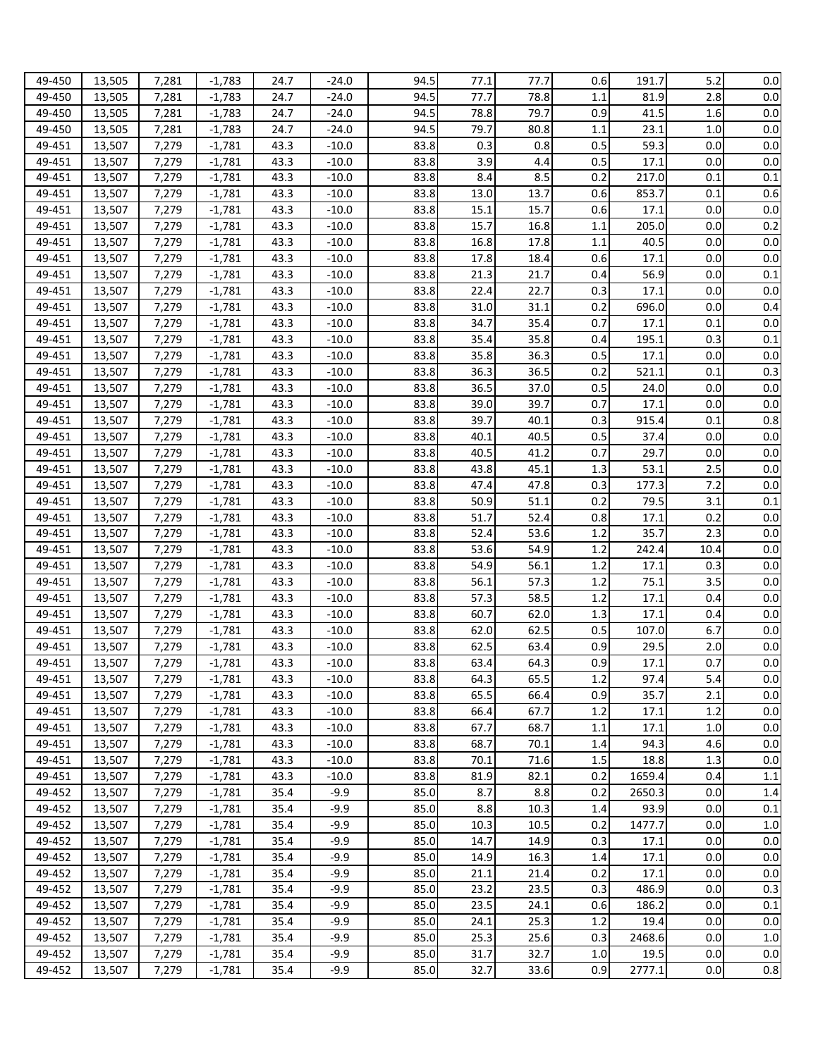| 49-450           | 13,505           | 7,281          | $-1,783$             | 24.7         | $-24.0$          | 94.5 | 77.1         | 77.7         | 0.6        | 191.7  | 5.2  | 0.0            |
|------------------|------------------|----------------|----------------------|--------------|------------------|------|--------------|--------------|------------|--------|------|----------------|
| 49-450           | 13,505           | 7,281          | $-1,783$             | 24.7         | -24.0            | 94.5 | 77.7         | 78.8         | 1.1        | 81.9   | 2.8  | 0.0            |
| 49-450           | 13,505           | 7,281          | $-1,783$             | 24.7         | $-24.0$          | 94.5 | 78.8         | 79.7         | 0.9        | 41.5   | 1.6  | 0.0            |
| 49-450           | 13,505           | 7,281          | $-1,783$             | 24.7         | $-24.0$          | 94.5 | 79.7         | 80.8         | 1.1        | 23.1   | 1.0  | 0.0            |
| 49-451           | 13,507           | 7,279          | $-1,781$             | 43.3         | $-10.0$          | 83.8 | 0.3          | 0.8          | 0.5        | 59.3   | 0.0  | 0.0            |
| 49-451           | 13,507           | 7,279          | $-1,781$             | 43.3         | $-10.0$          | 83.8 | 3.9          | 4.4          | 0.5        | 17.1   | 0.0  | 0.0            |
| 49-451           | 13,507           | 7,279          | $-1,781$             | 43.3         | $-10.0$          | 83.8 | 8.4          | 8.5          | 0.2        | 217.0  | 0.1  | 0.1            |
| 49-451           | 13,507           | 7,279          | $-1,781$             | 43.3         | $-10.0$          | 83.8 | 13.0         | 13.7         | 0.6        | 853.7  | 0.1  | 0.6            |
| 49-451           | 13,507           | 7,279          | $-1,781$             | 43.3         | $-10.0$          | 83.8 | 15.1         | 15.7         | 0.6        | 17.1   | 0.0  | 0.0            |
| 49-451           | 13,507           | 7,279          | $-1,781$             | 43.3         | $-10.0$          | 83.8 | 15.7         | 16.8         | 1.1        | 205.0  | 0.0  | 0.2            |
| 49-451           | 13,507           | 7,279          | $-1,781$             | 43.3         | $-10.0$          | 83.8 | 16.8         | 17.8         | 1.1        | 40.5   | 0.0  | 0.0            |
| 49-451           | 13,507           | 7,279          | $-1,781$             | 43.3         | $-10.0$          | 83.8 | 17.8         | 18.4         | 0.6        | 17.1   | 0.0  | 0.0            |
| 49-451           | 13,507           | 7,279          | $-1,781$             | 43.3         | $-10.0$          | 83.8 | 21.3         | 21.7         | 0.4        | 56.9   | 0.0  | 0.1            |
| 49-451           | 13,507           | 7,279          | $-1,781$             | 43.3         | $-10.0$          | 83.8 | 22.4         | 22.7         | 0.3        | 17.1   | 0.0  | 0.0            |
| 49-451           | 13,507           | 7,279          | $-1,781$             | 43.3         | $-10.0$          | 83.8 | 31.0         | 31.1         | 0.2        | 696.0  | 0.0  | 0.4            |
| 49-451           | 13,507           | 7,279          | $-1,781$             | 43.3         | $-10.0$          | 83.8 | 34.7         | 35.4         | 0.7        | 17.1   | 0.1  | 0.0            |
| 49-451           | 13,507           | 7,279          | $-1,781$             | 43.3         | $-10.0$          | 83.8 | 35.4         | 35.8         | 0.4        | 195.1  | 0.3  | 0.1            |
| 49-451           | 13,507           | 7,279          | $-1,781$             | 43.3         | $-10.0$          | 83.8 | 35.8         | 36.3         | 0.5        | 17.1   | 0.0  | 0.0            |
| 49-451           | 13,507           | 7,279          | $-1,781$             | 43.3         | $-10.0$          | 83.8 | 36.3         | 36.5         | 0.2        | 521.1  | 0.1  | 0.3            |
| 49-451           | 13,507           | 7,279          | $-1,781$             | 43.3         | $-10.0$          | 83.8 | 36.5         | 37.0         | 0.5        | 24.0   | 0.0  | 0.0            |
| 49-451           | 13,507           | 7,279          | $-1,781$             | 43.3         | $-10.0$          | 83.8 | 39.0         | 39.7         | 0.7        | 17.1   | 0.0  | 0.0            |
| 49-451           | 13,507           | 7,279          | $-1,781$             | 43.3         | $-10.0$          | 83.8 | 39.7         | 40.1         | 0.3        | 915.4  | 0.1  | 0.8            |
| 49-451           | 13,507           | 7,279          | $-1,781$             | 43.3         | $-10.0$          | 83.8 | 40.1         | 40.5         | 0.5        | 37.4   | 0.0  | 0.0            |
| 49-451           | 13,507           | 7,279          | $-1,781$             | 43.3         | $-10.0$          | 83.8 | 40.5         | 41.2         | 0.7        | 29.7   | 0.0  | 0.0            |
| 49-451           | 13,507           | 7,279          | $-1,781$             | 43.3         | $-10.0$          | 83.8 | 43.8         | 45.1         | 1.3        | 53.1   | 2.5  | 0.0            |
| 49-451           | 13,507           | 7,279          | $-1,781$             | 43.3         | $-10.0$          | 83.8 | 47.4         | 47.8         | 0.3        | 177.3  | 7.2  | 0.0            |
| 49-451           | 13,507           | 7,279          | $-1,781$             | 43.3         | $-10.0$          | 83.8 | 50.9         | 51.1         | 0.2        | 79.5   | 3.1  | 0.1            |
| 49-451           | 13,507           | 7,279          | $-1,781$             | 43.3         | $-10.0$          | 83.8 | 51.7         | 52.4         | 0.8        | 17.1   | 0.2  | 0.0            |
| 49-451           | 13,507           | 7,279          | $-1,781$             | 43.3         | $-10.0$          | 83.8 | 52.4         | 53.6         | 1.2        | 35.7   | 2.3  | 0.0            |
| 49-451           | 13,507           | 7,279          | $-1,781$             | 43.3         | $-10.0$          | 83.8 | 53.6         | 54.9         | 1.2        | 242.4  | 10.4 | 0.0            |
| 49-451           | 13,507           | 7,279          | $-1,781$             | 43.3         | $-10.0$          | 83.8 | 54.9         | 56.1         | 1.2        | 17.1   | 0.3  | 0.0            |
| 49-451           | 13,507           | 7,279          | $-1,781$             | 43.3         | $-10.0$          | 83.8 | 56.1         | 57.3         | 1.2        | 75.1   | 3.5  | 0.0            |
| 49-451           | 13,507           | 7,279          | $-1,781$             | 43.3         | $-10.0$          | 83.8 | 57.3         | 58.5         | 1.2        | 17.1   | 0.4  | 0.0            |
| 49-451           | 13,507           | 7,279          | $-1,781$             | 43.3         | $-10.0$          | 83.8 | 60.7         | 62.0         | 1.3        | 17.1   | 0.4  | 0.0            |
| 49-451           | 13,507           | 7,279          | $-1,781$             | 43.3         | $-10.0$          | 83.8 | 62.0         | 62.5         | 0.5        | 107.0  | 6.7  | 0.0            |
| 49-451           | 13,507           | 7,279          | $-1,781$             | 43.3         | $-10.0$          | 83.8 | 62.5         | 63.4         | 0.9        | 29.5   | 2.0  | 0.0            |
| 49-451           | 13,507           | 7,279          | $-1,781$             | 43.3         | $-10.0$          | 83.8 | 63.4         | 64.3         | 0.9        | 17.1   | 0.7  | $0.0\,$        |
| 49-451           | 13,507           | 7,279          | $-1,781$             | 43.3         | $-10.0$          | 83.8 | 64.3         | 65.5         | $1.2\,$    | 97.4   | 5.4  | $0.0\,$        |
| 49-451           | 13,507           | 7,279          | $-1,781$             | 43.3         | $-10.0$          | 83.8 | 65.5         | 66.4         | 0.9        | 35.7   | 2.1  | 0.0            |
| 49-451           | 13,507           | 7,279          | $-1,781$             | 43.3         | $-10.0$          | 83.8 | 66.4         | 67.7         | 1.2        | 17.1   | 1.2  | 0.0            |
| 49-451           | 13,507           | 7,279          | $-1,781$             | 43.3         | $-10.0$          | 83.8 | 67.7         | 68.7         | 1.1        | 17.1   | 1.0  | 0.0            |
| 49-451           | 13,507           | 7,279          | $-1,781$             | 43.3         | $-10.0$          | 83.8 | 68.7         | 70.1         | 1.4        | 94.3   | 4.6  | 0.0            |
| 49-451           | 13,507           | 7,279          | $-1,781$             | 43.3         | $-10.0$          | 83.8 | 70.1         | 71.6         | 1.5        | 18.8   | 1.3  | 0.0            |
| 49-451           | 13,507           | 7,279          | $-1,781$             | 43.3         | $-10.0$          | 83.8 | 81.9         | 82.1         | 0.2        | 1659.4 | 0.4  | 1.1            |
| 49-452           | 13,507           | 7,279          | $-1,781$             | 35.4         | $-9.9$           | 85.0 | 8.7          | 8.8          | 0.2        | 2650.3 | 0.0  | 1.4            |
| 49-452           | 13,507           | 7,279          | $-1,781$             | 35.4         | $-9.9$           | 85.0 | 8.8          | 10.3         | 1.4        | 93.9   | 0.0  | 0.1            |
| 49-452           | 13,507           | 7,279          | $-1,781$             | 35.4         | $-9.9$           | 85.0 | 10.3         | 10.5         | 0.2        | 1477.7 | 0.0  | 1.0            |
| 49-452           | 13,507           | 7,279          | $-1,781$             | 35.4         | $-9.9$           | 85.0 | 14.7         | 14.9         | 0.3        | 17.1   | 0.0  | 0.0            |
| 49-452           | 13,507           | 7,279          | $-1,781$             | 35.4         | $-9.9$           | 85.0 | 14.9         | 16.3         | 1.4        | 17.1   | 0.0  | 0.0            |
| 49-452           | 13,507           | 7,279          | $-1,781$             | 35.4         | $-9.9$           | 85.0 | 21.1         | 21.4         | 0.2        | 17.1   | 0.0  | 0.0            |
| 49-452           |                  | 7,279          | $-1,781$             | 35.4         | $-9.9$           | 85.0 | 23.2         | 23.5         | 0.3        | 486.9  | 0.0  | 0.3            |
|                  | 13,507           |                |                      |              |                  | 85.0 |              |              |            | 186.2  | 0.0  |                |
| 49-452<br>49-452 | 13,507           | 7,279          | $-1,781$<br>$-1,781$ | 35.4<br>35.4 | $-9.9$<br>$-9.9$ | 85.0 | 23.5<br>24.1 | 24.1<br>25.3 | 0.6<br>1.2 | 19.4   | 0.0  | $0.1\,$<br>0.0 |
| 49-452           | 13,507           | 7,279<br>7,279 | $-1,781$             | 35.4         | $-9.9$           | 85.0 | 25.3         | 25.6         | 0.3        | 2468.6 | 0.0  | 1.0            |
| 49-452           | 13,507           | 7,279          | $-1,781$             | 35.4         | $-9.9$           | 85.0 | 31.7         | 32.7         | 1.0        | 19.5   | 0.0  | 0.0            |
| 49-452           | 13,507<br>13,507 | 7,279          | $-1,781$             | 35.4         | $-9.9$           | 85.0 | 32.7         | 33.6         | 0.9        | 2777.1 | 0.0  | 0.8            |
|                  |                  |                |                      |              |                  |      |              |              |            |        |      |                |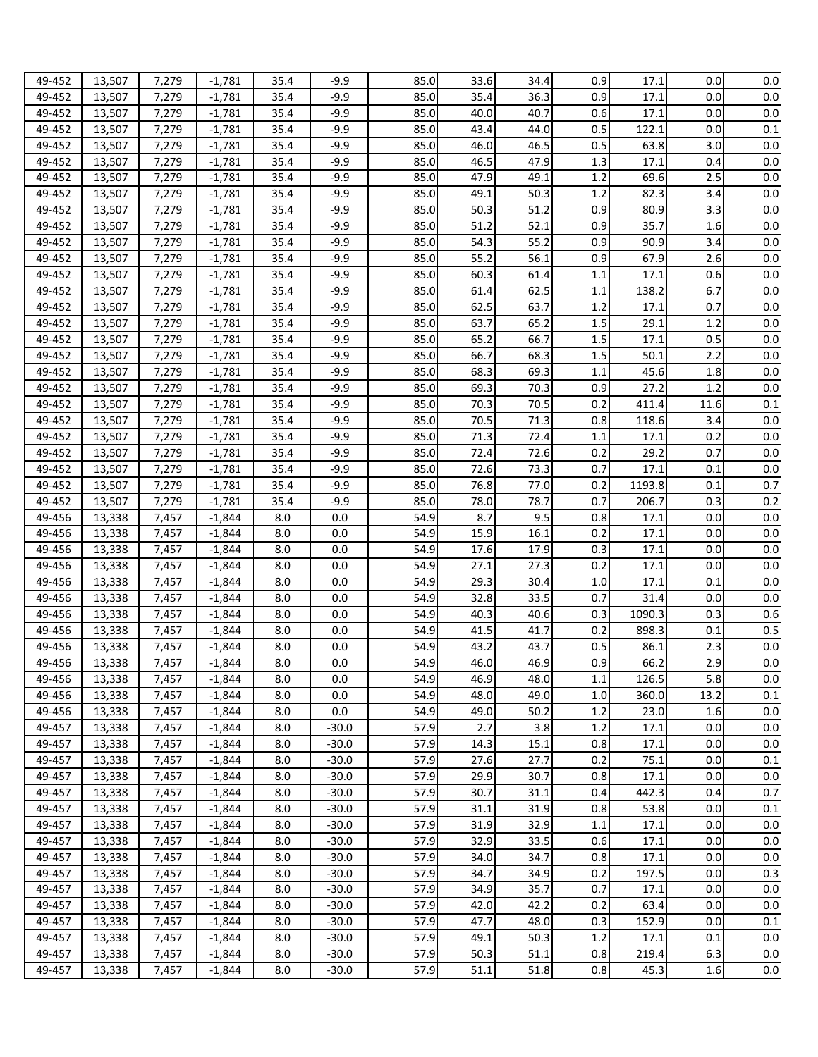| 49-452 | 13,507 | 7,279 | $-1.781$ | 35.4 | -9.9    | 85.0 | 33.6 | 34.4 | 0.9 | 17.1   | 0.0  | 0.0 |
|--------|--------|-------|----------|------|---------|------|------|------|-----|--------|------|-----|
|        |        |       |          |      |         |      |      |      |     |        |      |     |
| 49-452 | 13,507 | 7,279 | $-1,781$ | 35.4 | $-9.9$  | 85.0 | 35.4 | 36.3 | 0.9 | 17.1   | 0.0  | 0.0 |
| 49-452 | 13,507 | 7,279 | $-1,781$ | 35.4 | $-9.9$  | 85.0 | 40.0 | 40.7 | 0.6 | 17.1   | 0.0  | 0.0 |
| 49-452 | 13,507 | 7,279 | $-1,781$ | 35.4 | $-9.9$  | 85.0 | 43.4 | 44.0 | 0.5 | 122.1  | 0.0  | 0.1 |
| 49-452 | 13,507 | 7,279 | $-1,781$ | 35.4 | $-9.9$  | 85.0 | 46.0 | 46.5 | 0.5 | 63.8   | 3.0  | 0.0 |
| 49-452 | 13,507 | 7,279 | $-1,781$ | 35.4 | $-9.9$  | 85.0 | 46.5 | 47.9 | 1.3 | 17.1   | 0.4  | 0.0 |
| 49-452 | 13,507 | 7,279 | $-1,781$ | 35.4 | $-9.9$  | 85.0 | 47.9 | 49.1 | 1.2 | 69.6   | 2.5  | 0.0 |
| 49-452 | 13,507 | 7,279 | $-1,781$ | 35.4 | $-9.9$  | 85.0 | 49.1 | 50.3 | 1.2 | 82.3   | 3.4  | 0.0 |
| 49-452 | 13,507 | 7,279 | $-1,781$ | 35.4 | $-9.9$  | 85.0 | 50.3 | 51.2 | 0.9 | 80.9   | 3.3  | 0.0 |
| 49-452 | 13,507 | 7,279 | $-1,781$ | 35.4 | $-9.9$  | 85.0 | 51.2 | 52.1 | 0.9 | 35.7   | 1.6  | 0.0 |
| 49-452 |        |       |          | 35.4 | $-9.9$  | 85.0 | 54.3 | 55.2 | 0.9 | 90.9   | 3.4  | 0.0 |
|        | 13,507 | 7,279 | $-1,781$ |      |         |      |      |      |     |        |      |     |
| 49-452 | 13,507 | 7,279 | $-1,781$ | 35.4 | $-9.9$  | 85.0 | 55.2 | 56.1 | 0.9 | 67.9   | 2.6  | 0.0 |
| 49-452 | 13,507 | 7,279 | $-1,781$ | 35.4 | $-9.9$  | 85.0 | 60.3 | 61.4 | 1.1 | 17.1   | 0.6  | 0.0 |
| 49-452 | 13,507 | 7,279 | $-1,781$ | 35.4 | $-9.9$  | 85.0 | 61.4 | 62.5 | 1.1 | 138.2  | 6.7  | 0.0 |
| 49-452 | 13,507 | 7,279 | $-1,781$ | 35.4 | $-9.9$  | 85.0 | 62.5 | 63.7 | 1.2 | 17.1   | 0.7  | 0.0 |
| 49-452 | 13,507 | 7,279 | $-1,781$ | 35.4 | $-9.9$  | 85.0 | 63.7 | 65.2 | 1.5 | 29.1   | 1.2  | 0.0 |
| 49-452 | 13,507 | 7,279 | $-1,781$ | 35.4 | $-9.9$  | 85.0 | 65.2 | 66.7 | 1.5 | 17.1   | 0.5  | 0.0 |
| 49-452 | 13,507 | 7,279 | $-1,781$ | 35.4 | $-9.9$  | 85.0 | 66.7 | 68.3 | 1.5 | 50.1   | 2.2  | 0.0 |
| 49-452 | 13,507 | 7,279 | $-1,781$ | 35.4 | $-9.9$  | 85.0 | 68.3 | 69.3 | 1.1 | 45.6   | 1.8  | 0.0 |
| 49-452 | 13,507 | 7,279 | $-1,781$ | 35.4 | $-9.9$  | 85.0 | 69.3 | 70.3 | 0.9 | 27.2   | 1.2  | 0.0 |
| 49-452 | 13,507 | 7,279 | $-1,781$ | 35.4 | $-9.9$  | 85.0 | 70.3 | 70.5 | 0.2 | 411.4  | 11.6 | 0.1 |
| 49-452 | 13,507 | 7,279 | $-1,781$ | 35.4 | $-9.9$  | 85.0 | 70.5 | 71.3 | 0.8 | 118.6  | 3.4  | 0.0 |
| 49-452 | 13,507 | 7,279 | $-1,781$ | 35.4 | $-9.9$  | 85.0 | 71.3 | 72.4 | 1.1 | 17.1   | 0.2  | 0.0 |
|        |        |       |          |      |         |      |      |      |     |        |      |     |
| 49-452 | 13,507 | 7,279 | $-1,781$ | 35.4 | $-9.9$  | 85.0 | 72.4 | 72.6 | 0.2 | 29.2   | 0.7  | 0.0 |
| 49-452 | 13,507 | 7,279 | $-1,781$ | 35.4 | $-9.9$  | 85.0 | 72.6 | 73.3 | 0.7 | 17.1   | 0.1  | 0.0 |
| 49-452 | 13,507 | 7,279 | $-1,781$ | 35.4 | $-9.9$  | 85.0 | 76.8 | 77.0 | 0.2 | 1193.8 | 0.1  | 0.7 |
| 49-452 | 13,507 | 7,279 | $-1,781$ | 35.4 | $-9.9$  | 85.0 | 78.0 | 78.7 | 0.7 | 206.7  | 0.3  | 0.2 |
| 49-456 | 13,338 | 7,457 | $-1,844$ | 8.0  | 0.0     | 54.9 | 8.7  | 9.5  | 0.8 | 17.1   | 0.0  | 0.0 |
| 49-456 | 13,338 | 7,457 | $-1,844$ | 8.0  | 0.0     | 54.9 | 15.9 | 16.1 | 0.2 | 17.1   | 0.0  | 0.0 |
| 49-456 | 13,338 | 7,457 | $-1,844$ | 8.0  | 0.0     | 54.9 | 17.6 | 17.9 | 0.3 | 17.1   | 0.0  | 0.0 |
| 49-456 | 13,338 | 7,457 | $-1,844$ | 8.0  | 0.0     | 54.9 | 27.1 | 27.3 | 0.2 | 17.1   | 0.0  | 0.0 |
| 49-456 | 13,338 | 7,457 | $-1,844$ | 8.0  | 0.0     | 54.9 | 29.3 | 30.4 | 1.0 | 17.1   | 0.1  | 0.0 |
| 49-456 | 13,338 | 7,457 | $-1,844$ | 8.0  | 0.0     | 54.9 | 32.8 | 33.5 | 0.7 | 31.4   | 0.0  | 0.0 |
| 49-456 | 13,338 | 7,457 | $-1,844$ | 8.0  | 0.0     | 54.9 | 40.3 | 40.6 | 0.3 | 1090.3 | 0.3  | 0.6 |
| 49-456 | 13,338 | 7,457 | $-1,844$ | 8.0  | 0.0     | 54.9 | 41.5 | 41.7 | 0.2 | 898.3  | 0.1  | 0.5 |
| 49-456 | 13,338 | 7,457 | $-1,844$ | 8.0  | 0.0     | 54.9 | 43.2 | 43.7 | 0.5 | 86.1   | 2.3  | 0.0 |
| 49-456 |        |       | $-1,844$ | 8.0  | 0.0     | 54.9 | 46.0 | 46.9 | 0.9 | 66.2   | 2.9  | 0.0 |
|        | 13,338 | 7,457 |          |      |         |      |      |      |     |        |      |     |
| 49-456 | 13,338 | 7,457 | $-1,844$ | 8.0  | 0.0     | 54.9 | 46.9 | 48.0 | 1.1 | 126.5  | 5.8  | 0.0 |
| 49-456 | 13,338 | 7,457 | $-1,844$ | 8.0  | 0.0     | 54.9 | 48.0 | 49.0 | 1.0 | 360.0  | 13.2 | 0.1 |
| 49-456 | 13,338 | 7,457 | $-1,844$ | 8.0  | 0.0     | 54.9 | 49.0 | 50.2 | 1.2 | 23.0   | 1.6  | 0.0 |
| 49-457 | 13,338 | 7,457 | $-1,844$ | 8.0  | $-30.0$ | 57.9 | 2.7  | 3.8  | 1.2 | 17.1   | 0.0  | 0.0 |
| 49-457 | 13,338 | 7,457 | $-1,844$ | 8.0  | $-30.0$ | 57.9 | 14.3 | 15.1 | 0.8 | 17.1   | 0.0  | 0.0 |
| 49-457 | 13,338 | 7,457 | $-1,844$ | 8.0  | $-30.0$ | 57.9 | 27.6 | 27.7 | 0.2 | 75.1   | 0.0  | 0.1 |
| 49-457 | 13,338 | 7,457 | $-1,844$ | 8.0  | $-30.0$ | 57.9 | 29.9 | 30.7 | 0.8 | 17.1   | 0.0  | 0.0 |
| 49-457 | 13,338 | 7,457 | $-1,844$ | 8.0  | $-30.0$ | 57.9 | 30.7 | 31.1 | 0.4 | 442.3  | 0.4  | 0.7 |
| 49-457 | 13,338 | 7,457 | $-1,844$ | 8.0  | $-30.0$ | 57.9 | 31.1 | 31.9 | 0.8 | 53.8   | 0.0  | 0.1 |
| 49-457 | 13,338 | 7,457 | $-1,844$ | 8.0  | $-30.0$ | 57.9 | 31.9 | 32.9 | 1.1 | 17.1   | 0.0  | 0.0 |
| 49-457 | 13,338 | 7,457 | $-1,844$ | 8.0  | $-30.0$ | 57.9 | 32.9 | 33.5 | 0.6 | 17.1   | 0.0  | 0.0 |
| 49-457 | 13,338 | 7,457 | $-1,844$ | 8.0  | $-30.0$ | 57.9 | 34.0 | 34.7 | 0.8 | 17.1   | 0.0  | 0.0 |
| 49-457 | 13,338 | 7,457 | $-1,844$ | 8.0  | $-30.0$ | 57.9 | 34.7 | 34.9 | 0.2 | 197.5  | 0.0  | 0.3 |
|        |        |       |          |      |         |      |      |      |     |        |      |     |
| 49-457 | 13,338 | 7,457 | $-1,844$ | 8.0  | $-30.0$ | 57.9 | 34.9 | 35.7 | 0.7 | 17.1   | 0.0  | 0.0 |
| 49-457 | 13,338 | 7,457 | $-1,844$ | 8.0  | $-30.0$ | 57.9 | 42.0 | 42.2 | 0.2 | 63.4   | 0.0  | 0.0 |
| 49-457 | 13,338 | 7,457 | $-1,844$ | 8.0  | $-30.0$ | 57.9 | 47.7 | 48.0 | 0.3 | 152.9  | 0.0  | 0.1 |
| 49-457 | 13,338 | 7,457 | $-1,844$ | 8.0  | $-30.0$ | 57.9 | 49.1 | 50.3 | 1.2 | 17.1   | 0.1  | 0.0 |
| 49-457 | 13,338 | 7,457 | $-1,844$ | 8.0  | $-30.0$ | 57.9 | 50.3 | 51.1 | 0.8 | 219.4  | 6.3  | 0.0 |
| 49-457 | 13,338 | 7,457 | $-1,844$ | 8.0  | $-30.0$ | 57.9 | 51.1 | 51.8 | 0.8 | 45.3   | 1.6  | 0.0 |